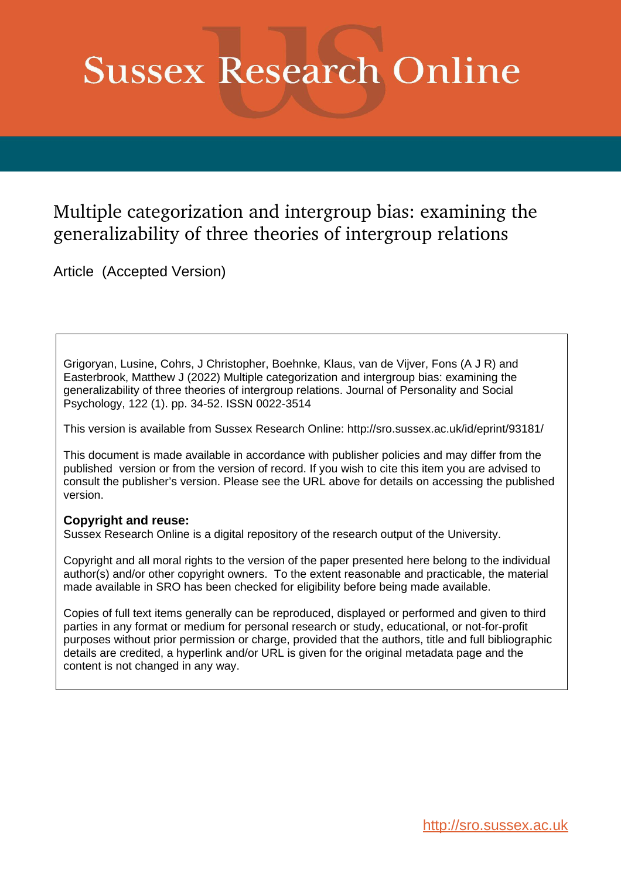# **Sussex Research Online**

# Multiple categorization and intergroup bias: examining the generalizability of three theories of intergroup relations

Article (Accepted Version)

Grigoryan, Lusine, Cohrs, J Christopher, Boehnke, Klaus, van de Vijver, Fons (A J R) and Easterbrook, Matthew J (2022) Multiple categorization and intergroup bias: examining the generalizability of three theories of intergroup relations. Journal of Personality and Social Psychology, 122 (1). pp. 34-52. ISSN 0022-3514

This version is available from Sussex Research Online: http://sro.sussex.ac.uk/id/eprint/93181/

This document is made available in accordance with publisher policies and may differ from the published version or from the version of record. If you wish to cite this item you are advised to consult the publisher's version. Please see the URL above for details on accessing the published version.

## **Copyright and reuse:**

Sussex Research Online is a digital repository of the research output of the University.

Copyright and all moral rights to the version of the paper presented here belong to the individual author(s) and/or other copyright owners. To the extent reasonable and practicable, the material made available in SRO has been checked for eligibility before being made available.

Copies of full text items generally can be reproduced, displayed or performed and given to third parties in any format or medium for personal research or study, educational, or not-for-profit purposes without prior permission or charge, provided that the authors, title and full bibliographic details are credited, a hyperlink and/or URL is given for the original metadata page and the content is not changed in any way.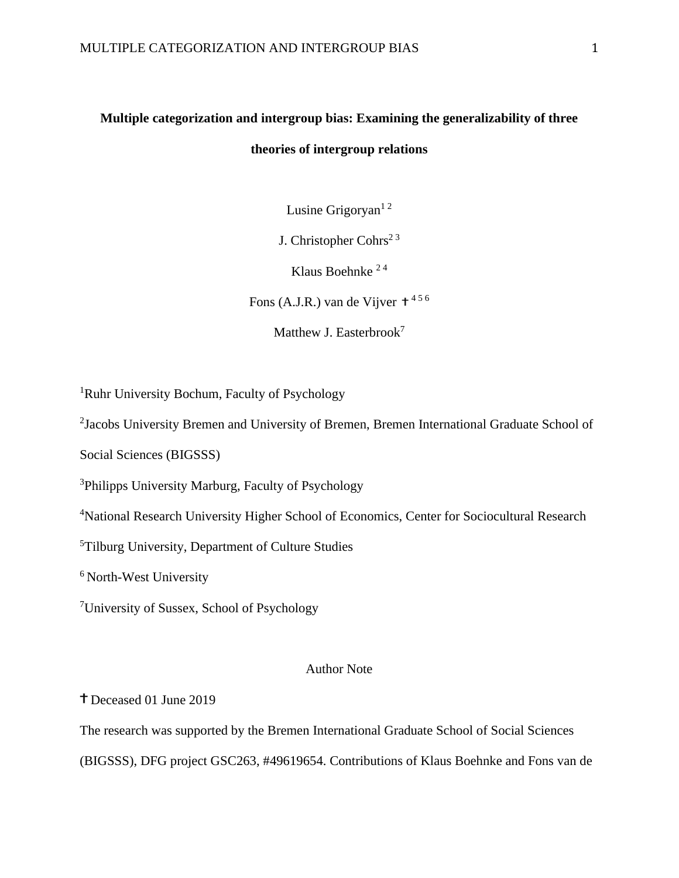## **Multiple categorization and intergroup bias: Examining the generalizability of three theories of intergroup relations**

Lusine Grigoryan<sup>12</sup>

J. Christopher Cohrs<sup>23</sup>

Klaus Boehnke 2 4

Fons (A.J.R.) van de Vijver  $+^{456}$ 

Matthew J. Easterbrook<sup>7</sup>

<sup>1</sup>Ruhr University Bochum, Faculty of Psychology

<sup>2</sup>Jacobs University Bremen and University of Bremen, Bremen International Graduate School of

Social Sciences (BIGSSS)

<sup>3</sup>Philipps University Marburg, Faculty of Psychology

<sup>4</sup>National Research University Higher School of Economics, Center for Sociocultural Research

<sup>5</sup>Tilburg University, Department of Culture Studies

 $6$  North-West University

<sup>7</sup>University of Sussex, School of Psychology

#### Author Note

Deceased 01 June 2019

The research was supported by the Bremen International Graduate School of Social Sciences

(BIGSSS), DFG project GSC263, #49619654. Contributions of Klaus Boehnke and Fons van de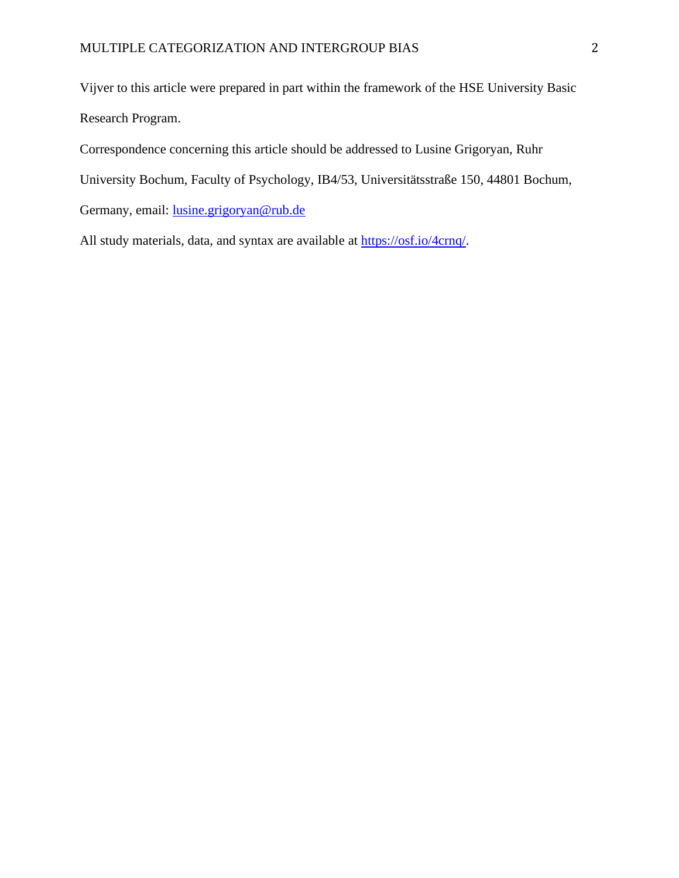Vijver to this article were prepared in part within the framework of the HSE University Basic Research Program.

Correspondence concerning this article should be addressed to Lusine Grigoryan, Ruhr

University Bochum, Faculty of Psychology, IB4/53, Universitätsstraße 150, 44801 Bochum,

Germany, email: [lusine.grigoryan@rub.de](mailto:lusine.grigoryan@rub.de)

All study materials, data, and syntax are available at [https://osf.io/4crnq/.](https://osf.io/4crnq/)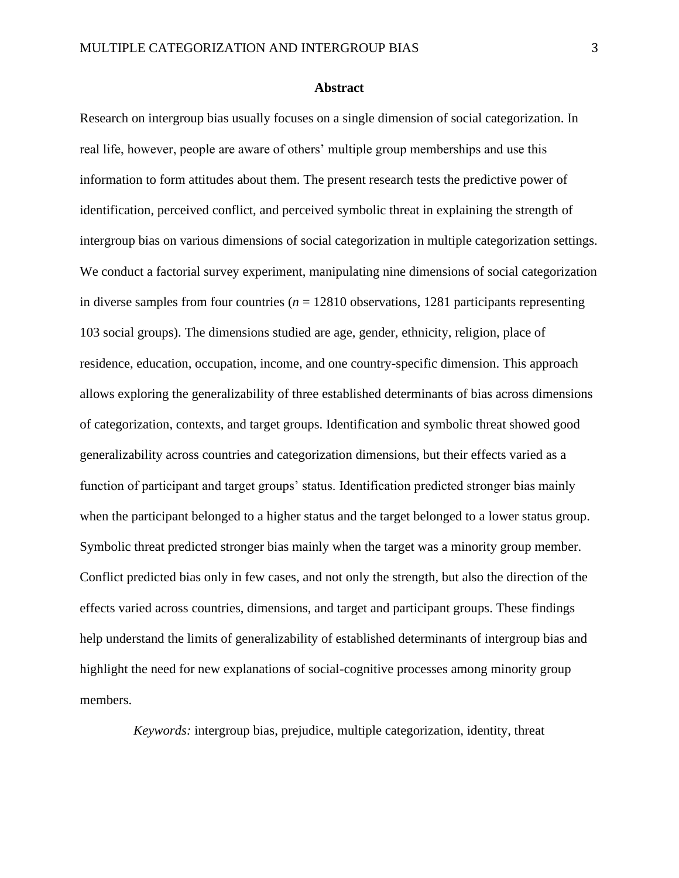#### **Abstract**

Research on intergroup bias usually focuses on a single dimension of social categorization. In real life, however, people are aware of others' multiple group memberships and use this information to form attitudes about them. The present research tests the predictive power of identification, perceived conflict, and perceived symbolic threat in explaining the strength of intergroup bias on various dimensions of social categorization in multiple categorization settings. We conduct a factorial survey experiment, manipulating nine dimensions of social categorization in diverse samples from four countries (*n* = 12810 observations, 1281 participants representing 103 social groups). The dimensions studied are age, gender, ethnicity, religion, place of residence, education, occupation, income, and one country-specific dimension. This approach allows exploring the generalizability of three established determinants of bias across dimensions of categorization, contexts, and target groups. Identification and symbolic threat showed good generalizability across countries and categorization dimensions, but their effects varied as a function of participant and target groups' status. Identification predicted stronger bias mainly when the participant belonged to a higher status and the target belonged to a lower status group. Symbolic threat predicted stronger bias mainly when the target was a minority group member. Conflict predicted bias only in few cases, and not only the strength, but also the direction of the effects varied across countries, dimensions, and target and participant groups. These findings help understand the limits of generalizability of established determinants of intergroup bias and highlight the need for new explanations of social-cognitive processes among minority group members.

*Keywords:* intergroup bias, prejudice, multiple categorization, identity, threat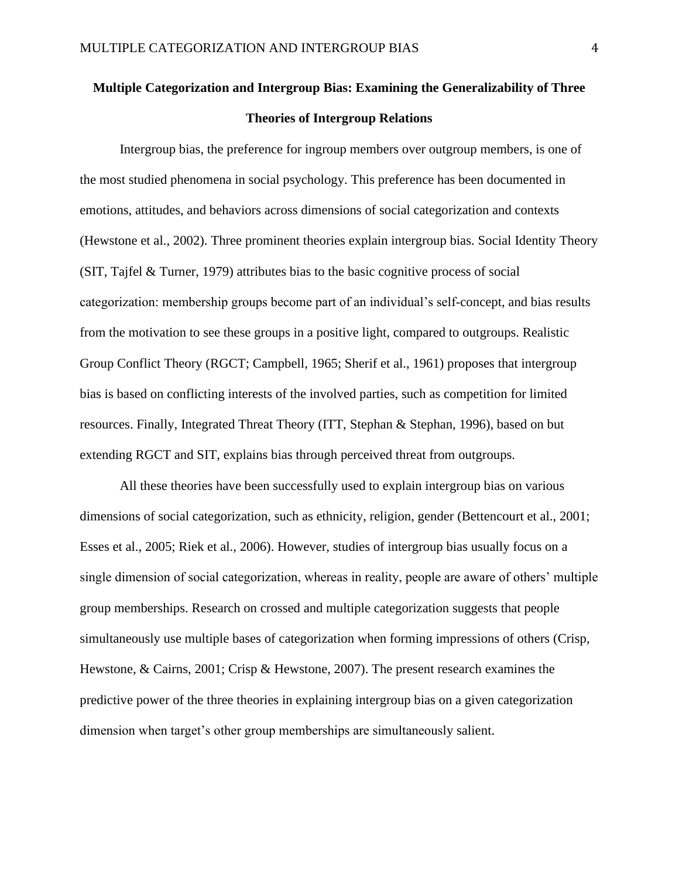# **Multiple Categorization and Intergroup Bias: Examining the Generalizability of Three Theories of Intergroup Relations**

Intergroup bias, the preference for ingroup members over outgroup members, is one of the most studied phenomena in social psychology. This preference has been documented in emotions, attitudes, and behaviors across dimensions of social categorization and contexts (Hewstone et al., 2002). Three prominent theories explain intergroup bias. Social Identity Theory (SIT, Tajfel & Turner, 1979) attributes bias to the basic cognitive process of social categorization: membership groups become part of an individual's self-concept, and bias results from the motivation to see these groups in a positive light, compared to outgroups. Realistic Group Conflict Theory (RGCT; Campbell, 1965; Sherif et al., 1961) proposes that intergroup bias is based on conflicting interests of the involved parties, such as competition for limited resources. Finally, Integrated Threat Theory (ITT, Stephan & Stephan, 1996), based on but extending RGCT and SIT, explains bias through perceived threat from outgroups.

All these theories have been successfully used to explain intergroup bias on various dimensions of social categorization, such as ethnicity, religion, gender (Bettencourt et al., 2001; Esses et al., 2005; Riek et al., 2006). However, studies of intergroup bias usually focus on a single dimension of social categorization, whereas in reality, people are aware of others' multiple group memberships. Research on crossed and multiple categorization suggests that people simultaneously use multiple bases of categorization when forming impressions of others (Crisp, Hewstone, & Cairns, 2001; Crisp & Hewstone, 2007). The present research examines the predictive power of the three theories in explaining intergroup bias on a given categorization dimension when target's other group memberships are simultaneously salient.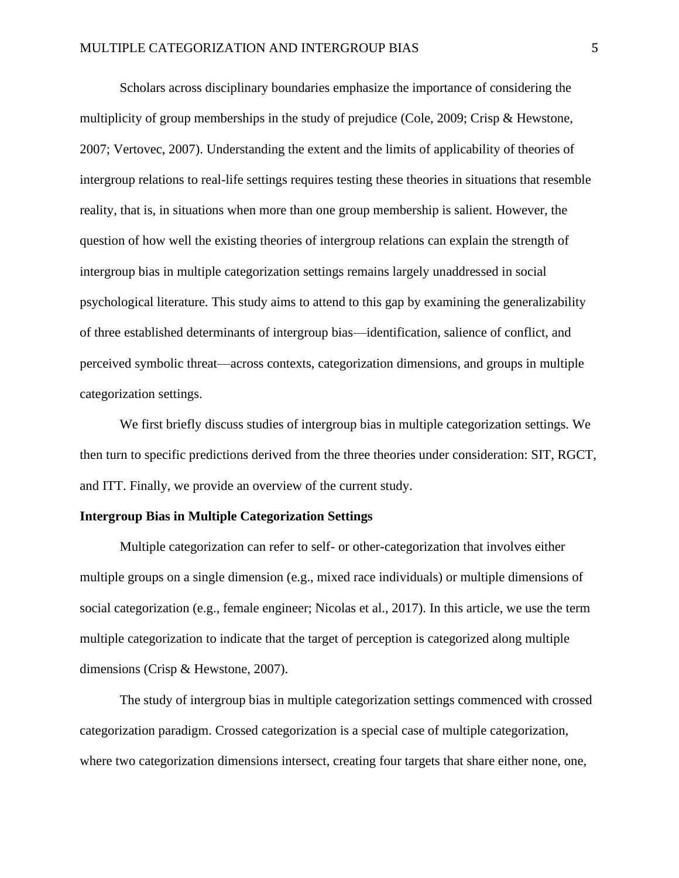Scholars across disciplinary boundaries emphasize the importance of considering the multiplicity of group memberships in the study of prejudice (Cole, 2009; Crisp & Hewstone, 2007; Vertovec, 2007). Understanding the extent and the limits of applicability of theories of intergroup relations to real-life settings requires testing these theories in situations that resemble reality, that is, in situations when more than one group membership is salient. However, the question of how well the existing theories of intergroup relations can explain the strength of intergroup bias in multiple categorization settings remains largely unaddressed in social psychological literature. This study aims to attend to this gap by examining the generalizability of three established determinants of intergroup bias—identification, salience of conflict, and perceived symbolic threat—across contexts, categorization dimensions, and groups in multiple categorization settings.

We first briefly discuss studies of intergroup bias in multiple categorization settings. We then turn to specific predictions derived from the three theories under consideration: SIT, RGCT, and ITT. Finally, we provide an overview of the current study.

#### **Intergroup Bias in Multiple Categorization Settings**

Multiple categorization can refer to self- or other-categorization that involves either multiple groups on a single dimension (e.g., mixed race individuals) or multiple dimensions of social categorization (e.g., female engineer; Nicolas et al., 2017). In this article, we use the term multiple categorization to indicate that the target of perception is categorized along multiple dimensions (Crisp & Hewstone, 2007).

The study of intergroup bias in multiple categorization settings commenced with crossed categorization paradigm. Crossed categorization is a special case of multiple categorization, where two categorization dimensions intersect, creating four targets that share either none, one,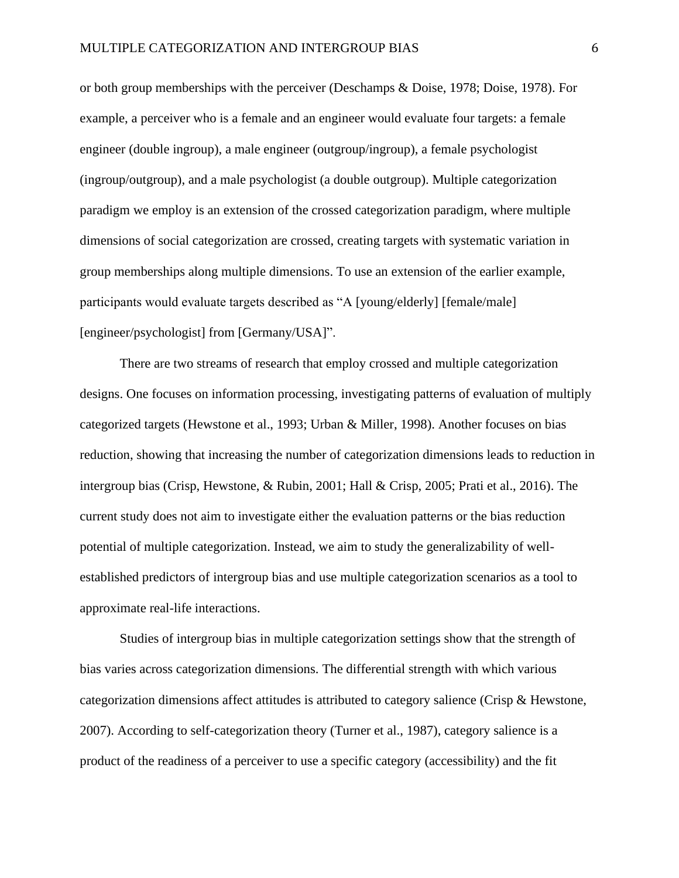or both group memberships with the perceiver (Deschamps & Doise, 1978; Doise, 1978). For example, a perceiver who is a female and an engineer would evaluate four targets: a female engineer (double ingroup), a male engineer (outgroup/ingroup), a female psychologist (ingroup/outgroup), and a male psychologist (a double outgroup). Multiple categorization paradigm we employ is an extension of the crossed categorization paradigm, where multiple dimensions of social categorization are crossed, creating targets with systematic variation in group memberships along multiple dimensions. To use an extension of the earlier example, participants would evaluate targets described as "A [young/elderly] [female/male] [engineer/psychologist] from [Germany/USA]".

There are two streams of research that employ crossed and multiple categorization designs. One focuses on information processing, investigating patterns of evaluation of multiply categorized targets (Hewstone et al., 1993; Urban & Miller, 1998). Another focuses on bias reduction, showing that increasing the number of categorization dimensions leads to reduction in intergroup bias (Crisp, Hewstone, & Rubin, 2001; Hall & Crisp, 2005; Prati et al., 2016). The current study does not aim to investigate either the evaluation patterns or the bias reduction potential of multiple categorization. Instead, we aim to study the generalizability of wellestablished predictors of intergroup bias and use multiple categorization scenarios as a tool to approximate real-life interactions.

Studies of intergroup bias in multiple categorization settings show that the strength of bias varies across categorization dimensions. The differential strength with which various categorization dimensions affect attitudes is attributed to category salience (Crisp & Hewstone, 2007). According to self-categorization theory (Turner et al., 1987), category salience is a product of the readiness of a perceiver to use a specific category (accessibility) and the fit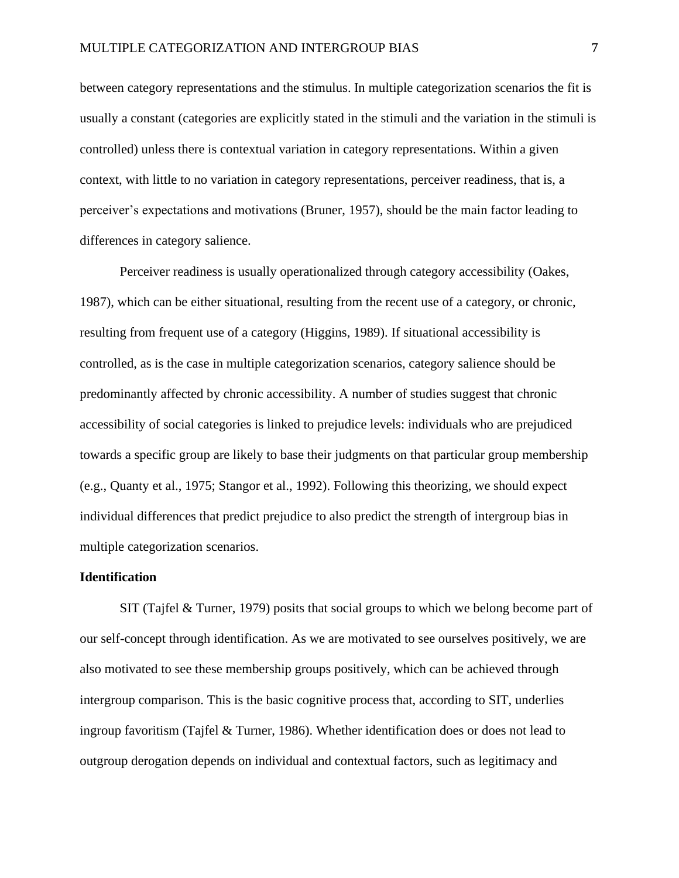between category representations and the stimulus. In multiple categorization scenarios the fit is usually a constant (categories are explicitly stated in the stimuli and the variation in the stimuli is controlled) unless there is contextual variation in category representations. Within a given context, with little to no variation in category representations, perceiver readiness, that is, a perceiver's expectations and motivations (Bruner, 1957), should be the main factor leading to differences in category salience.

Perceiver readiness is usually operationalized through category accessibility (Oakes, 1987), which can be either situational, resulting from the recent use of a category, or chronic, resulting from frequent use of a category (Higgins, 1989). If situational accessibility is controlled, as is the case in multiple categorization scenarios, category salience should be predominantly affected by chronic accessibility. A number of studies suggest that chronic accessibility of social categories is linked to prejudice levels: individuals who are prejudiced towards a specific group are likely to base their judgments on that particular group membership (e.g., Quanty et al., 1975; Stangor et al., 1992). Following this theorizing, we should expect individual differences that predict prejudice to also predict the strength of intergroup bias in multiple categorization scenarios.

#### **Identification**

SIT (Tajfel & Turner, 1979) posits that social groups to which we belong become part of our self-concept through identification. As we are motivated to see ourselves positively, we are also motivated to see these membership groups positively, which can be achieved through intergroup comparison. This is the basic cognitive process that, according to SIT, underlies ingroup favoritism (Tajfel & Turner, 1986). Whether identification does or does not lead to outgroup derogation depends on individual and contextual factors, such as legitimacy and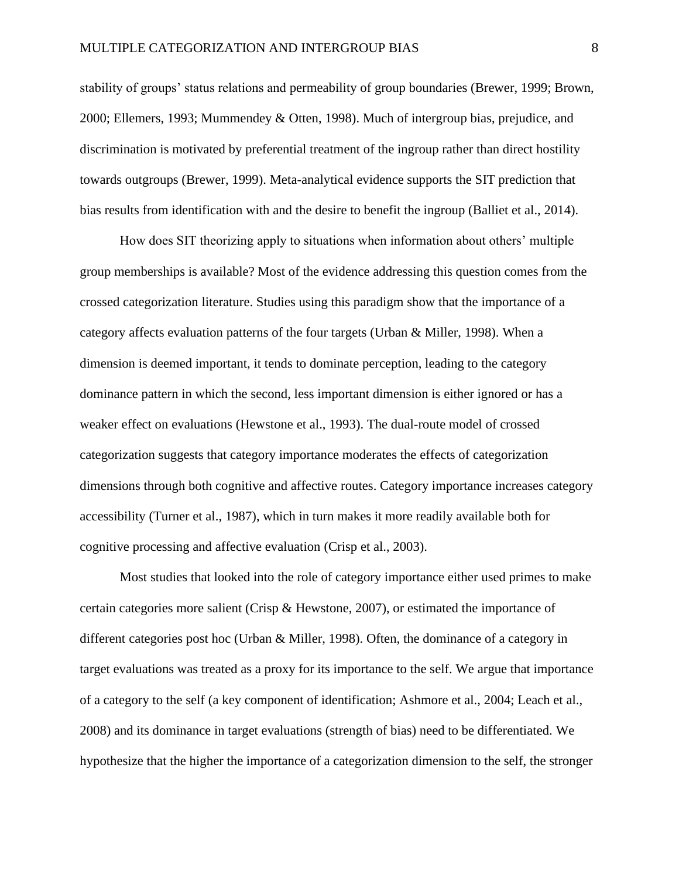stability of groups' status relations and permeability of group boundaries (Brewer, 1999; Brown, 2000; Ellemers, 1993; Mummendey & Otten, 1998). Much of intergroup bias, prejudice, and discrimination is motivated by preferential treatment of the ingroup rather than direct hostility towards outgroups (Brewer, 1999). Meta-analytical evidence supports the SIT prediction that bias results from identification with and the desire to benefit the ingroup (Balliet et al., 2014).

How does SIT theorizing apply to situations when information about others' multiple group memberships is available? Most of the evidence addressing this question comes from the crossed categorization literature. Studies using this paradigm show that the importance of a category affects evaluation patterns of the four targets (Urban & Miller, 1998). When a dimension is deemed important, it tends to dominate perception, leading to the category dominance pattern in which the second, less important dimension is either ignored or has a weaker effect on evaluations (Hewstone et al., 1993). The dual-route model of crossed categorization suggests that category importance moderates the effects of categorization dimensions through both cognitive and affective routes. Category importance increases category accessibility (Turner et al., 1987), which in turn makes it more readily available both for cognitive processing and affective evaluation (Crisp et al., 2003).

Most studies that looked into the role of category importance either used primes to make certain categories more salient (Crisp  $\&$  Hewstone, 2007), or estimated the importance of different categories post hoc (Urban & Miller, 1998). Often, the dominance of a category in target evaluations was treated as a proxy for its importance to the self. We argue that importance of a category to the self (a key component of identification; Ashmore et al., 2004; Leach et al., 2008) and its dominance in target evaluations (strength of bias) need to be differentiated. We hypothesize that the higher the importance of a categorization dimension to the self, the stronger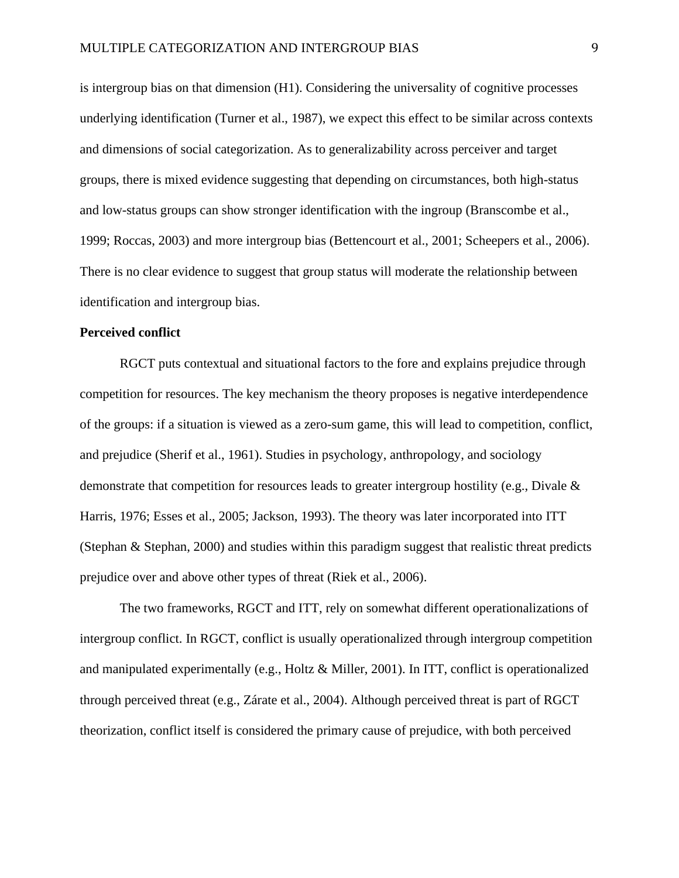is intergroup bias on that dimension (H1). Considering the universality of cognitive processes underlying identification (Turner et al., 1987), we expect this effect to be similar across contexts and dimensions of social categorization. As to generalizability across perceiver and target groups, there is mixed evidence suggesting that depending on circumstances, both high-status and low-status groups can show stronger identification with the ingroup (Branscombe et al., 1999; Roccas, 2003) and more intergroup bias (Bettencourt et al., 2001; Scheepers et al., 2006). There is no clear evidence to suggest that group status will moderate the relationship between identification and intergroup bias.

#### **Perceived conflict**

RGCT puts contextual and situational factors to the fore and explains prejudice through competition for resources. The key mechanism the theory proposes is negative interdependence of the groups: if a situation is viewed as a zero-sum game, this will lead to competition, conflict, and prejudice (Sherif et al., 1961). Studies in psychology, anthropology, and sociology demonstrate that competition for resources leads to greater intergroup hostility (e.g., Divale & Harris, 1976; Esses et al., 2005; Jackson, 1993). The theory was later incorporated into ITT (Stephan & Stephan, 2000) and studies within this paradigm suggest that realistic threat predicts prejudice over and above other types of threat (Riek et al., 2006).

The two frameworks, RGCT and ITT, rely on somewhat different operationalizations of intergroup conflict. In RGCT, conflict is usually operationalized through intergroup competition and manipulated experimentally (e.g., Holtz & Miller, 2001). In ITT, conflict is operationalized through perceived threat (e.g., Zárate et al., 2004). Although perceived threat is part of RGCT theorization, conflict itself is considered the primary cause of prejudice, with both perceived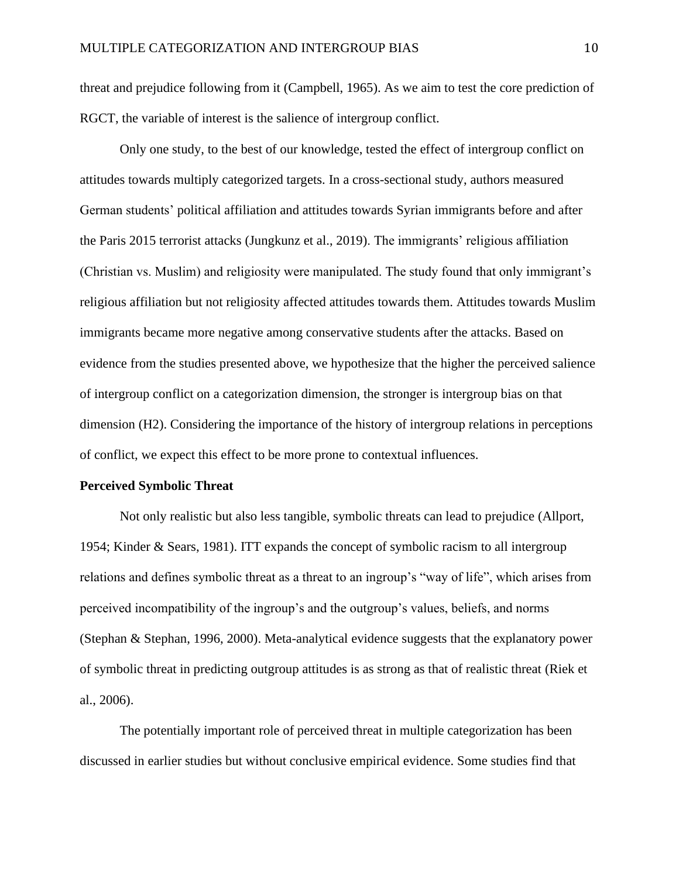threat and prejudice following from it (Campbell, 1965). As we aim to test the core prediction of RGCT, the variable of interest is the salience of intergroup conflict.

Only one study, to the best of our knowledge, tested the effect of intergroup conflict on attitudes towards multiply categorized targets. In a cross-sectional study, authors measured German students' political affiliation and attitudes towards Syrian immigrants before and after the Paris 2015 terrorist attacks (Jungkunz et al., 2019). The immigrants' religious affiliation (Christian vs. Muslim) and religiosity were manipulated. The study found that only immigrant's religious affiliation but not religiosity affected attitudes towards them. Attitudes towards Muslim immigrants became more negative among conservative students after the attacks. Based on evidence from the studies presented above, we hypothesize that the higher the perceived salience of intergroup conflict on a categorization dimension, the stronger is intergroup bias on that dimension (H2). Considering the importance of the history of intergroup relations in perceptions of conflict, we expect this effect to be more prone to contextual influences.

#### **Perceived Symbolic Threat**

Not only realistic but also less tangible, symbolic threats can lead to prejudice (Allport, 1954; Kinder & Sears, 1981). ITT expands the concept of symbolic racism to all intergroup relations and defines symbolic threat as a threat to an ingroup's "way of life", which arises from perceived incompatibility of the ingroup's and the outgroup's values, beliefs, and norms (Stephan & Stephan, 1996, 2000). Meta-analytical evidence suggests that the explanatory power of symbolic threat in predicting outgroup attitudes is as strong as that of realistic threat (Riek et al., 2006).

The potentially important role of perceived threat in multiple categorization has been discussed in earlier studies but without conclusive empirical evidence. Some studies find that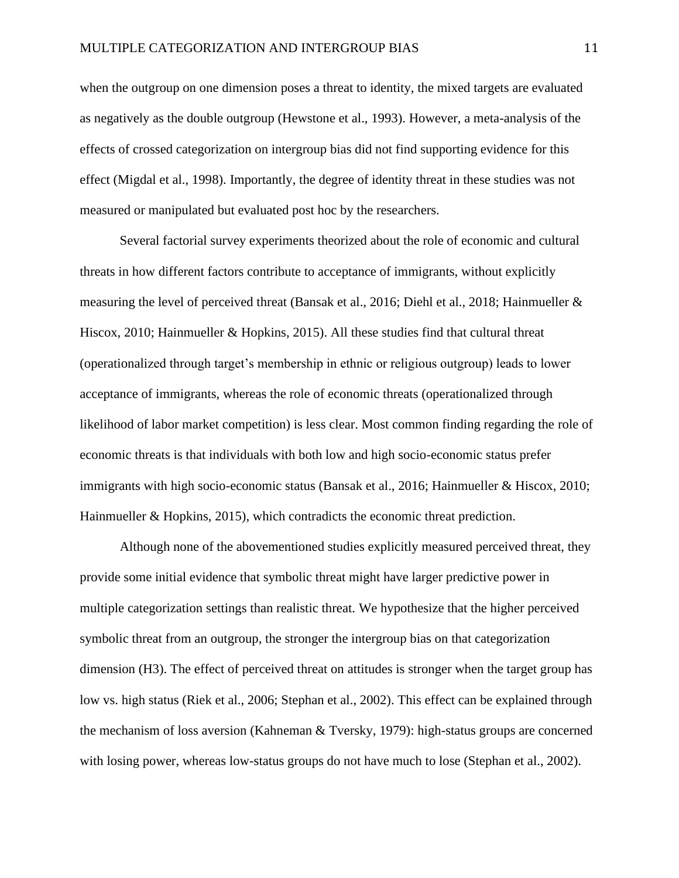when the outgroup on one dimension poses a threat to identity, the mixed targets are evaluated as negatively as the double outgroup (Hewstone et al., 1993). However, a meta-analysis of the effects of crossed categorization on intergroup bias did not find supporting evidence for this effect (Migdal et al., 1998). Importantly, the degree of identity threat in these studies was not measured or manipulated but evaluated post hoc by the researchers.

Several factorial survey experiments theorized about the role of economic and cultural threats in how different factors contribute to acceptance of immigrants, without explicitly measuring the level of perceived threat (Bansak et al., 2016; Diehl et al., 2018; Hainmueller & Hiscox, 2010; Hainmueller & Hopkins, 2015). All these studies find that cultural threat (operationalized through target's membership in ethnic or religious outgroup) leads to lower acceptance of immigrants, whereas the role of economic threats (operationalized through likelihood of labor market competition) is less clear. Most common finding regarding the role of economic threats is that individuals with both low and high socio-economic status prefer immigrants with high socio-economic status (Bansak et al., 2016; Hainmueller & Hiscox, 2010; Hainmueller & Hopkins, 2015), which contradicts the economic threat prediction.

Although none of the abovementioned studies explicitly measured perceived threat, they provide some initial evidence that symbolic threat might have larger predictive power in multiple categorization settings than realistic threat. We hypothesize that the higher perceived symbolic threat from an outgroup, the stronger the intergroup bias on that categorization dimension (H3). The effect of perceived threat on attitudes is stronger when the target group has low vs. high status (Riek et al., 2006; Stephan et al., 2002). This effect can be explained through the mechanism of loss aversion (Kahneman & Tversky, 1979): high-status groups are concerned with losing power, whereas low-status groups do not have much to lose (Stephan et al., 2002).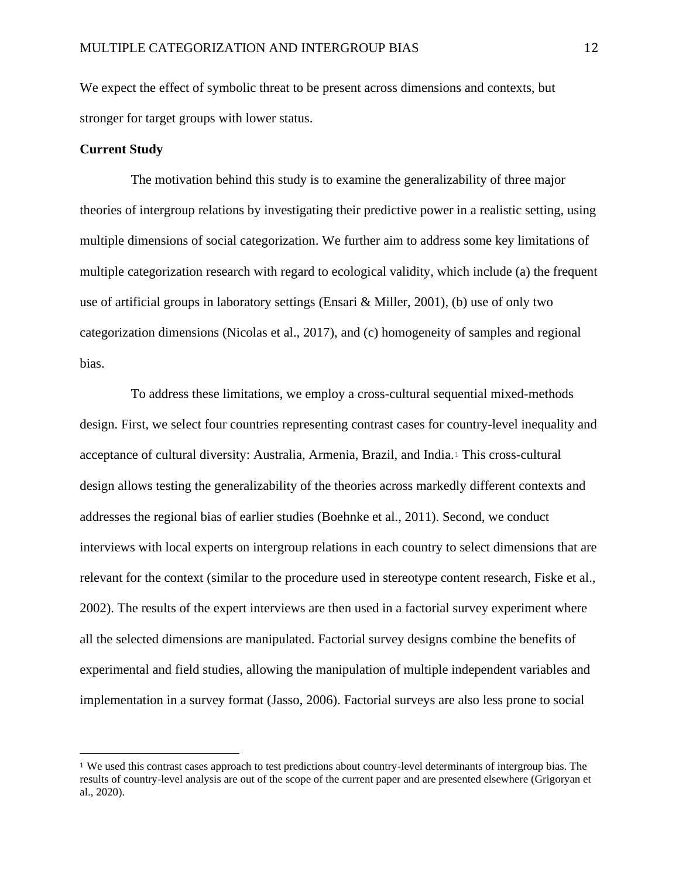We expect the effect of symbolic threat to be present across dimensions and contexts, but stronger for target groups with lower status.

#### **Current Study**

The motivation behind this study is to examine the generalizability of three major theories of intergroup relations by investigating their predictive power in a realistic setting, using multiple dimensions of social categorization. We further aim to address some key limitations of multiple categorization research with regard to ecological validity, which include (a) the frequent use of artificial groups in laboratory settings (Ensari & Miller, 2001), (b) use of only two categorization dimensions (Nicolas et al., 2017), and (c) homogeneity of samples and regional bias.

To address these limitations, we employ a cross-cultural sequential mixed-methods design. First, we select four countries representing contrast cases for country-level inequality and acceptance of cultural diversity: Australia, Armenia, Brazil, and India.<sup>1</sup> This cross-cultural design allows testing the generalizability of the theories across markedly different contexts and addresses the regional bias of earlier studies (Boehnke et al., 2011). Second, we conduct interviews with local experts on intergroup relations in each country to select dimensions that are relevant for the context (similar to the procedure used in stereotype content research, Fiske et al., 2002). The results of the expert interviews are then used in a factorial survey experiment where all the selected dimensions are manipulated. Factorial survey designs combine the benefits of experimental and field studies, allowing the manipulation of multiple independent variables and implementation in a survey format (Jasso, 2006). Factorial surveys are also less prone to social

<sup>1</sup> We used this contrast cases approach to test predictions about country-level determinants of intergroup bias. The results of country-level analysis are out of the scope of the current paper and are presented elsewhere (Grigoryan et al., 2020).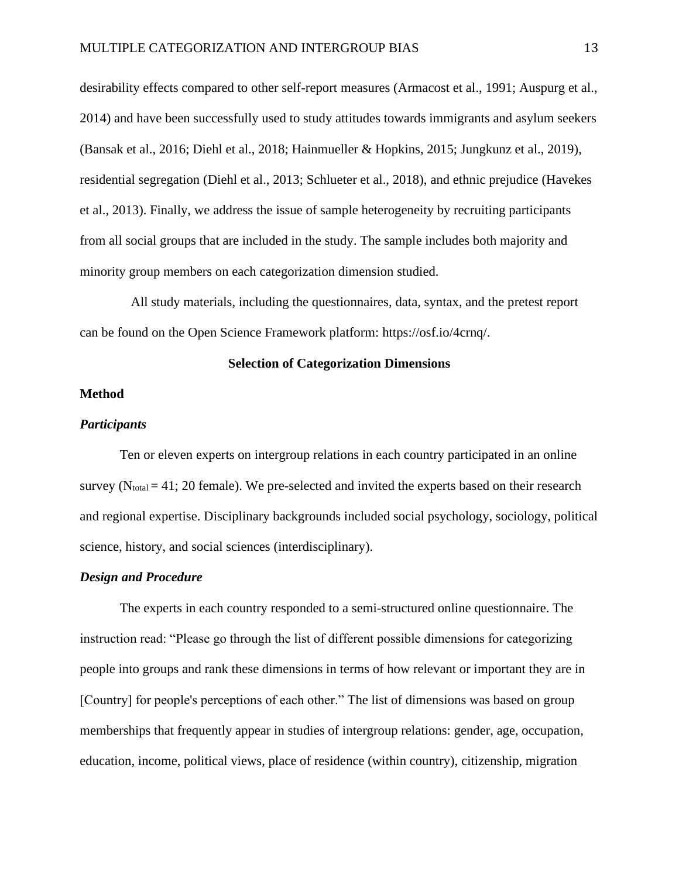desirability effects compared to other self-report measures (Armacost et al., 1991; Auspurg et al., 2014) and have been successfully used to study attitudes towards immigrants and asylum seekers (Bansak et al., 2016; Diehl et al., 2018; Hainmueller & Hopkins, 2015; Jungkunz et al., 2019), residential segregation (Diehl et al., 2013; Schlueter et al., 2018), and ethnic prejudice (Havekes et al., 2013). Finally, we address the issue of sample heterogeneity by recruiting participants from all social groups that are included in the study. The sample includes both majority and minority group members on each categorization dimension studied.

All study materials, including the questionnaires, data, syntax, and the pretest report can be found on the Open Science Framework platform: [https://osf.io/4crnq/.](https://osf.io/4crnq/)

#### **Selection of Categorization Dimensions**

#### **Method**

#### *Participants*

Ten or eleven experts on intergroup relations in each country participated in an online survey ( $N_{total} = 41$ ; 20 female). We pre-selected and invited the experts based on their research and regional expertise. Disciplinary backgrounds included social psychology, sociology, political science, history, and social sciences (interdisciplinary).

#### *Design and Procedure*

The experts in each country responded to a semi-structured online questionnaire. The instruction read: "Please go through the list of different possible dimensions for categorizing people into groups and rank these dimensions in terms of how relevant or important they are in [Country] for people's perceptions of each other." The list of dimensions was based on group memberships that frequently appear in studies of intergroup relations: gender, age, occupation, education, income, political views, place of residence (within country), citizenship, migration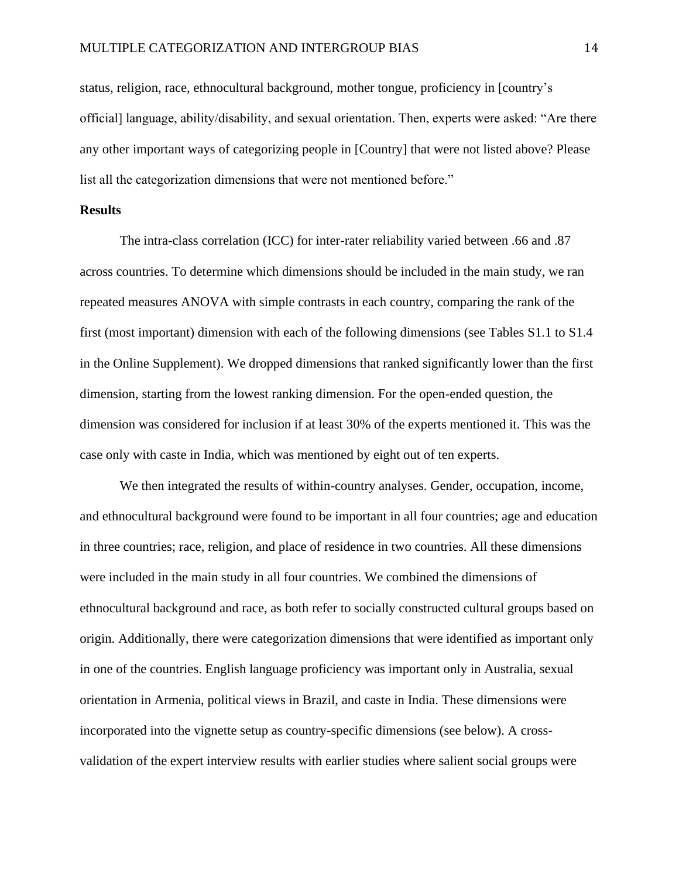status, religion, race, ethnocultural background, mother tongue, proficiency in [country's official] language, ability/disability, and sexual orientation. Then, experts were asked: "Are there any other important ways of categorizing people in [Country] that were not listed above? Please list all the categorization dimensions that were not mentioned before."

#### **Results**

The intra-class correlation (ICC) for inter-rater reliability varied between .66 and .87 across countries. To determine which dimensions should be included in the main study, we ran repeated measures ANOVA with simple contrasts in each country, comparing the rank of the first (most important) dimension with each of the following dimensions (see Tables S1.1 to S1.4 in the Online Supplement). We dropped dimensions that ranked significantly lower than the first dimension, starting from the lowest ranking dimension. For the open-ended question, the dimension was considered for inclusion if at least 30% of the experts mentioned it. This was the case only with caste in India, which was mentioned by eight out of ten experts.

We then integrated the results of within-country analyses. Gender, occupation, income, and ethnocultural background were found to be important in all four countries; age and education in three countries; race, religion, and place of residence in two countries. All these dimensions were included in the main study in all four countries. We combined the dimensions of ethnocultural background and race, as both refer to socially constructed cultural groups based on origin. Additionally, there were categorization dimensions that were identified as important only in one of the countries. English language proficiency was important only in Australia, sexual orientation in Armenia, political views in Brazil, and caste in India. These dimensions were incorporated into the vignette setup as country-specific dimensions (see below). A crossvalidation of the expert interview results with earlier studies where salient social groups were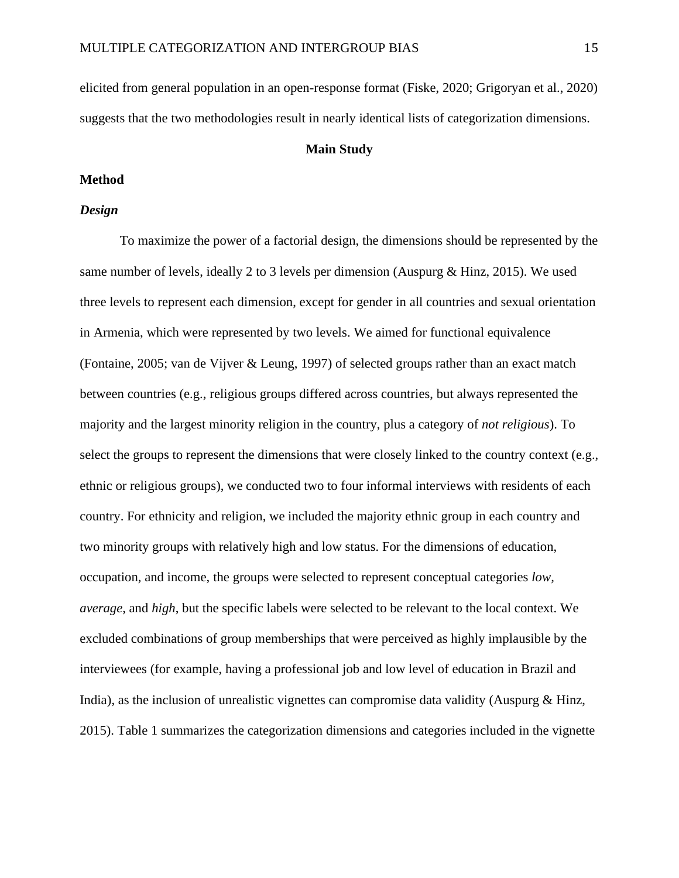elicited from general population in an open-response format (Fiske, 2020; Grigoryan et al., 2020) suggests that the two methodologies result in nearly identical lists of categorization dimensions.

#### **Main Study**

#### **Method**

#### *Design*

To maximize the power of a factorial design, the dimensions should be represented by the same number of levels, ideally 2 to 3 levels per dimension (Auspurg & Hinz, 2015). We used three levels to represent each dimension, except for gender in all countries and sexual orientation in Armenia, which were represented by two levels. We aimed for functional equivalence (Fontaine, 2005; van de Vijver & Leung, 1997) of selected groups rather than an exact match between countries (e.g., religious groups differed across countries, but always represented the majority and the largest minority religion in the country, plus a category of *not religious*). To select the groups to represent the dimensions that were closely linked to the country context (e.g., ethnic or religious groups), we conducted two to four informal interviews with residents of each country. For ethnicity and religion, we included the majority ethnic group in each country and two minority groups with relatively high and low status. For the dimensions of education, occupation, and income, the groups were selected to represent conceptual categories *low, average*, and *high*, but the specific labels were selected to be relevant to the local context. We excluded combinations of group memberships that were perceived as highly implausible by the interviewees (for example, having a professional job and low level of education in Brazil and India), as the inclusion of unrealistic vignettes can compromise data validity (Auspurg & Hinz, 2015). Table 1 summarizes the categorization dimensions and categories included in the vignette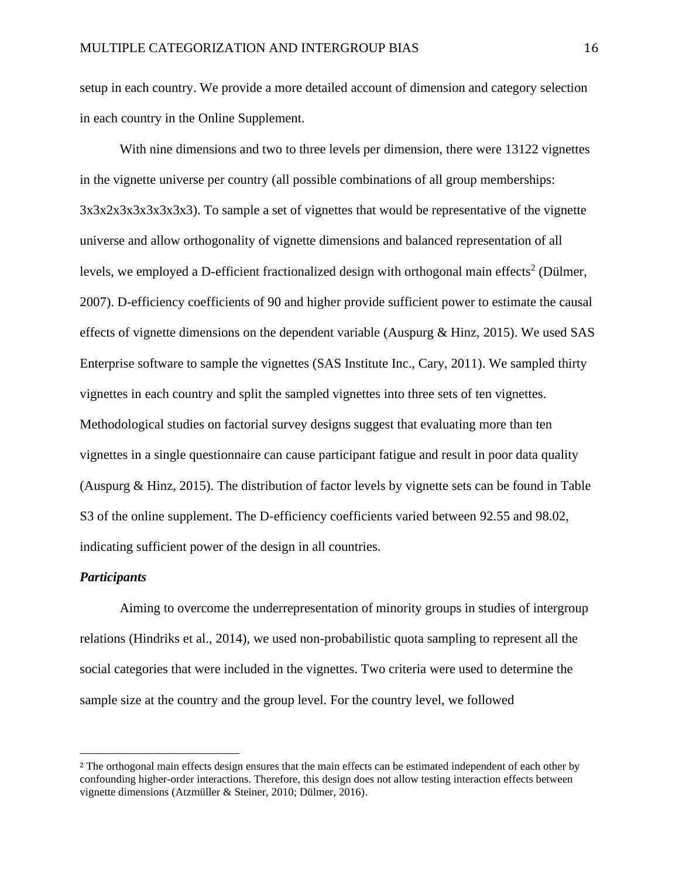setup in each country. We provide a more detailed account of dimension and category selection in each country in the Online Supplement.

With nine dimensions and two to three levels per dimension, there were 13122 vignettes in the vignette universe per country (all possible combinations of all group memberships: 3x3x2x3x3x3x3x3x3). To sample a set of vignettes that would be representative of the vignette universe and allow orthogonality of vignette dimensions and balanced representation of all levels, we employed a D-efficient fractionalized design with orthogonal main effects<sup>2</sup> (Dülmer, 2007). D-efficiency coefficients of 90 and higher provide sufficient power to estimate the causal effects of vignette dimensions on the dependent variable (Auspurg & Hinz, 2015). We used SAS Enterprise software to sample the vignettes (SAS Institute Inc., Cary, 2011). We sampled thirty vignettes in each country and split the sampled vignettes into three sets of ten vignettes. Methodological studies on factorial survey designs suggest that evaluating more than ten vignettes in a single questionnaire can cause participant fatigue and result in poor data quality (Auspurg & Hinz, 2015). The distribution of factor levels by vignette sets can be found in Table S3 of the online supplement. The D-efficiency coefficients varied between 92.55 and 98.02, indicating sufficient power of the design in all countries.

#### *Participants*

Aiming to overcome the underrepresentation of minority groups in studies of intergroup relations (Hindriks et al., 2014), we used non-probabilistic quota sampling to represent all the social categories that were included in the vignettes. Two criteria were used to determine the sample size at the country and the group level. For the country level, we followed

<sup>&</sup>lt;sup>2</sup> The orthogonal main effects design ensures that the main effects can be estimated independent of each other by confounding higher-order interactions. Therefore, this design does not allow testing interaction effects between vignette dimensions (Atzmüller & Steiner, 2010; Dülmer, 2016).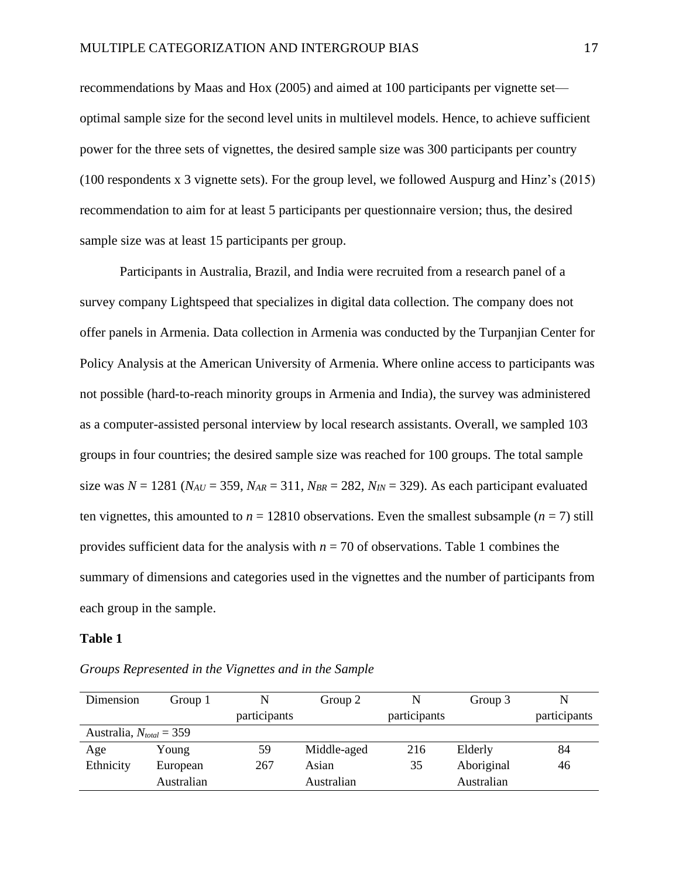recommendations by Maas and Hox (2005) and aimed at 100 participants per vignette set optimal sample size for the second level units in multilevel models. Hence, to achieve sufficient power for the three sets of vignettes, the desired sample size was 300 participants per country (100 respondents x 3 vignette sets). For the group level, we followed Auspurg and Hinz's (2015) recommendation to aim for at least 5 participants per questionnaire version; thus, the desired sample size was at least 15 participants per group.

Participants in Australia, Brazil, and India were recruited from a research panel of a survey company Lightspeed that specializes in digital data collection. The company does not offer panels in Armenia. Data collection in Armenia was conducted by the Turpanjian Center for Policy Analysis at the American University of Armenia. Where online access to participants was not possible (hard-to-reach minority groups in Armenia and India), the survey was administered as a computer-assisted personal interview by local research assistants. Overall, we sampled 103 groups in four countries; the desired sample size was reached for 100 groups. The total sample size was  $N = 1281$  ( $N_{AU} = 359$ ,  $N_{AR} = 311$ ,  $N_{BR} = 282$ ,  $N_{IN} = 329$ ). As each participant evaluated ten vignettes, this amounted to  $n = 12810$  observations. Even the smallest subsample ( $n = 7$ ) still provides sufficient data for the analysis with *n* = 70 of observations. Table 1 combines the summary of dimensions and categories used in the vignettes and the number of participants from each group in the sample.

#### **Table 1**

*Groups Represented in the Vignettes and in the Sample* 

| Dimension                    | Group 1    |              | Group 2     | N            | Group 3    | N            |
|------------------------------|------------|--------------|-------------|--------------|------------|--------------|
|                              |            | participants |             | participants |            | participants |
| Australia, $N_{total} = 359$ |            |              |             |              |            |              |
| Age                          | Young      | 59           | Middle-aged | 216          | Elderly    | 84           |
| Ethnicity                    | European   | 267          | Asian       | 35           | Aboriginal | 46           |
|                              | Australian |              | Australian  |              | Australian |              |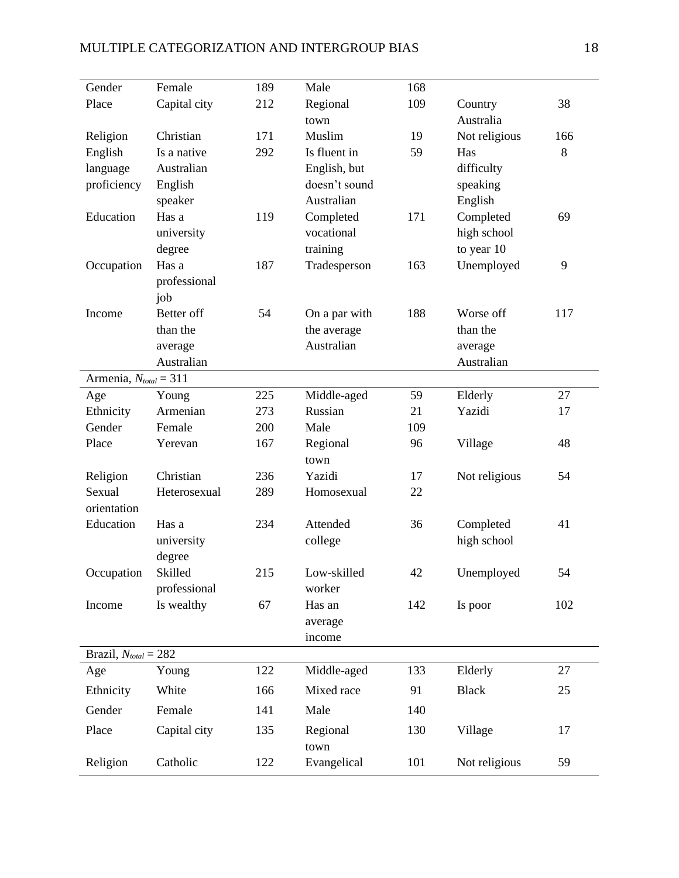| Gender                     | Female       | 189 | Male          | 168 |               |     |
|----------------------------|--------------|-----|---------------|-----|---------------|-----|
| Place                      | Capital city | 212 | Regional      | 109 | Country       | 38  |
|                            |              |     | town          |     | Australia     |     |
| Religion                   | Christian    | 171 | Muslim        | 19  | Not religious | 166 |
| English                    | Is a native  | 292 | Is fluent in  | 59  | Has           | 8   |
| language                   | Australian   |     | English, but  |     | difficulty    |     |
| proficiency                | English      |     | doesn't sound |     | speaking      |     |
|                            | speaker      |     | Australian    |     | English       |     |
| Education                  | Has a        | 119 | Completed     | 171 | Completed     | 69  |
|                            | university   |     | vocational    |     | high school   |     |
|                            | degree       |     | training      |     | to year 10    |     |
| Occupation                 | Has a        | 187 | Tradesperson  | 163 | Unemployed    | 9   |
|                            | professional |     |               |     |               |     |
|                            | job          |     |               |     |               |     |
| Income                     | Better off   | 54  | On a par with | 188 | Worse off     | 117 |
|                            | than the     |     | the average   |     | than the      |     |
|                            | average      |     | Australian    |     | average       |     |
|                            | Australian   |     |               |     | Australian    |     |
| Armenia, $N_{total} = 311$ |              |     |               |     |               |     |
| Age                        | Young        | 225 | Middle-aged   | 59  | Elderly       | 27  |
| Ethnicity                  | Armenian     | 273 | Russian       | 21  | Yazidi        | 17  |
| Gender                     | Female       | 200 | Male          | 109 |               |     |
| Place                      | Yerevan      | 167 | Regional      | 96  | Village       | 48  |
|                            |              |     | town          |     |               |     |
| Religion                   | Christian    | 236 | Yazidi        | 17  | Not religious | 54  |
| Sexual                     | Heterosexual | 289 | Homosexual    | 22  |               |     |
| orientation                |              |     |               |     |               |     |
| Education                  | Has a        | 234 | Attended      | 36  | Completed     | 41  |
|                            | university   |     | college       |     | high school   |     |
|                            | degree       |     |               |     |               |     |
| Occupation                 | Skilled      | 215 | Low-skilled   | 42  | Unemployed    | 54  |
|                            | professional |     | worker        |     |               |     |
| Income                     | Is wealthy   | 67  | Has an        | 142 | Is poor       | 102 |
|                            |              |     | average       |     |               |     |
|                            |              |     | income        |     |               |     |
| Brazil, $N_{total} = 282$  |              |     |               |     |               |     |
| Age                        | Young        | 122 | Middle-aged   | 133 | Elderly       | 27  |
| Ethnicity                  | White        | 166 | Mixed race    | 91  | <b>Black</b>  | 25  |
| Gender                     | Female       | 141 | Male          | 140 |               |     |
| Place                      | Capital city | 135 | Regional      | 130 | Village       | 17  |
|                            |              |     | town          |     |               |     |
| Religion                   | Catholic     | 122 | Evangelical   | 101 | Not religious | 59  |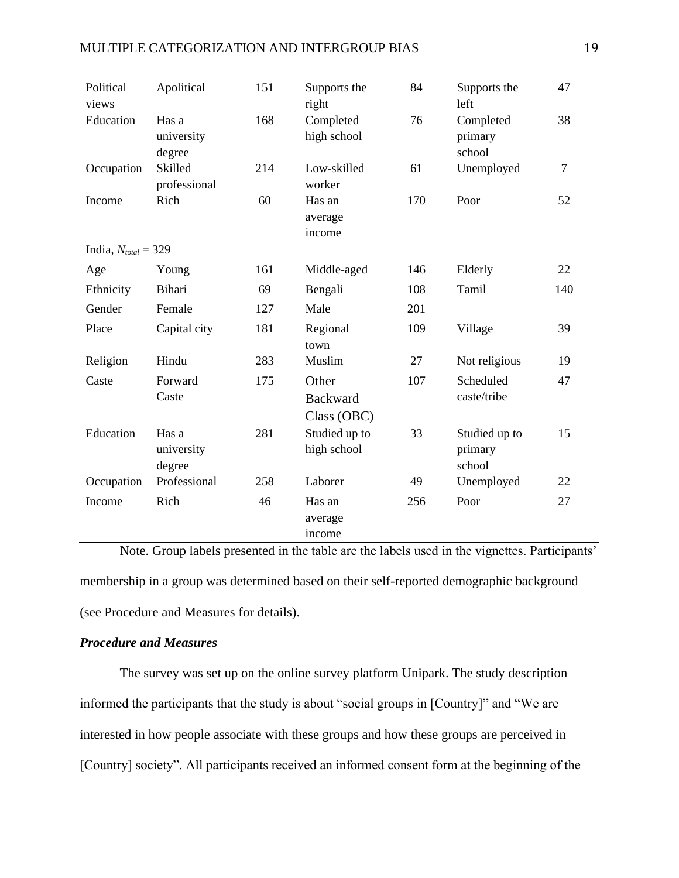| Political                | Apolitical   | 151 | Supports the    | 84  | Supports the  | 47             |
|--------------------------|--------------|-----|-----------------|-----|---------------|----------------|
| views                    |              |     | right           |     | left          |                |
| Education                | Has a        | 168 | Completed       | 76  | Completed     | 38             |
|                          | university   |     | high school     |     | primary       |                |
|                          | degree       |     |                 |     | school        |                |
| Occupation               | Skilled      | 214 | Low-skilled     | 61  | Unemployed    | $\overline{7}$ |
|                          | professional |     | worker          |     |               |                |
| Income                   | Rich         | 60  | Has an          | 170 | Poor          | 52             |
|                          |              |     | average         |     |               |                |
|                          |              |     | income          |     |               |                |
| India, $N_{total} = 329$ |              |     |                 |     |               |                |
| Age                      | Young        | 161 | Middle-aged     | 146 | Elderly       | 22             |
| Ethnicity                | Bihari       | 69  | Bengali         | 108 | Tamil         | 140            |
| Gender                   | Female       | 127 | Male            | 201 |               |                |
| Place                    | Capital city | 181 | Regional        | 109 | Village       | 39             |
|                          |              |     | town            |     |               |                |
| Religion                 | Hindu        | 283 | Muslim          | 27  | Not religious | 19             |
| Caste                    | Forward      | 175 | Other           | 107 | Scheduled     | 47             |
|                          | Caste        |     | <b>Backward</b> |     | caste/tribe   |                |
|                          |              |     | Class (OBC)     |     |               |                |
| Education                | Has a        | 281 | Studied up to   | 33  | Studied up to | 15             |
|                          | university   |     | high school     |     | primary       |                |
|                          | degree       |     |                 |     | school        |                |
| Occupation               | Professional | 258 | Laborer         | 49  | Unemployed    | 22             |
| Income                   | Rich         | 46  | Has an          | 256 | Poor          | 27             |
|                          |              |     | average         |     |               |                |
|                          |              |     | income          |     |               |                |

Note. Group labels presented in the table are the labels used in the vignettes. Participants' membership in a group was determined based on their self-reported demographic background (see Procedure and Measures for details).

## *Procedure and Measures*

The survey was set up on the online survey platform Unipark. The study description informed the participants that the study is about "social groups in [Country]" and "We are interested in how people associate with these groups and how these groups are perceived in [Country] society". All participants received an informed consent form at the beginning of the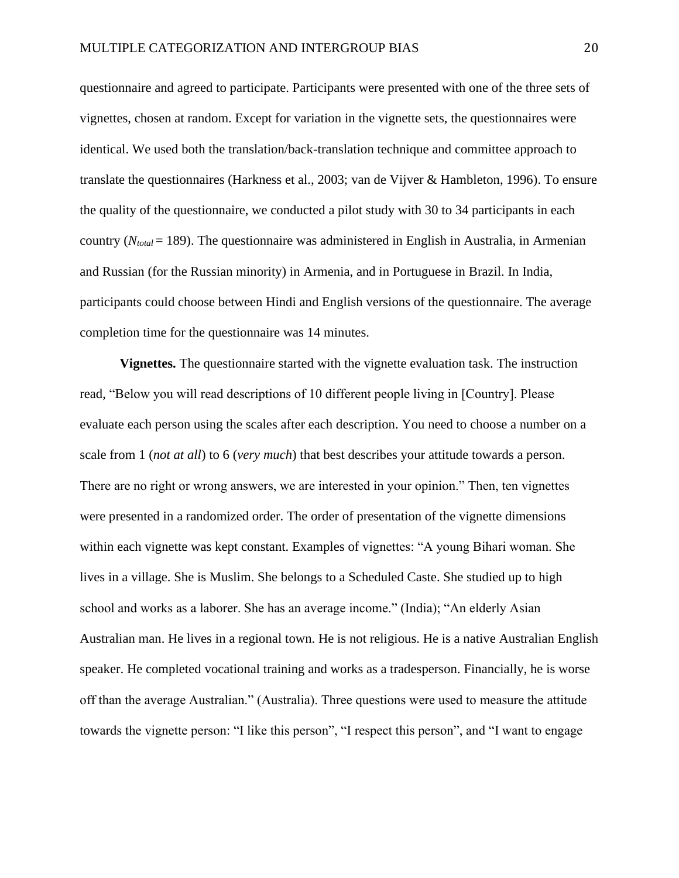questionnaire and agreed to participate. Participants were presented with one of the three sets of vignettes, chosen at random. Except for variation in the vignette sets, the questionnaires were identical. We used both the translation/back-translation technique and committee approach to translate the questionnaires (Harkness et al., 2003; van de Vijver & Hambleton, 1996). To ensure the quality of the questionnaire, we conducted a pilot study with 30 to 34 participants in each country (*Ntotal* = 189). The questionnaire was administered in English in Australia, in Armenian and Russian (for the Russian minority) in Armenia, and in Portuguese in Brazil. In India, participants could choose between Hindi and English versions of the questionnaire. The average completion time for the questionnaire was 14 minutes.

**Vignettes.** The questionnaire started with the vignette evaluation task. The instruction read, "Below you will read descriptions of 10 different people living in [Country]. Please evaluate each person using the scales after each description. You need to choose a number on a scale from 1 (*not at all*) to 6 (*very much*) that best describes your attitude towards a person. There are no right or wrong answers, we are interested in your opinion." Then, ten vignettes were presented in a randomized order. The order of presentation of the vignette dimensions within each vignette was kept constant. Examples of vignettes: "A young Bihari woman. She lives in a village. She is Muslim. She belongs to a Scheduled Caste. She studied up to high school and works as a laborer. She has an average income." (India); "An elderly Asian Australian man. He lives in a regional town. He is not religious. He is a native Australian English speaker. He completed vocational training and works as a tradesperson. Financially, he is worse off than the average Australian." (Australia). Three questions were used to measure the attitude towards the vignette person: "I like this person", "I respect this person", and "I want to engage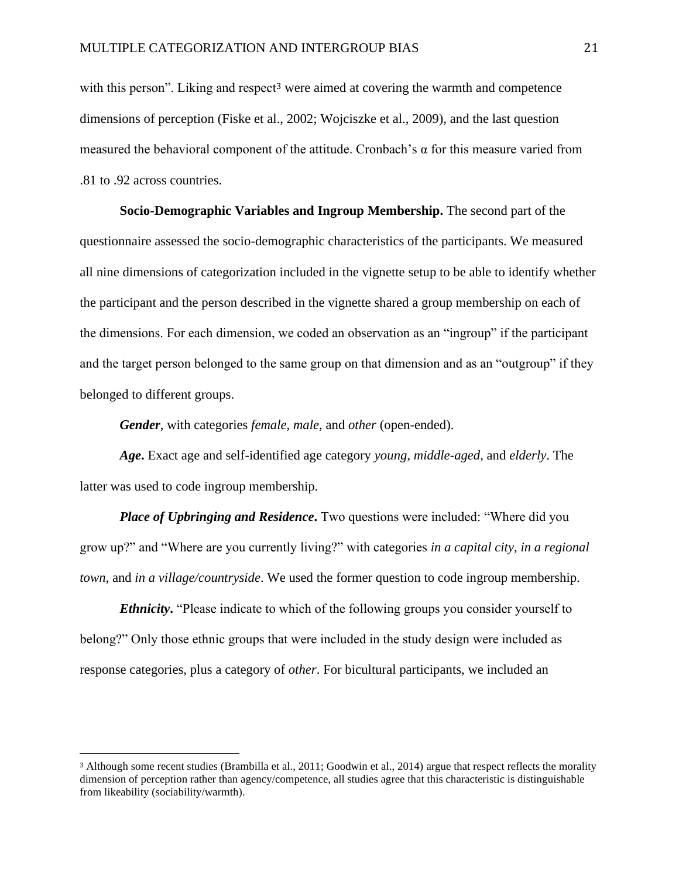with this person". Liking and respect<sup>3</sup> were aimed at covering the warmth and competence dimensions of perception (Fiske et al., 2002; Wojciszke et al., 2009), and the last question measured the behavioral component of the attitude. Cronbach's  $\alpha$  for this measure varied from .81 to .92 across countries.

**Socio-Demographic Variables and Ingroup Membership.** The second part of the questionnaire assessed the socio-demographic characteristics of the participants. We measured all nine dimensions of categorization included in the vignette setup to be able to identify whether the participant and the person described in the vignette shared a group membership on each of the dimensions. For each dimension, we coded an observation as an "ingroup" if the participant and the target person belonged to the same group on that dimension and as an "outgroup" if they belonged to different groups.

*Gender*, with categories *female*, *male*, and *other* (open-ended).

*Age***.** Exact age and self-identified age category *young*, *middle-aged*, and *elderly*. The latter was used to code ingroup membership.

*Place of Upbringing and Residence***.** Two questions were included: "Where did you grow up?" and "Where are you currently living?" with categories *in a capital city*, *in a regional town*, and *in a village/countryside*. We used the former question to code ingroup membership.

*Ethnicity***.** "Please indicate to which of the following groups you consider yourself to belong?" Only those ethnic groups that were included in the study design were included as response categories, plus a category of *other*. For bicultural participants, we included an

<sup>3</sup> Although some recent studies (Brambilla et al., 2011; Goodwin et al., 2014) argue that respect reflects the morality dimension of perception rather than agency/competence, all studies agree that this characteristic is distinguishable from likeability (sociability/warmth).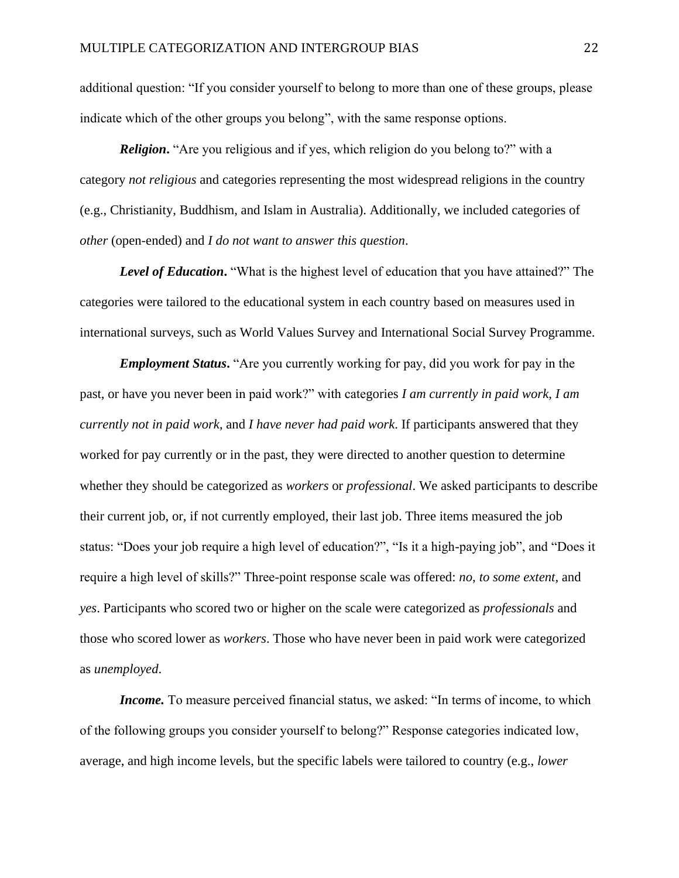additional question: "If you consider yourself to belong to more than one of these groups, please indicate which of the other groups you belong", with the same response options.

*Religion***.** "Are you religious and if yes, which religion do you belong to?" with a category *not religious* and categories representing the most widespread religions in the country (e.g., Christianity, Buddhism, and Islam in Australia). Additionally, we included categories of *other* (open-ended) and *I do not want to answer this question*.

**Level of Education.** "What is the highest level of education that you have attained?" The categories were tailored to the educational system in each country based on measures used in international surveys, such as World Values Survey and International Social Survey Programme.

*Employment Status***.** "Are you currently working for pay, did you work for pay in the past, or have you never been in paid work?" with categories *I am currently in paid work*, *I am currently not in paid work*, and *I have never had paid work*. If participants answered that they worked for pay currently or in the past, they were directed to another question to determine whether they should be categorized as *workers* or *professional*. We asked participants to describe their current job, or, if not currently employed, their last job. Three items measured the job status: "Does your job require a high level of education?", "Is it a high-paying job", and "Does it require a high level of skills?" Three-point response scale was offered: *no*, *to some extent*, and *yes*. Participants who scored two or higher on the scale were categorized as *professionals* and those who scored lower as *workers*. Those who have never been in paid work were categorized as *unemployed*.

*Income*. To measure perceived financial status, we asked: "In terms of income, to which of the following groups you consider yourself to belong?" Response categories indicated low, average, and high income levels, but the specific labels were tailored to country (e.g., *lower*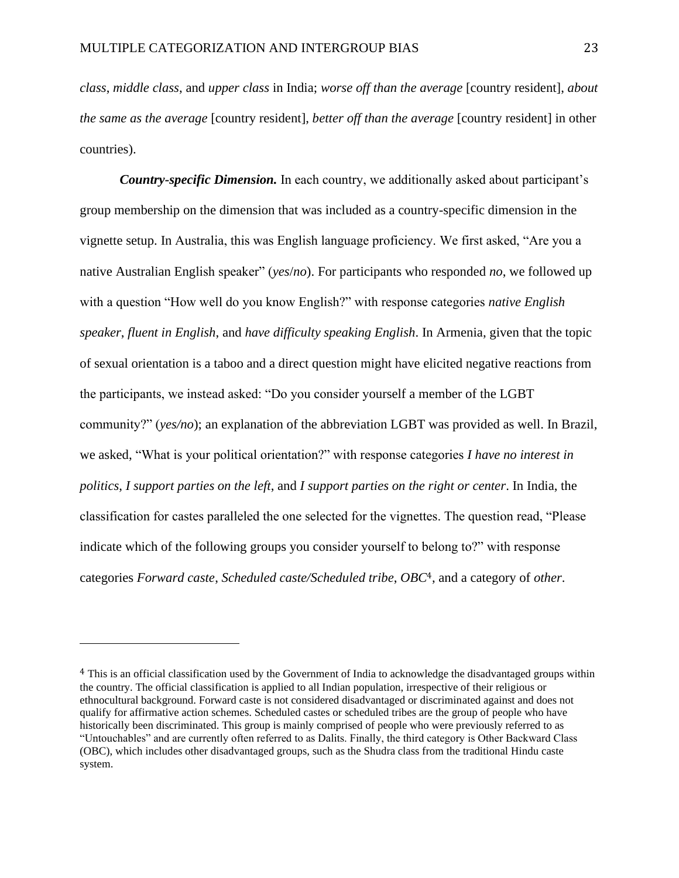*class*, *middle class*, and *upper class* in India; *worse off than the average* [country resident], *about the same as the average* [country resident], *better off than the average* [country resident] in other countries).

*Country-specific Dimension.* In each country, we additionally asked about participant's group membership on the dimension that was included as a country-specific dimension in the vignette setup. In Australia, this was English language proficiency. We first asked, "Are you a native Australian English speaker" (*yes*/*no*). For participants who responded *no*, we followed up with a question "How well do you know English?" with response categories *native English speaker*, *fluent in English*, and *have difficulty speaking English*. In Armenia, given that the topic of sexual orientation is a taboo and a direct question might have elicited negative reactions from the participants, we instead asked: "Do you consider yourself a member of the LGBT community?" (*yes/no*); an explanation of the abbreviation LGBT was provided as well. In Brazil, we asked, "What is your political orientation?" with response categories *I have no interest in politics*, *I support parties on the left*, and *I support parties on the right or center*. In India, the classification for castes paralleled the one selected for the vignettes. The question read, "Please indicate which of the following groups you consider yourself to belong to?" with response categories *Forward caste*, *Scheduled caste/Scheduled tribe*, *OBC*4, and a category of *other*.

<sup>4</sup> This is an official classification used by the Government of India to acknowledge the disadvantaged groups within the country. The official classification is applied to all Indian population, irrespective of their religious or ethnocultural background. Forward caste is not considered disadvantaged or discriminated against and does not qualify for affirmative action schemes. Scheduled castes or scheduled tribes are the group of people who have historically been discriminated. This group is mainly comprised of people who were previously referred to as "Untouchables" and are currently often referred to as Dalits. Finally, the third category is Other Backward Class (OBC), which includes other disadvantaged groups, such as the Shudra class from the traditional Hindu caste system.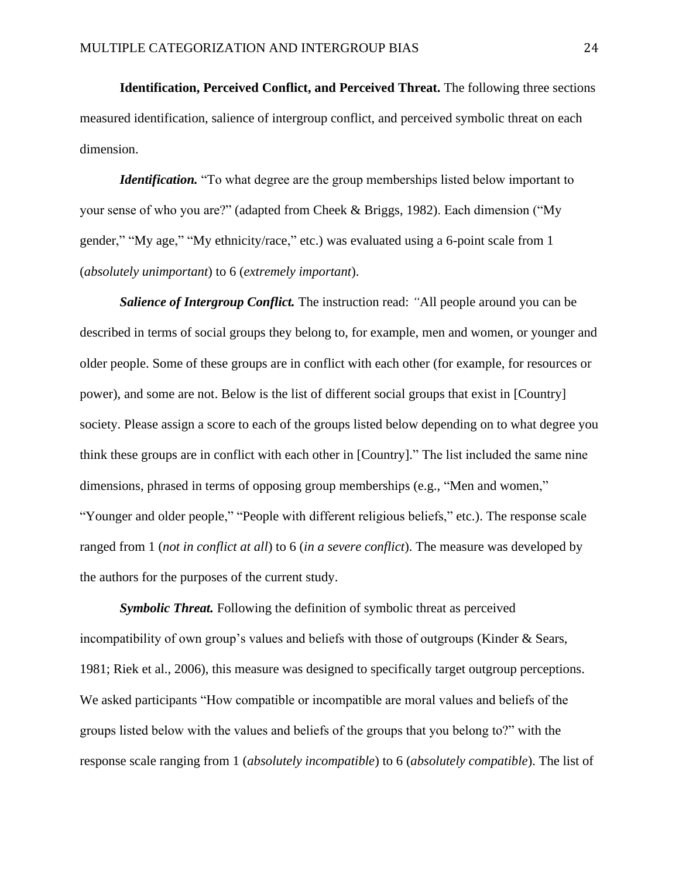**Identification, Perceived Conflict, and Perceived Threat.** The following three sections measured identification, salience of intergroup conflict, and perceived symbolic threat on each dimension.

*Identification.* "To what degree are the group memberships listed below important to your sense of who you are?" (adapted from Cheek & Briggs, 1982). Each dimension ("My gender," "My age," "My ethnicity/race," etc.) was evaluated using a 6-point scale from 1 (*absolutely unimportant*) to 6 (*extremely important*).

*Salience of Intergroup Conflict.* The instruction read: *"*All people around you can be described in terms of social groups they belong to, for example, men and women, or younger and older people. Some of these groups are in conflict with each other (for example, for resources or power), and some are not. Below is the list of different social groups that exist in [Country] society. Please assign a score to each of the groups listed below depending on to what degree you think these groups are in conflict with each other in [Country]." The list included the same nine dimensions, phrased in terms of opposing group memberships (e.g., "Men and women," "Younger and older people," "People with different religious beliefs," etc.). The response scale ranged from 1 (*not in conflict at all*) to 6 (*in a severe conflict*). The measure was developed by the authors for the purposes of the current study.

*Symbolic Threat.* Following the definition of symbolic threat as perceived incompatibility of own group's values and beliefs with those of outgroups (Kinder & Sears, 1981; Riek et al., 2006), this measure was designed to specifically target outgroup perceptions. We asked participants "How compatible or incompatible are moral values and beliefs of the groups listed below with the values and beliefs of the groups that you belong to?" with the response scale ranging from 1 (*absolutely incompatible*) to 6 (*absolutely compatible*). The list of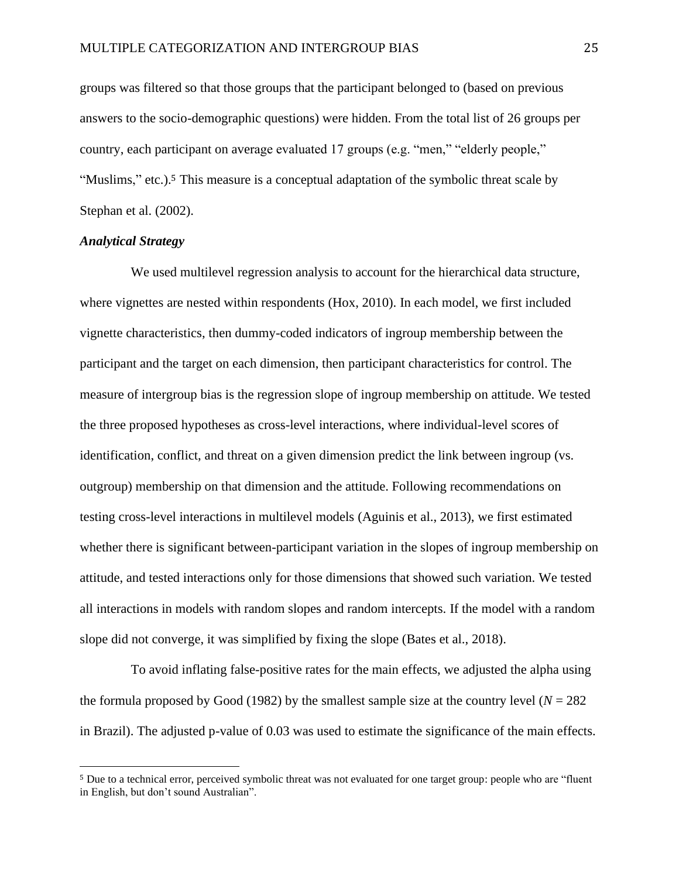groups was filtered so that those groups that the participant belonged to (based on previous answers to the socio-demographic questions) were hidden. From the total list of 26 groups per country, each participant on average evaluated 17 groups (e.g. "men," "elderly people," "Muslims," etc.).<sup>5</sup> This measure is a conceptual adaptation of the symbolic threat scale by Stephan et al. (2002).

## *Analytical Strategy*

We used multilevel regression analysis to account for the hierarchical data structure, where vignettes are nested within respondents (Hox, 2010). In each model, we first included vignette characteristics, then dummy-coded indicators of ingroup membership between the participant and the target on each dimension, then participant characteristics for control. The measure of intergroup bias is the regression slope of ingroup membership on attitude. We tested the three proposed hypotheses as cross-level interactions, where individual-level scores of identification, conflict, and threat on a given dimension predict the link between ingroup (vs. outgroup) membership on that dimension and the attitude. Following recommendations on testing cross-level interactions in multilevel models (Aguinis et al., 2013), we first estimated whether there is significant between-participant variation in the slopes of ingroup membership on attitude, and tested interactions only for those dimensions that showed such variation. We tested all interactions in models with random slopes and random intercepts. If the model with a random slope did not converge, it was simplified by fixing the slope (Bates et al., 2018).

To avoid inflating false-positive rates for the main effects, we adjusted the alpha using the formula proposed by Good (1982) by the smallest sample size at the country level ( $N = 282$ ) in Brazil). The adjusted p-value of 0.03 was used to estimate the significance of the main effects.

<sup>5</sup> Due to a technical error, perceived symbolic threat was not evaluated for one target group: people who are "fluent in English, but don't sound Australian".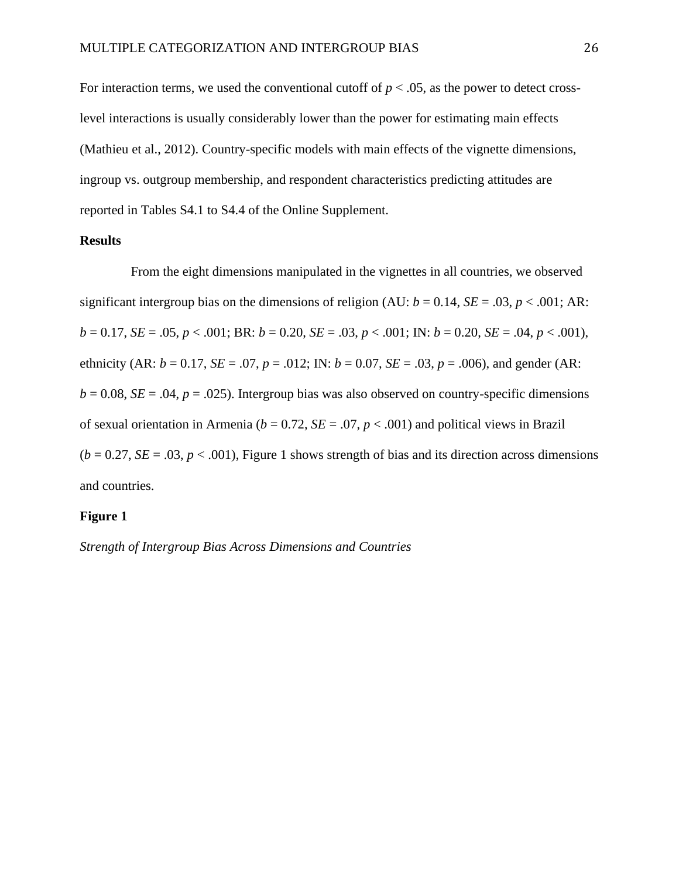For interaction terms, we used the conventional cutoff of  $p < .05$ , as the power to detect crosslevel interactions is usually considerably lower than the power for estimating main effects (Mathieu et al., 2012). Country-specific models with main effects of the vignette dimensions, ingroup vs. outgroup membership, and respondent characteristics predicting attitudes are reported in Tables S4.1 to S4.4 of the Online Supplement.

#### **Results**

From the eight dimensions manipulated in the vignettes in all countries, we observed significant intergroup bias on the dimensions of religion (AU:  $b = 0.14$ ,  $SE = .03$ ,  $p < .001$ ; AR: *b* = 0.17, *SE* = .05, *p* < .001; BR: *b* = 0.20, *SE* = .03, *p* < .001; IN: *b* = 0.20, *SE* = .04, *p* < .001), ethnicity (AR:  $b = 0.17$ , *SE* = .07,  $p = .012$ ; IN:  $b = 0.07$ , *SE* = .03,  $p = .006$ ), and gender (AR:  $b = 0.08$ ,  $SE = .04$ ,  $p = .025$ ). Intergroup bias was also observed on country-specific dimensions of sexual orientation in Armenia ( $b = 0.72$ ,  $SE = .07$ ,  $p < .001$ ) and political views in Brazil  $(b = 0.27, SE = .03, p < .001)$ , Figure 1 shows strength of bias and its direction across dimensions and countries.

#### **Figure 1**

*Strength of Intergroup Bias Across Dimensions and Countries*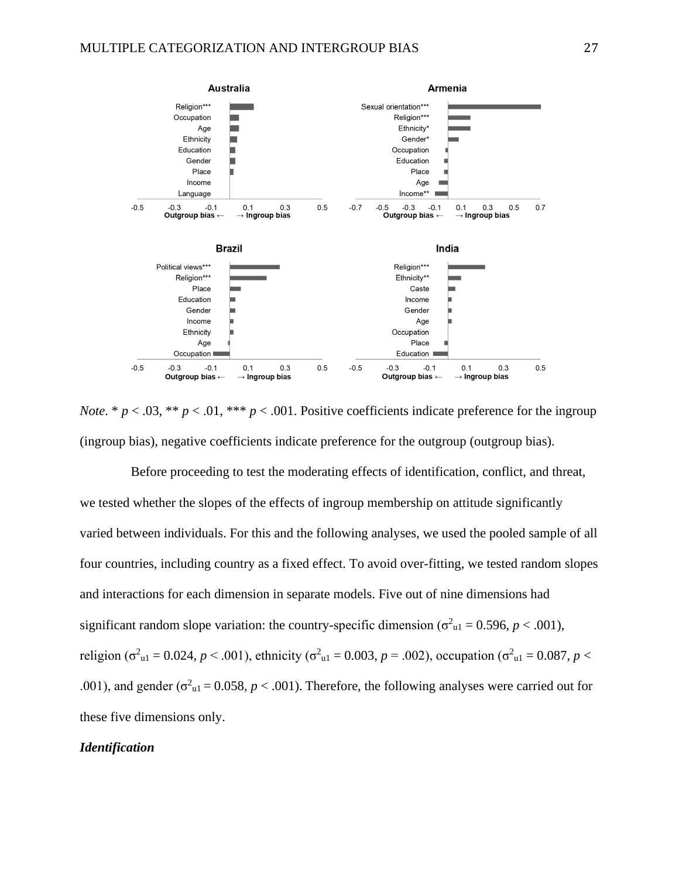

*Note*. \*  $p < .03$ , \*\*  $p < .01$ , \*\*\*  $p < .001$ . Positive coefficients indicate preference for the ingroup (ingroup bias), negative coefficients indicate preference for the outgroup (outgroup bias).

Before proceeding to test the moderating effects of identification, conflict, and threat, we tested whether the slopes of the effects of ingroup membership on attitude significantly varied between individuals. For this and the following analyses, we used the pooled sample of all four countries, including country as a fixed effect. To avoid over-fitting, we tested random slopes and interactions for each dimension in separate models. Five out of nine dimensions had significant random slope variation: the country-specific dimension ( $\sigma_{ul}^2 = 0.596$ ,  $p < .001$ ), religion (σ<sup>2</sup><sub>u1</sub> = 0.024, *p* < .001), ethnicity (σ<sup>2</sup><sub>u1</sub> = 0.003, *p* = .002), occupation (σ<sup>2</sup><sub>u1</sub> = 0.087, *p* < .001), and gender ( $\sigma_{ul}^2 = 0.058$ ,  $p < .001$ ). Therefore, the following analyses were carried out for these five dimensions only.

#### *Identification*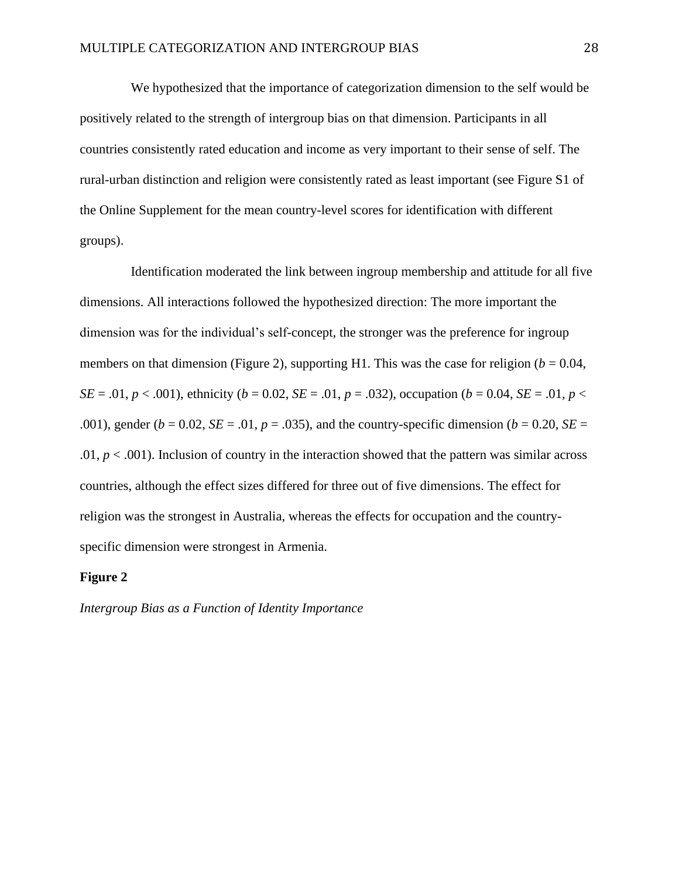We hypothesized that the importance of categorization dimension to the self would be positively related to the strength of intergroup bias on that dimension. Participants in all countries consistently rated education and income as very important to their sense of self. The rural-urban distinction and religion were consistently rated as least important (see Figure S1 of the Online Supplement for the mean country-level scores for identification with different groups).

Identification moderated the link between ingroup membership and attitude for all five dimensions. All interactions followed the hypothesized direction: The more important the dimension was for the individual's self-concept, the stronger was the preference for ingroup members on that dimension (Figure 2), supporting H1. This was the case for religion ( $b = 0.04$ , *SE* = .01, *p* < .001), ethnicity (*b* = 0.02, *SE* = .01, *p* = .032), occupation (*b* = 0.04, *SE* = .01, *p* < .001), gender ( $b = 0.02$ ,  $SE = .01$ ,  $p = .035$ ), and the country-specific dimension ( $b = 0.20$ ,  $SE =$ .01,  $p < .001$ ). Inclusion of country in the interaction showed that the pattern was similar across countries, although the effect sizes differed for three out of five dimensions. The effect for religion was the strongest in Australia, whereas the effects for occupation and the countryspecific dimension were strongest in Armenia.

#### **Figure 2**

*Intergroup Bias as a Function of Identity Importance*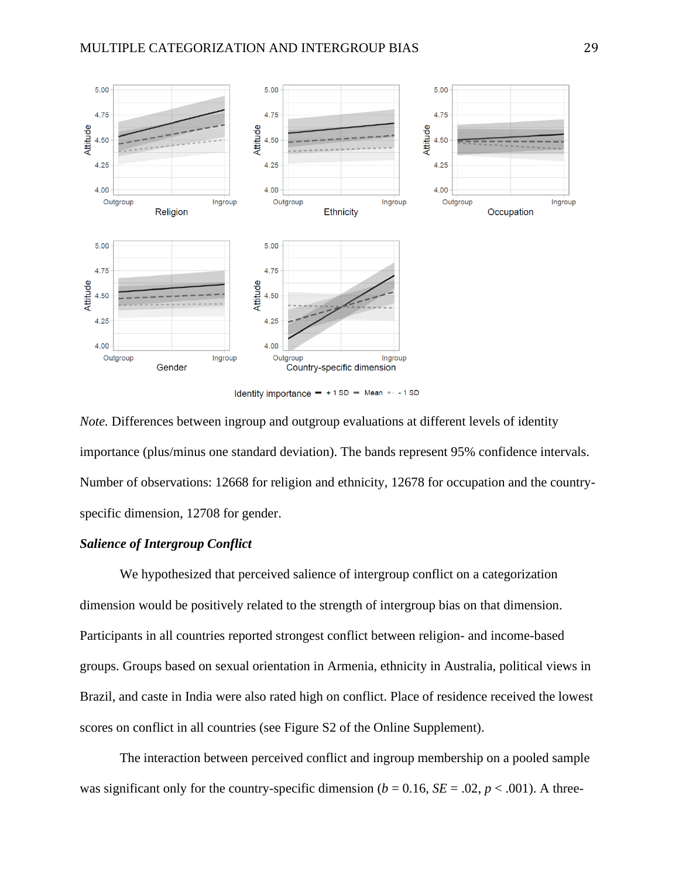

*Note.* Differences between ingroup and outgroup evaluations at different levels of identity importance (plus/minus one standard deviation). The bands represent 95% confidence intervals. Number of observations: 12668 for religion and ethnicity, 12678 for occupation and the countryspecific dimension, 12708 for gender.

## *Salience of Intergroup Conflict*

We hypothesized that perceived salience of intergroup conflict on a categorization dimension would be positively related to the strength of intergroup bias on that dimension. Participants in all countries reported strongest conflict between religion- and income-based groups. Groups based on sexual orientation in Armenia, ethnicity in Australia, political views in Brazil, and caste in India were also rated high on conflict. Place of residence received the lowest scores on conflict in all countries (see Figure S2 of the Online Supplement).

The interaction between perceived conflict and ingroup membership on a pooled sample was significant only for the country-specific dimension ( $b = 0.16$ ,  $SE = .02$ ,  $p < .001$ ). A three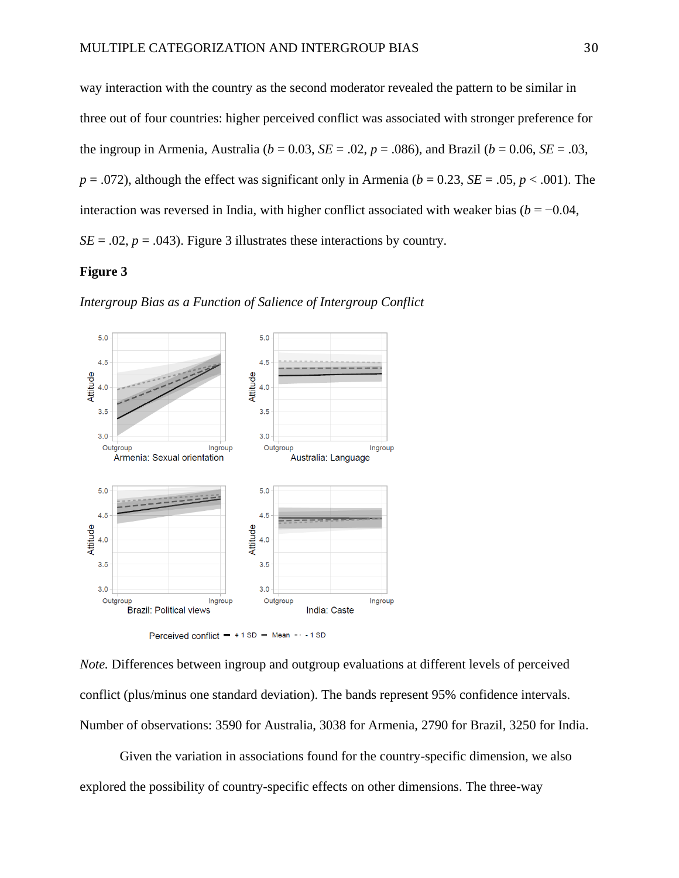way interaction with the country as the second moderator revealed the pattern to be similar in three out of four countries: higher perceived conflict was associated with stronger preference for the ingroup in Armenia, Australia ( $b = 0.03$ ,  $SE = .02$ ,  $p = .086$ ), and Brazil ( $b = 0.06$ ,  $SE = .03$ ,  $p = .072$ ), although the effect was significant only in Armenia ( $b = 0.23$ ,  $SE = .05$ ,  $p < .001$ ). The interaction was reversed in India, with higher conflict associated with weaker bias ( $b = -0.04$ ,  $SE = .02$ ,  $p = .043$ ). Figure 3 illustrates these interactions by country.

#### **Figure 3**

*Intergroup Bias as a Function of Salience of Intergroup Conflict*



*Note.* Differences between ingroup and outgroup evaluations at different levels of perceived conflict (plus/minus one standard deviation). The bands represent 95% confidence intervals. Number of observations: 3590 for Australia, 3038 for Armenia, 2790 for Brazil, 3250 for India.

Given the variation in associations found for the country-specific dimension, we also explored the possibility of country-specific effects on other dimensions. The three-way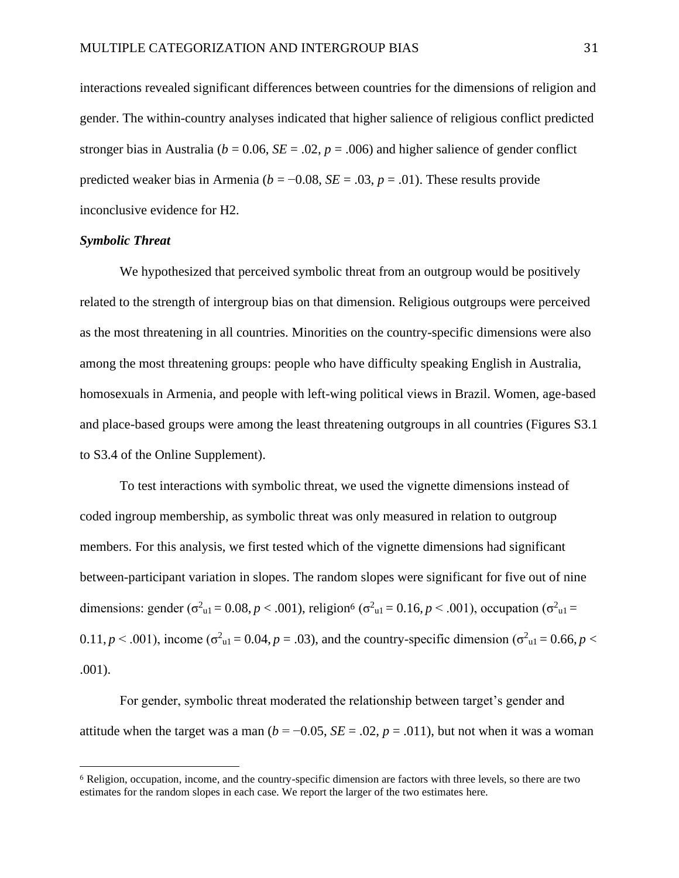interactions revealed significant differences between countries for the dimensions of religion and gender. The within-country analyses indicated that higher salience of religious conflict predicted stronger bias in Australia ( $b = 0.06$ ,  $SE = .02$ ,  $p = .006$ ) and higher salience of gender conflict predicted weaker bias in Armenia ( $b = -0.08$ ,  $SE = .03$ ,  $p = .01$ ). These results provide inconclusive evidence for H2.

#### *Symbolic Threat*

We hypothesized that perceived symbolic threat from an outgroup would be positively related to the strength of intergroup bias on that dimension. Religious outgroups were perceived as the most threatening in all countries. Minorities on the country-specific dimensions were also among the most threatening groups: people who have difficulty speaking English in Australia, homosexuals in Armenia, and people with left-wing political views in Brazil. Women, age-based and place-based groups were among the least threatening outgroups in all countries (Figures S3.1 to S3.4 of the Online Supplement).

To test interactions with symbolic threat, we used the vignette dimensions instead of coded ingroup membership, as symbolic threat was only measured in relation to outgroup members. For this analysis, we first tested which of the vignette dimensions had significant between-participant variation in slopes. The random slopes were significant for five out of nine dimensions: gender ( $\sigma_{ul}^2 = 0.08, p < .001$ ), religion<sup>6</sup> ( $\sigma_{ul}^2 = 0.16, p < .001$ ), occupation ( $\sigma_{ul}^2 =$ 0.11,  $p < .001$ ), income ( $\sigma_{ul}^2 = 0.04$ ,  $p = .03$ ), and the country-specific dimension ( $\sigma_{ul}^2 = 0.66$ ,  $p <$ .001).

For gender, symbolic threat moderated the relationship between target's gender and attitude when the target was a man  $(b = -0.05, SE = .02, p = .011)$ , but not when it was a woman

<sup>6</sup> Religion, occupation, income, and the country-specific dimension are factors with three levels, so there are two estimates for the random slopes in each case. We report the larger of the two estimates here.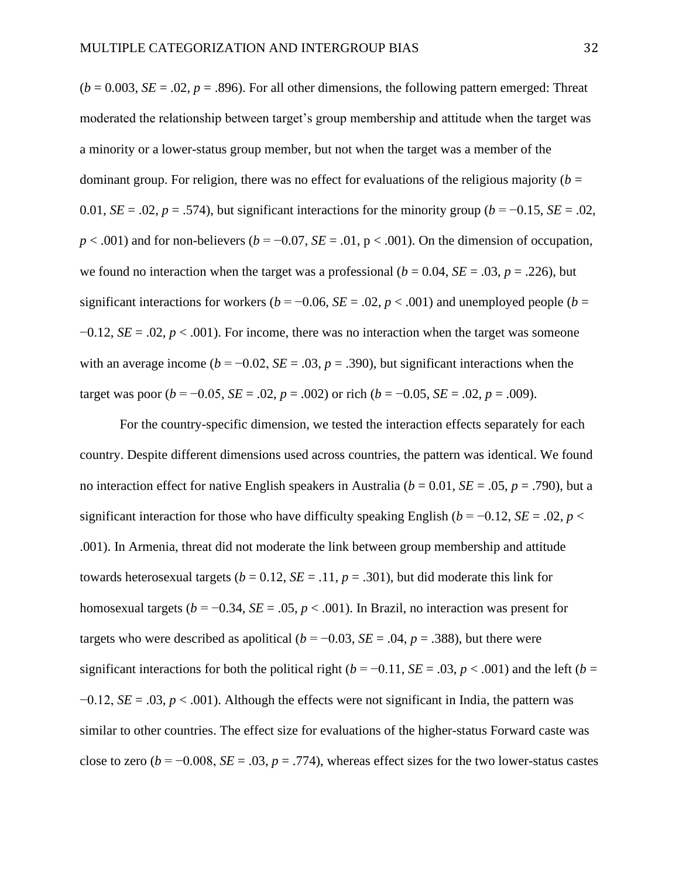$(b = 0.003, SE = .02, p = .896)$ . For all other dimensions, the following pattern emerged: Threat moderated the relationship between target's group membership and attitude when the target was a minority or a lower-status group member, but not when the target was a member of the dominant group. For religion, there was no effect for evaluations of the religious majority ( $b =$ 0.01,  $SE = .02$ ,  $p = .574$ ), but significant interactions for the minority group ( $b = -0.15$ ,  $SE = .02$ ,  $p < .001$ ) and for non-believers ( $b = -0.07$ ,  $SE = .01$ ,  $p < .001$ ). On the dimension of occupation, we found no interaction when the target was a professional ( $b = 0.04$ ,  $SE = .03$ ,  $p = .226$ ), but significant interactions for workers ( $b = -0.06$ ,  $SE = .02$ ,  $p < .001$ ) and unemployed people ( $b =$ −0.12, *SE* = .02, *p* < .001). For income, there was no interaction when the target was someone with an average income ( $b = -0.02$ ,  $SE = .03$ ,  $p = .390$ ), but significant interactions when the target was poor ( $b = -0.05$ ,  $SE = .02$ ,  $p = .002$ ) or rich ( $b = -0.05$ ,  $SE = .02$ ,  $p = .009$ ).

For the country-specific dimension, we tested the interaction effects separately for each country. Despite different dimensions used across countries, the pattern was identical. We found no interaction effect for native English speakers in Australia ( $b = 0.01$ ,  $SE = .05$ ,  $p = .790$ ), but a significant interaction for those who have difficulty speaking English ( $b = -0.12$ ,  $SE = .02$ ,  $p <$ .001). In Armenia, threat did not moderate the link between group membership and attitude towards heterosexual targets ( $b = 0.12$ ,  $SE = .11$ ,  $p = .301$ ), but did moderate this link for homosexual targets ( $b = -0.34$ ,  $SE = .05$ ,  $p < .001$ ). In Brazil, no interaction was present for targets who were described as apolitical ( $b = -0.03$ ,  $SE = .04$ ,  $p = .388$ ), but there were significant interactions for both the political right ( $b = -0.11$ , *SE* = .03,  $p < .001$ ) and the left ( $b =$ −0.12, *SE* = .03, *p* < .001). Although the effects were not significant in India, the pattern was similar to other countries. The effect size for evaluations of the higher-status Forward caste was close to zero  $(b = -0.008, SE = .03, p = .774)$ , whereas effect sizes for the two lower-status castes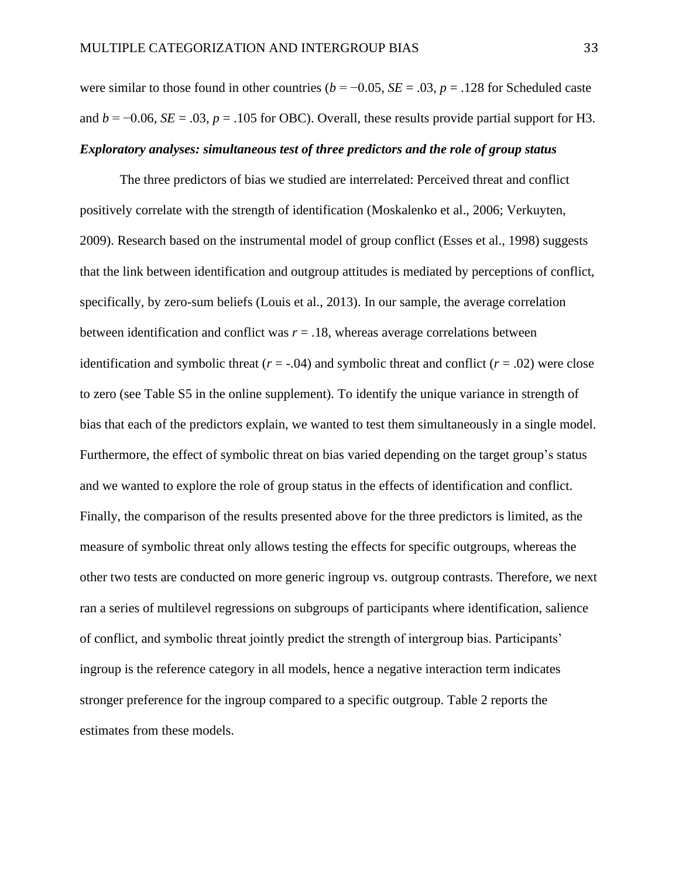The three predictors of bias we studied are interrelated: Perceived threat and conflict positively correlate with the strength of identification (Moskalenko et al., 2006; Verkuyten, 2009). Research based on the instrumental model of group conflict (Esses et al., 1998) suggests that the link between identification and outgroup attitudes is mediated by perceptions of conflict, specifically, by zero-sum beliefs (Louis et al., 2013). In our sample, the average correlation between identification and conflict was  $r = .18$ , whereas average correlations between identification and symbolic threat  $(r = -0.04)$  and symbolic threat and conflict  $(r = .02)$  were close to zero (see Table S5 in the online supplement). To identify the unique variance in strength of bias that each of the predictors explain, we wanted to test them simultaneously in a single model. Furthermore, the effect of symbolic threat on bias varied depending on the target group's status and we wanted to explore the role of group status in the effects of identification and conflict. Finally, the comparison of the results presented above for the three predictors is limited, as the measure of symbolic threat only allows testing the effects for specific outgroups, whereas the other two tests are conducted on more generic ingroup vs. outgroup contrasts. Therefore, we next ran a series of multilevel regressions on subgroups of participants where identification, salience of conflict, and symbolic threat jointly predict the strength of intergroup bias. Participants' ingroup is the reference category in all models, hence a negative interaction term indicates stronger preference for the ingroup compared to a specific outgroup. Table 2 reports the estimates from these models.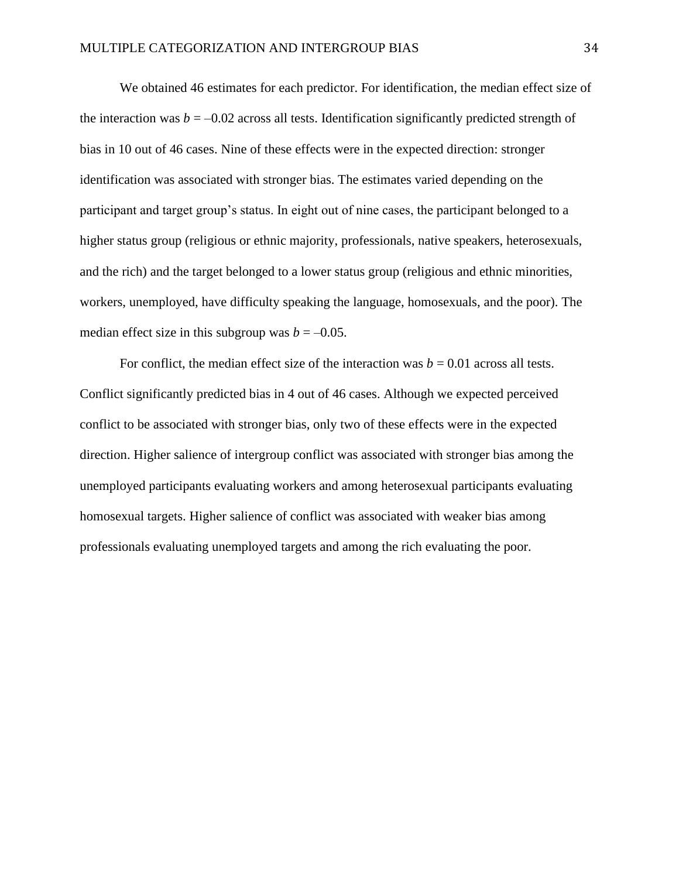We obtained 46 estimates for each predictor. For identification, the median effect size of the interaction was  $b = -0.02$  across all tests. Identification significantly predicted strength of bias in 10 out of 46 cases. Nine of these effects were in the expected direction: stronger identification was associated with stronger bias. The estimates varied depending on the participant and target group's status. In eight out of nine cases, the participant belonged to a higher status group (religious or ethnic majority, professionals, native speakers, heterosexuals, and the rich) and the target belonged to a lower status group (religious and ethnic minorities, workers, unemployed, have difficulty speaking the language, homosexuals, and the poor). The median effect size in this subgroup was  $b = -0.05$ .

For conflict, the median effect size of the interaction was  $b = 0.01$  across all tests. Conflict significantly predicted bias in 4 out of 46 cases. Although we expected perceived conflict to be associated with stronger bias, only two of these effects were in the expected direction. Higher salience of intergroup conflict was associated with stronger bias among the unemployed participants evaluating workers and among heterosexual participants evaluating homosexual targets. Higher salience of conflict was associated with weaker bias among professionals evaluating unemployed targets and among the rich evaluating the poor.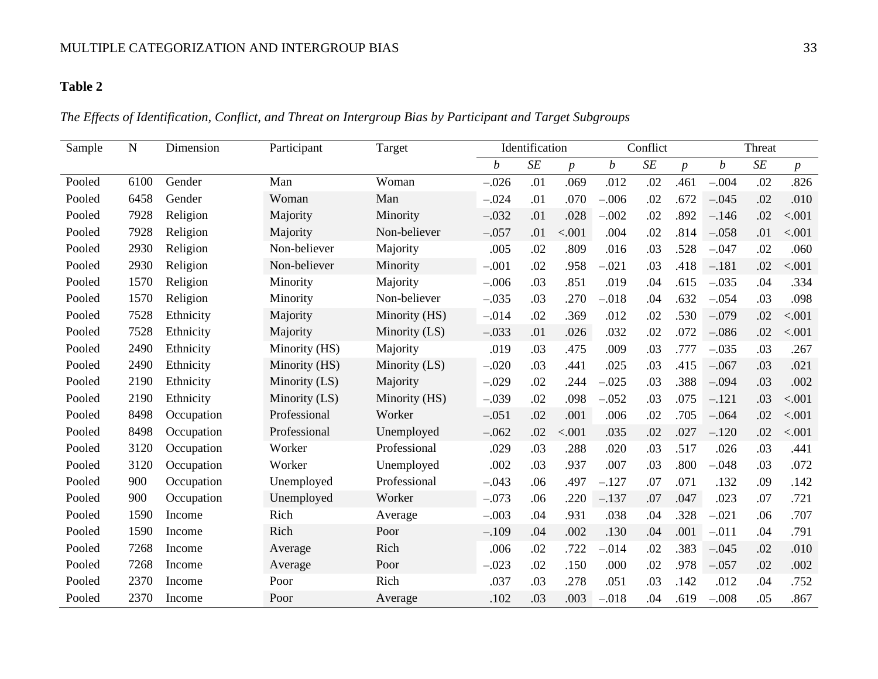## **Table 2**

## *The Effects of Identification, Conflict, and Threat on Intergroup Bias by Participant and Target Subgroups*

| Sample | ${\bf N}$ | Dimension  | Participant   | Target        |                  | Identification |                  |                  | Conflict |                | Threat           |     |                  |
|--------|-----------|------------|---------------|---------------|------------------|----------------|------------------|------------------|----------|----------------|------------------|-----|------------------|
|        |           |            |               |               | $\boldsymbol{b}$ | SE             | $\boldsymbol{p}$ | $\boldsymbol{b}$ | SE       | $\overline{p}$ | $\boldsymbol{b}$ | SE  | $\boldsymbol{p}$ |
| Pooled | 6100      | Gender     | Man           | Woman         | $-.026$          | .01            | .069             | .012             | .02      | .461           | $-.004$          | .02 | .826             |
| Pooled | 6458      | Gender     | Woman         | Man           | $-.024$          | .01            | .070             | $-.006$          | .02      | .672           | $-.045$          | .02 | .010             |
| Pooled | 7928      | Religion   | Majority      | Minority      | $-.032$          | .01            | .028             | $-.002$          | .02      | .892           | $-.146$          | .02 | < .001           |
| Pooled | 7928      | Religion   | Majority      | Non-believer  | $-.057$          | .01            | < .001           | .004             | .02      | .814           | $-.058$          | .01 | < .001           |
| Pooled | 2930      | Religion   | Non-believer  | Majority      | .005             | .02            | .809             | .016             | .03      | .528           | $-.047$          | .02 | .060             |
| Pooled | 2930      | Religion   | Non-believer  | Minority      | $-.001$          | .02            | .958             | $-.021$          | .03      | .418           | $-.181$          | .02 | < .001           |
| Pooled | 1570      | Religion   | Minority      | Majority      | $-.006$          | .03            | .851             | .019             | .04      | .615           | $-.035$          | .04 | .334             |
| Pooled | 1570      | Religion   | Minority      | Non-believer  | $-.035$          | .03            | .270             | $-.018$          | .04      | .632           | $-.054$          | .03 | .098             |
| Pooled | 7528      | Ethnicity  | Majority      | Minority (HS) | $-.014$          | .02            | .369             | .012             | .02      | .530           | $-.079$          | .02 | < .001           |
| Pooled | 7528      | Ethnicity  | Majority      | Minority (LS) | $-.033$          | .01            | .026             | .032             | .02      | .072           | $-.086$          | .02 | < .001           |
| Pooled | 2490      | Ethnicity  | Minority (HS) | Majority      | .019             | .03            | .475             | .009             | .03      | .777           | $-.035$          | .03 | .267             |
| Pooled | 2490      | Ethnicity  | Minority (HS) | Minority (LS) | $-.020$          | .03            | .441             | .025             | .03      | .415           | $-.067$          | .03 | .021             |
| Pooled | 2190      | Ethnicity  | Minority (LS) | Majority      | $-.029$          | .02            | .244             | $-.025$          | .03      | .388           | $-.094$          | .03 | .002             |
| Pooled | 2190      | Ethnicity  | Minority (LS) | Minority (HS) | $-.039$          | .02            | .098             | $-.052$          | .03      | .075           | $-.121$          | .03 | < .001           |
| Pooled | 8498      | Occupation | Professional  | Worker        | $-.051$          | .02            | .001             | .006             | .02      | .705           | $-.064$          | .02 | < .001           |
| Pooled | 8498      | Occupation | Professional  | Unemployed    | $-.062$          | .02            | < .001           | .035             | .02      | .027           | $-.120$          | .02 | < .001           |
| Pooled | 3120      | Occupation | Worker        | Professional  | .029             | .03            | .288             | .020             | .03      | .517           | .026             | .03 | .441             |
| Pooled | 3120      | Occupation | Worker        | Unemployed    | .002             | .03            | .937             | .007             | .03      | .800           | $-.048$          | .03 | .072             |
| Pooled | 900       | Occupation | Unemployed    | Professional  | $-.043$          | .06            | .497             | $-.127$          | .07      | .071           | .132             | .09 | .142             |
| Pooled | 900       | Occupation | Unemployed    | Worker        | $-.073$          | .06            | .220             | $-.137$          | .07      | .047           | .023             | .07 | .721             |
| Pooled | 1590      | Income     | Rich          | Average       | $-.003$          | .04            | .931             | .038             | .04      | .328           | $-.021$          | .06 | .707             |
| Pooled | 1590      | Income     | Rich          | Poor          | $-.109$          | .04            | .002             | .130             | .04      | .001           | $-.011$          | .04 | .791             |
| Pooled | 7268      | Income     | Average       | Rich          | .006             | .02            | .722             | $-.014$          | .02      | .383           | $-.045$          | .02 | .010             |
| Pooled | 7268      | Income     | Average       | Poor          | $-.023$          | .02            | .150             | .000             | .02      | .978           | $-.057$          | .02 | .002             |
| Pooled | 2370      | Income     | Poor          | Rich          | .037             | .03            | .278             | .051             | .03      | .142           | .012             | .04 | .752             |
| Pooled | 2370      | Income     | Poor          | Average       | .102             | .03            | .003             | $-.018$          | .04      | .619           | $-.008$          | .05 | .867             |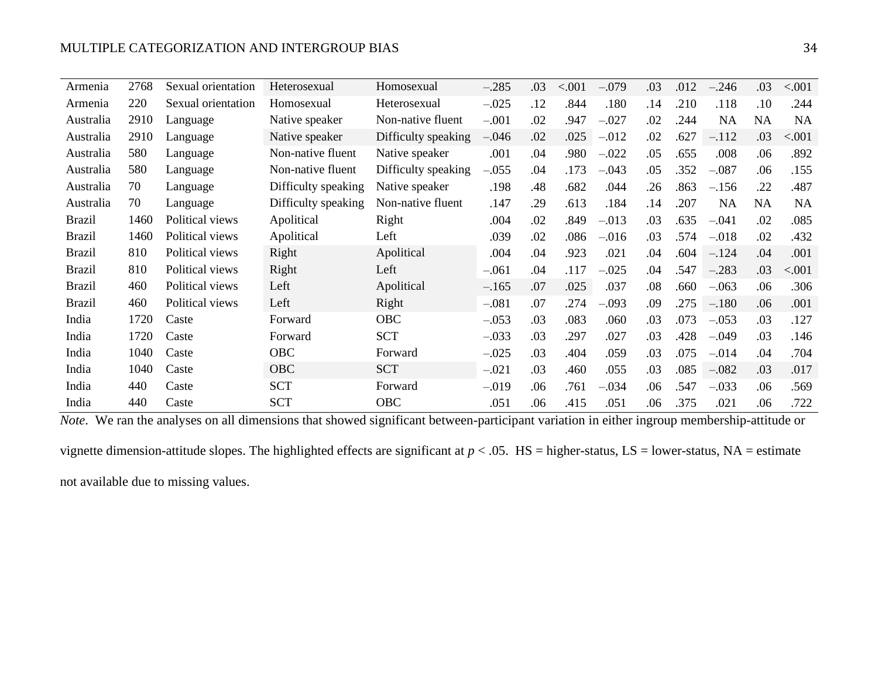| Armenia       | 2768 | Sexual orientation | Heterosexual        | Homosexual          | $-.285$ | .03 | ${<}001$ | $-.079$ | .03 | .012 | $-.246$   | .03       | < .001    |
|---------------|------|--------------------|---------------------|---------------------|---------|-----|----------|---------|-----|------|-----------|-----------|-----------|
| Armenia       | 220  | Sexual orientation | Homosexual          | Heterosexual        | $-.025$ | .12 | .844     | .180    | .14 | .210 | .118      | .10       | .244      |
| Australia     | 2910 | Language           | Native speaker      | Non-native fluent   | $-.001$ | .02 | .947     | $-.027$ | .02 | .244 | NA        | NA        | <b>NA</b> |
| Australia     | 2910 | Language           | Native speaker      | Difficulty speaking | $-.046$ | .02 | .025     | $-.012$ | .02 | .627 | $-.112$   | .03       | < .001    |
| Australia     | 580  | Language           | Non-native fluent   | Native speaker      | .001    | .04 | .980     | $-.022$ | .05 | .655 | .008      | .06       | .892      |
| Australia     | 580  | Language           | Non-native fluent   | Difficulty speaking | $-.055$ | .04 | .173     | $-.043$ | .05 | .352 | $-.087$   | .06       | .155      |
| Australia     | 70   | Language           | Difficulty speaking | Native speaker      | .198    | .48 | .682     | .044    | .26 | .863 | $-.156$   | .22       | .487      |
| Australia     | 70   | Language           | Difficulty speaking | Non-native fluent   | .147    | .29 | .613     | .184    | .14 | .207 | <b>NA</b> | <b>NA</b> | <b>NA</b> |
| <b>Brazil</b> | 1460 | Political views    | Apolitical          | Right               | .004    | .02 | .849     | $-.013$ | .03 | .635 | $-.041$   | .02       | .085      |
| <b>Brazil</b> | 1460 | Political views    | Apolitical          | Left                | .039    | .02 | .086     | $-.016$ | .03 | .574 | $-.018$   | .02       | .432      |
| <b>Brazil</b> | 810  | Political views    | Right               | Apolitical          | .004    | .04 | .923     | .021    | .04 | .604 | $-.124$   | .04       | .001      |
| <b>Brazil</b> | 810  | Political views    | Right               | Left                | $-.061$ | .04 | .117     | $-.025$ | .04 | .547 | $-.283$   | .03       | < .001    |
| <b>Brazil</b> | 460  | Political views    | Left                | Apolitical          | $-.165$ | .07 | .025     | .037    | .08 | .660 | $-.063$   | .06       | .306      |
| <b>Brazil</b> | 460  | Political views    | Left                | Right               | $-.081$ | .07 | .274     | $-.093$ | .09 | .275 | $-.180$   | .06       | .001      |
| India         | 1720 | Caste              | Forward             | <b>OBC</b>          | $-.053$ | .03 | .083     | .060    | .03 | .073 | $-.053$   | .03       | .127      |
| India         | 1720 | Caste              | Forward             | <b>SCT</b>          | $-.033$ | .03 | .297     | .027    | .03 | .428 | $-.049$   | .03       | .146      |
| India         | 1040 | Caste              | OBC                 | Forward             | $-.025$ | .03 | .404     | .059    | .03 | .075 | $-.014$   | .04       | .704      |
| India         | 1040 | Caste              | <b>OBC</b>          | <b>SCT</b>          | $-.021$ | .03 | .460     | .055    | .03 | .085 | $-.082$   | .03       | .017      |
| India         | 440  | Caste              | <b>SCT</b>          | Forward             | $-.019$ | .06 | .761     | $-.034$ | .06 | .547 | $-.033$   | .06       | .569      |
| India         | 440  | Caste              | <b>SCT</b>          | OBC                 | .051    | .06 | .415     | .051    | .06 | .375 | .021      | .06       | .722      |

*Note*. We ran the analyses on all dimensions that showed significant between-participant variation in either ingroup membership-attitude or

vignette dimension-attitude slopes. The highlighted effects are significant at *p* < .05. HS = higher-status, LS = lower-status, NA = estimate not available due to missing values.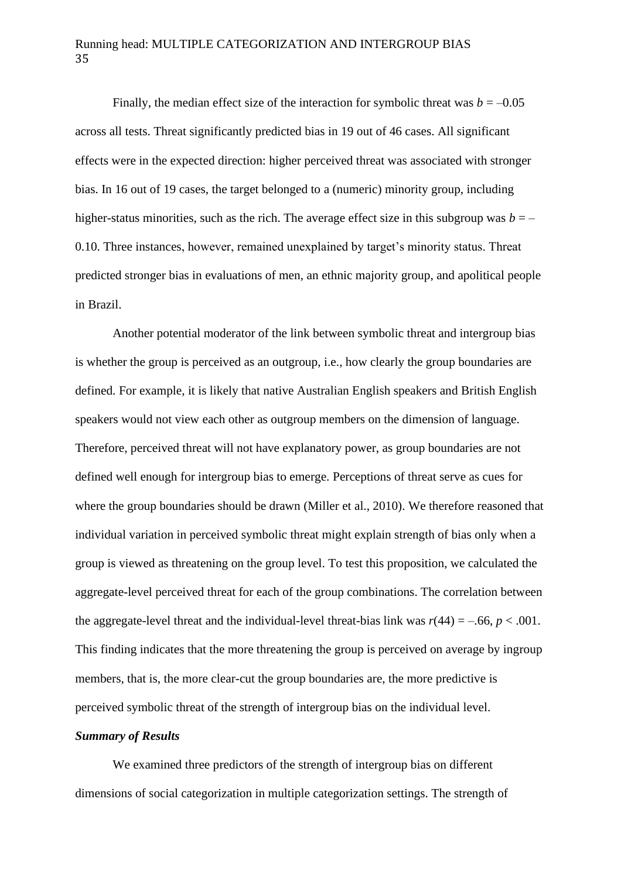## Running head: MULTIPLE CATEGORIZATION AND INTERGROUP BIAS 35

Finally, the median effect size of the interaction for symbolic threat was  $b = -0.05$ across all tests. Threat significantly predicted bias in 19 out of 46 cases. All significant effects were in the expected direction: higher perceived threat was associated with stronger bias. In 16 out of 19 cases, the target belonged to a (numeric) minority group, including higher-status minorities, such as the rich. The average effect size in this subgroup was  $b = -$ 0.10. Three instances, however, remained unexplained by target's minority status. Threat predicted stronger bias in evaluations of men, an ethnic majority group, and apolitical people in Brazil.

Another potential moderator of the link between symbolic threat and intergroup bias is whether the group is perceived as an outgroup, i.e., how clearly the group boundaries are defined. For example, it is likely that native Australian English speakers and British English speakers would not view each other as outgroup members on the dimension of language. Therefore, perceived threat will not have explanatory power, as group boundaries are not defined well enough for intergroup bias to emerge. Perceptions of threat serve as cues for where the group boundaries should be drawn (Miller et al., 2010). We therefore reasoned that individual variation in perceived symbolic threat might explain strength of bias only when a group is viewed as threatening on the group level. To test this proposition, we calculated the aggregate-level perceived threat for each of the group combinations. The correlation between the aggregate-level threat and the individual-level threat-bias link was  $r(44) = -.66$ ,  $p < .001$ . This finding indicates that the more threatening the group is perceived on average by ingroup members, that is, the more clear-cut the group boundaries are, the more predictive is perceived symbolic threat of the strength of intergroup bias on the individual level.

## *Summary of Results*

We examined three predictors of the strength of intergroup bias on different dimensions of social categorization in multiple categorization settings. The strength of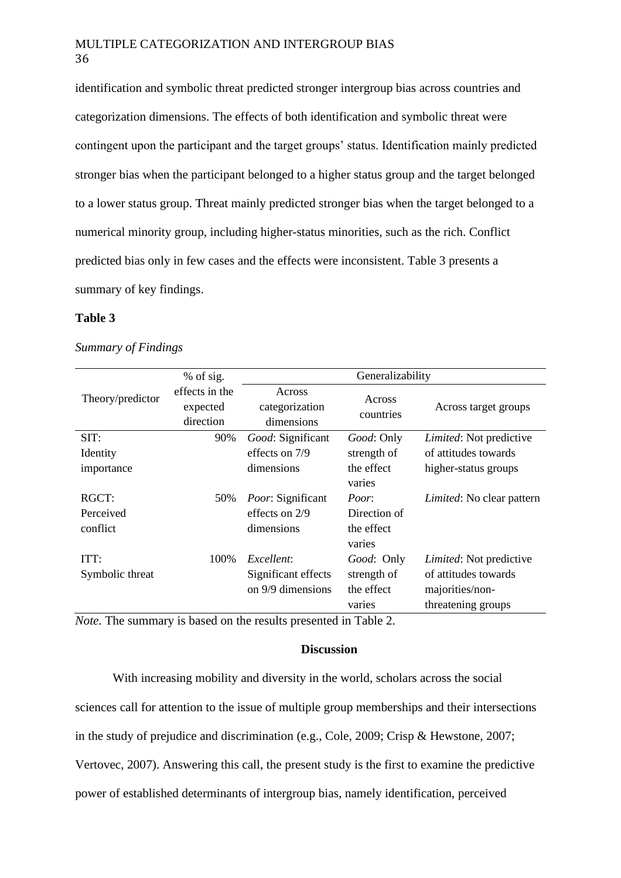identification and symbolic threat predicted stronger intergroup bias across countries and categorization dimensions. The effects of both identification and symbolic threat were contingent upon the participant and the target groups' status. Identification mainly predicted stronger bias when the participant belonged to a higher status group and the target belonged to a lower status group. Threat mainly predicted stronger bias when the target belonged to a numerical minority group, including higher-status minorities, such as the rich. Conflict predicted bias only in few cases and the effects were inconsistent. Table 3 presents a summary of key findings.

## **Table 3**

## *Summary of Findings*

|                  | % of sig.                               | Generalizability                       |                      |                                   |  |  |  |  |
|------------------|-----------------------------------------|----------------------------------------|----------------------|-----------------------------------|--|--|--|--|
| Theory/predictor | effects in the<br>expected<br>direction | Across<br>categorization<br>dimensions |                      | Across target groups              |  |  |  |  |
| SIT:             | 90%                                     | Good: Significant                      | Good: Only           | <i>Limited</i> : Not predictive   |  |  |  |  |
| Identity         |                                         | effects on 7/9                         | strength of          | of attitudes towards              |  |  |  |  |
| importance       |                                         | dimensions                             | the effect<br>varies | higher-status groups              |  |  |  |  |
| RGCT:            | 50%                                     | <i>Poor:</i> Significant               | Poor:                | <i>Limited</i> : No clear pattern |  |  |  |  |
| Perceived        |                                         | effects on 2/9                         | Direction of         |                                   |  |  |  |  |
| conflict         |                                         | dimensions                             | the effect<br>varies |                                   |  |  |  |  |
| ITT:             | 100\%                                   | Excellent:                             | Good: Only           | <i>Limited</i> : Not predictive   |  |  |  |  |
| Symbolic threat  |                                         | Significant effects                    | strength of          | of attitudes towards              |  |  |  |  |
|                  |                                         | on 9/9 dimensions                      | the effect           | majorities/non-                   |  |  |  |  |
|                  |                                         |                                        | varies               | threatening groups                |  |  |  |  |

*Note.* The summary is based on the results presented in Table 2.

## **Discussion**

With increasing mobility and diversity in the world, scholars across the social sciences call for attention to the issue of multiple group memberships and their intersections in the study of prejudice and discrimination (e.g., Cole, 2009; Crisp & Hewstone, 2007; Vertovec, 2007). Answering this call, the present study is the first to examine the predictive power of established determinants of intergroup bias, namely identification, perceived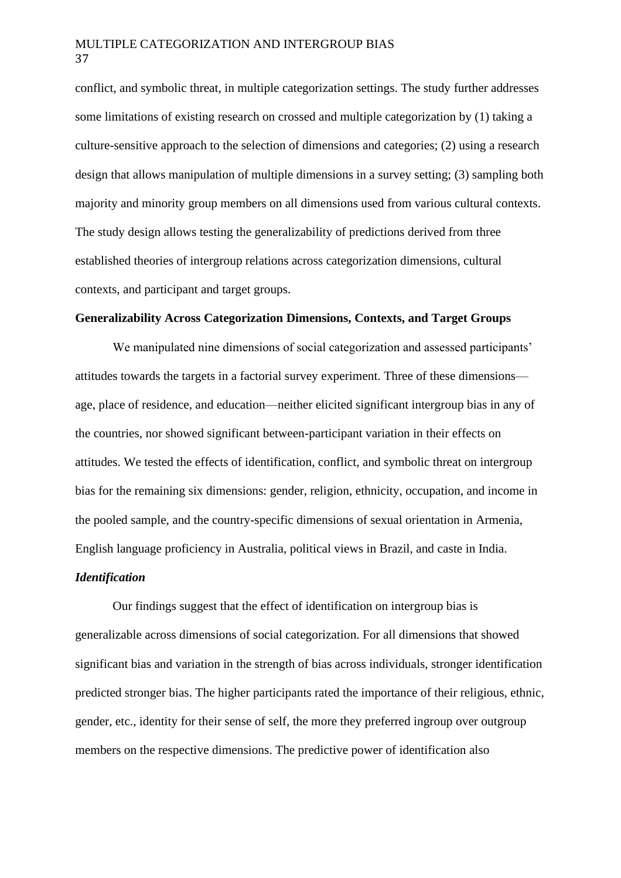conflict, and symbolic threat, in multiple categorization settings. The study further addresses some limitations of existing research on crossed and multiple categorization by (1) taking a culture-sensitive approach to the selection of dimensions and categories; (2) using a research design that allows manipulation of multiple dimensions in a survey setting; (3) sampling both majority and minority group members on all dimensions used from various cultural contexts. The study design allows testing the generalizability of predictions derived from three established theories of intergroup relations across categorization dimensions, cultural contexts, and participant and target groups.

## **Generalizability Across Categorization Dimensions, Contexts, and Target Groups**

We manipulated nine dimensions of social categorization and assessed participants' attitudes towards the targets in a factorial survey experiment. Three of these dimensions age, place of residence, and education—neither elicited significant intergroup bias in any of the countries, nor showed significant between-participant variation in their effects on attitudes. We tested the effects of identification, conflict, and symbolic threat on intergroup bias for the remaining six dimensions: gender, religion, ethnicity, occupation, and income in the pooled sample, and the country-specific dimensions of sexual orientation in Armenia, English language proficiency in Australia, political views in Brazil, and caste in India.

## *Identification*

Our findings suggest that the effect of identification on intergroup bias is generalizable across dimensions of social categorization. For all dimensions that showed significant bias and variation in the strength of bias across individuals, stronger identification predicted stronger bias. The higher participants rated the importance of their religious, ethnic, gender, etc., identity for their sense of self, the more they preferred ingroup over outgroup members on the respective dimensions. The predictive power of identification also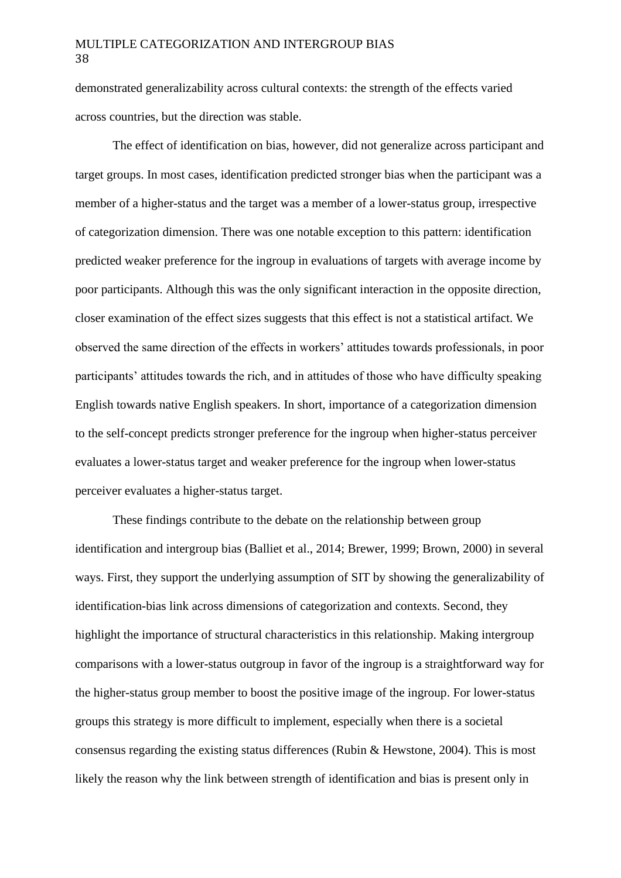demonstrated generalizability across cultural contexts: the strength of the effects varied across countries, but the direction was stable.

The effect of identification on bias, however, did not generalize across participant and target groups. In most cases, identification predicted stronger bias when the participant was a member of a higher-status and the target was a member of a lower-status group, irrespective of categorization dimension. There was one notable exception to this pattern: identification predicted weaker preference for the ingroup in evaluations of targets with average income by poor participants. Although this was the only significant interaction in the opposite direction, closer examination of the effect sizes suggests that this effect is not a statistical artifact. We observed the same direction of the effects in workers' attitudes towards professionals, in poor participants' attitudes towards the rich, and in attitudes of those who have difficulty speaking English towards native English speakers. In short, importance of a categorization dimension to the self-concept predicts stronger preference for the ingroup when higher-status perceiver evaluates a lower-status target and weaker preference for the ingroup when lower-status perceiver evaluates a higher-status target.

These findings contribute to the debate on the relationship between group identification and intergroup bias (Balliet et al., 2014; Brewer, 1999; Brown, 2000) in several ways. First, they support the underlying assumption of SIT by showing the generalizability of identification-bias link across dimensions of categorization and contexts. Second, they highlight the importance of structural characteristics in this relationship. Making intergroup comparisons with a lower-status outgroup in favor of the ingroup is a straightforward way for the higher-status group member to boost the positive image of the ingroup. For lower-status groups this strategy is more difficult to implement, especially when there is a societal consensus regarding the existing status differences (Rubin & Hewstone, 2004). This is most likely the reason why the link between strength of identification and bias is present only in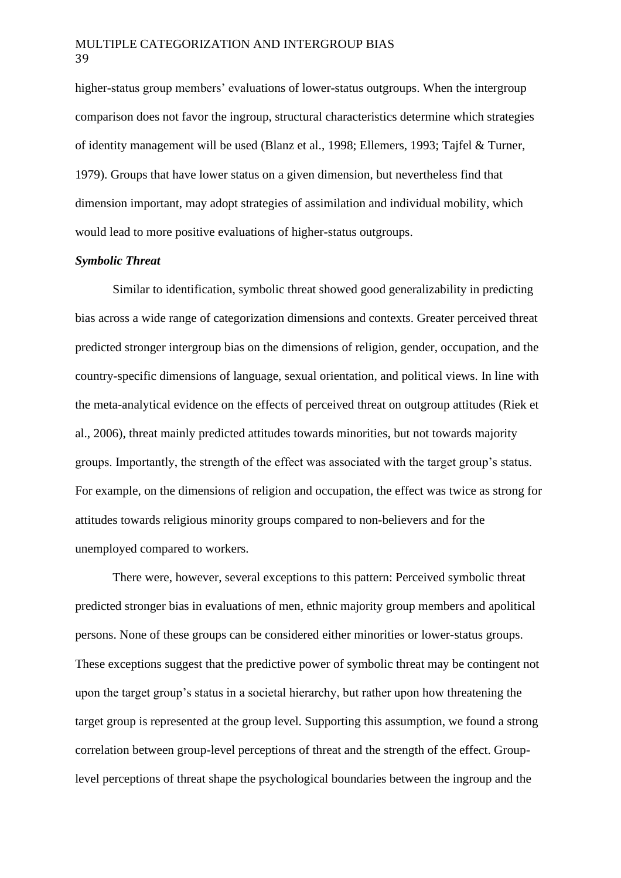higher-status group members' evaluations of lower-status outgroups. When the intergroup comparison does not favor the ingroup, structural characteristics determine which strategies of identity management will be used (Blanz et al., 1998; Ellemers, 1993; Tajfel & Turner, 1979). Groups that have lower status on a given dimension, but nevertheless find that dimension important, may adopt strategies of assimilation and individual mobility, which would lead to more positive evaluations of higher-status outgroups.

## *Symbolic Threat*

Similar to identification, symbolic threat showed good generalizability in predicting bias across a wide range of categorization dimensions and contexts. Greater perceived threat predicted stronger intergroup bias on the dimensions of religion, gender, occupation, and the country-specific dimensions of language, sexual orientation, and political views. In line with the meta-analytical evidence on the effects of perceived threat on outgroup attitudes (Riek et al., 2006), threat mainly predicted attitudes towards minorities, but not towards majority groups. Importantly, the strength of the effect was associated with the target group's status. For example, on the dimensions of religion and occupation, the effect was twice as strong for attitudes towards religious minority groups compared to non-believers and for the unemployed compared to workers.

There were, however, several exceptions to this pattern: Perceived symbolic threat predicted stronger bias in evaluations of men, ethnic majority group members and apolitical persons. None of these groups can be considered either minorities or lower-status groups. These exceptions suggest that the predictive power of symbolic threat may be contingent not upon the target group's status in a societal hierarchy, but rather upon how threatening the target group is represented at the group level. Supporting this assumption, we found a strong correlation between group-level perceptions of threat and the strength of the effect. Grouplevel perceptions of threat shape the psychological boundaries between the ingroup and the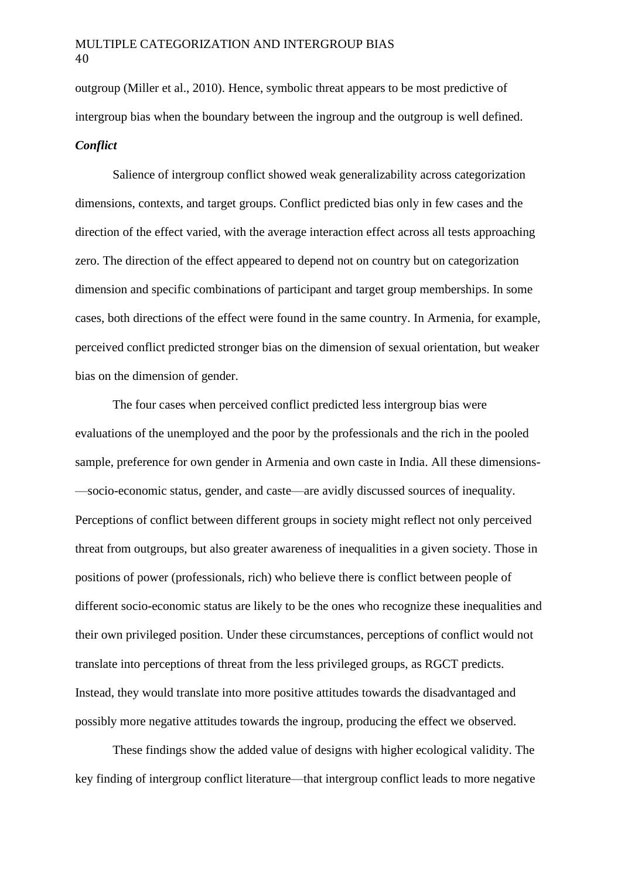outgroup (Miller et al., 2010). Hence, symbolic threat appears to be most predictive of intergroup bias when the boundary between the ingroup and the outgroup is well defined. *Conflict*

Salience of intergroup conflict showed weak generalizability across categorization dimensions, contexts, and target groups. Conflict predicted bias only in few cases and the direction of the effect varied, with the average interaction effect across all tests approaching zero. The direction of the effect appeared to depend not on country but on categorization dimension and specific combinations of participant and target group memberships. In some cases, both directions of the effect were found in the same country. In Armenia, for example, perceived conflict predicted stronger bias on the dimension of sexual orientation, but weaker bias on the dimension of gender.

The four cases when perceived conflict predicted less intergroup bias were evaluations of the unemployed and the poor by the professionals and the rich in the pooled sample, preference for own gender in Armenia and own caste in India. All these dimensions- —socio-economic status, gender, and caste—are avidly discussed sources of inequality. Perceptions of conflict between different groups in society might reflect not only perceived threat from outgroups, but also greater awareness of inequalities in a given society. Those in positions of power (professionals, rich) who believe there is conflict between people of different socio-economic status are likely to be the ones who recognize these inequalities and their own privileged position. Under these circumstances, perceptions of conflict would not translate into perceptions of threat from the less privileged groups, as RGCT predicts. Instead, they would translate into more positive attitudes towards the disadvantaged and possibly more negative attitudes towards the ingroup, producing the effect we observed.

These findings show the added value of designs with higher ecological validity. The key finding of intergroup conflict literature—that intergroup conflict leads to more negative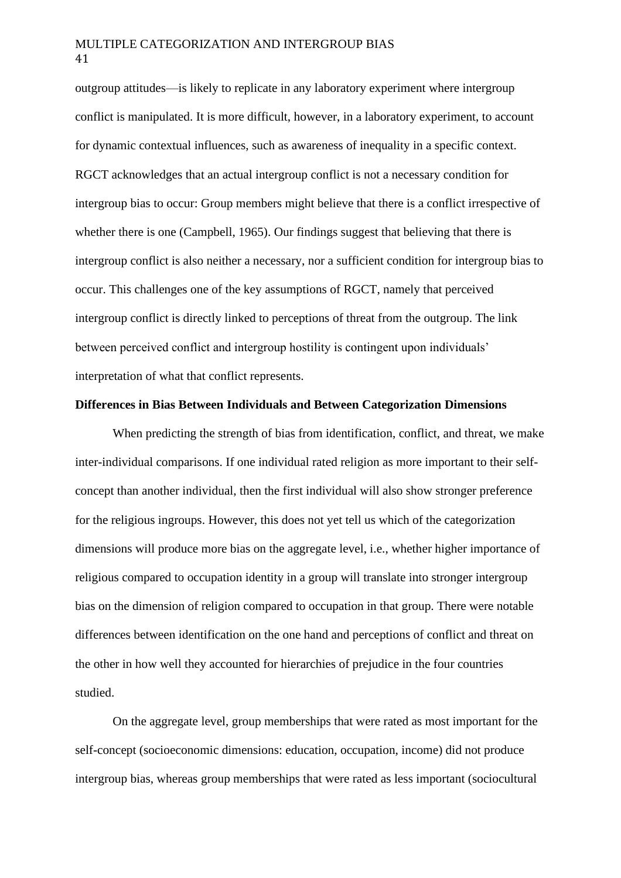outgroup attitudes—is likely to replicate in any laboratory experiment where intergroup conflict is manipulated. It is more difficult, however, in a laboratory experiment, to account for dynamic contextual influences, such as awareness of inequality in a specific context. RGCT acknowledges that an actual intergroup conflict is not a necessary condition for intergroup bias to occur: Group members might believe that there is a conflict irrespective of whether there is one (Campbell, 1965). Our findings suggest that believing that there is intergroup conflict is also neither a necessary, nor a sufficient condition for intergroup bias to occur. This challenges one of the key assumptions of RGCT, namely that perceived intergroup conflict is directly linked to perceptions of threat from the outgroup. The link between perceived conflict and intergroup hostility is contingent upon individuals' interpretation of what that conflict represents.

## **Differences in Bias Between Individuals and Between Categorization Dimensions**

When predicting the strength of bias from identification, conflict, and threat, we make inter-individual comparisons. If one individual rated religion as more important to their selfconcept than another individual, then the first individual will also show stronger preference for the religious ingroups. However, this does not yet tell us which of the categorization dimensions will produce more bias on the aggregate level, i.e., whether higher importance of religious compared to occupation identity in a group will translate into stronger intergroup bias on the dimension of religion compared to occupation in that group. There were notable differences between identification on the one hand and perceptions of conflict and threat on the other in how well they accounted for hierarchies of prejudice in the four countries studied.

On the aggregate level, group memberships that were rated as most important for the self-concept (socioeconomic dimensions: education, occupation, income) did not produce intergroup bias, whereas group memberships that were rated as less important (sociocultural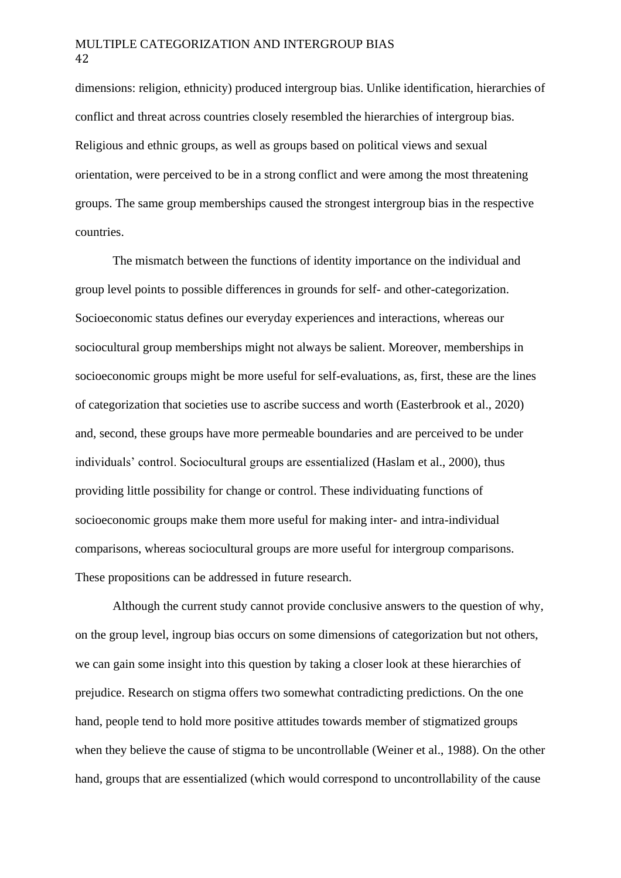dimensions: religion, ethnicity) produced intergroup bias. Unlike identification, hierarchies of conflict and threat across countries closely resembled the hierarchies of intergroup bias. Religious and ethnic groups, as well as groups based on political views and sexual orientation, were perceived to be in a strong conflict and were among the most threatening groups. The same group memberships caused the strongest intergroup bias in the respective countries.

The mismatch between the functions of identity importance on the individual and group level points to possible differences in grounds for self- and other-categorization. Socioeconomic status defines our everyday experiences and interactions, whereas our sociocultural group memberships might not always be salient. Moreover, memberships in socioeconomic groups might be more useful for self-evaluations, as, first, these are the lines of categorization that societies use to ascribe success and worth (Easterbrook et al., 2020) and, second, these groups have more permeable boundaries and are perceived to be under individuals' control. Sociocultural groups are essentialized (Haslam et al., 2000), thus providing little possibility for change or control. These individuating functions of socioeconomic groups make them more useful for making inter- and intra-individual comparisons, whereas sociocultural groups are more useful for intergroup comparisons. These propositions can be addressed in future research.

Although the current study cannot provide conclusive answers to the question of why, on the group level, ingroup bias occurs on some dimensions of categorization but not others, we can gain some insight into this question by taking a closer look at these hierarchies of prejudice. Research on stigma offers two somewhat contradicting predictions. On the one hand, people tend to hold more positive attitudes towards member of stigmatized groups when they believe the cause of stigma to be uncontrollable (Weiner et al., 1988). On the other hand, groups that are essentialized (which would correspond to uncontrollability of the cause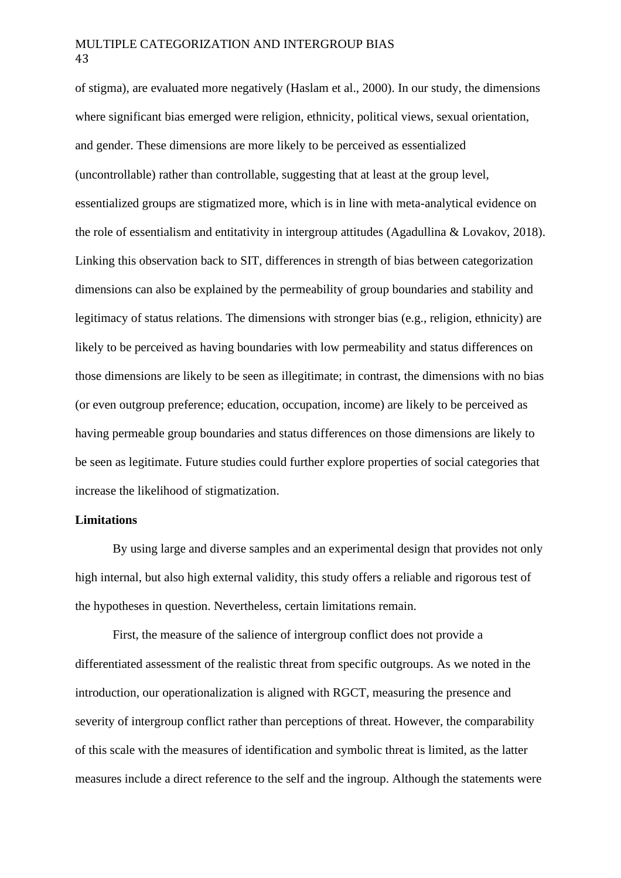of stigma), are evaluated more negatively (Haslam et al., 2000). In our study, the dimensions where significant bias emerged were religion, ethnicity, political views, sexual orientation, and gender. These dimensions are more likely to be perceived as essentialized (uncontrollable) rather than controllable, suggesting that at least at the group level, essentialized groups are stigmatized more, which is in line with meta-analytical evidence on the role of essentialism and entitativity in intergroup attitudes (Agadullina & Lovakov, 2018). Linking this observation back to SIT, differences in strength of bias between categorization dimensions can also be explained by the permeability of group boundaries and stability and legitimacy of status relations. The dimensions with stronger bias (e.g., religion, ethnicity) are likely to be perceived as having boundaries with low permeability and status differences on those dimensions are likely to be seen as illegitimate; in contrast, the dimensions with no bias (or even outgroup preference; education, occupation, income) are likely to be perceived as having permeable group boundaries and status differences on those dimensions are likely to be seen as legitimate. Future studies could further explore properties of social categories that increase the likelihood of stigmatization.

## **Limitations**

By using large and diverse samples and an experimental design that provides not only high internal, but also high external validity, this study offers a reliable and rigorous test of the hypotheses in question. Nevertheless, certain limitations remain.

First, the measure of the salience of intergroup conflict does not provide a differentiated assessment of the realistic threat from specific outgroups. As we noted in the introduction, our operationalization is aligned with RGCT, measuring the presence and severity of intergroup conflict rather than perceptions of threat. However, the comparability of this scale with the measures of identification and symbolic threat is limited, as the latter measures include a direct reference to the self and the ingroup. Although the statements were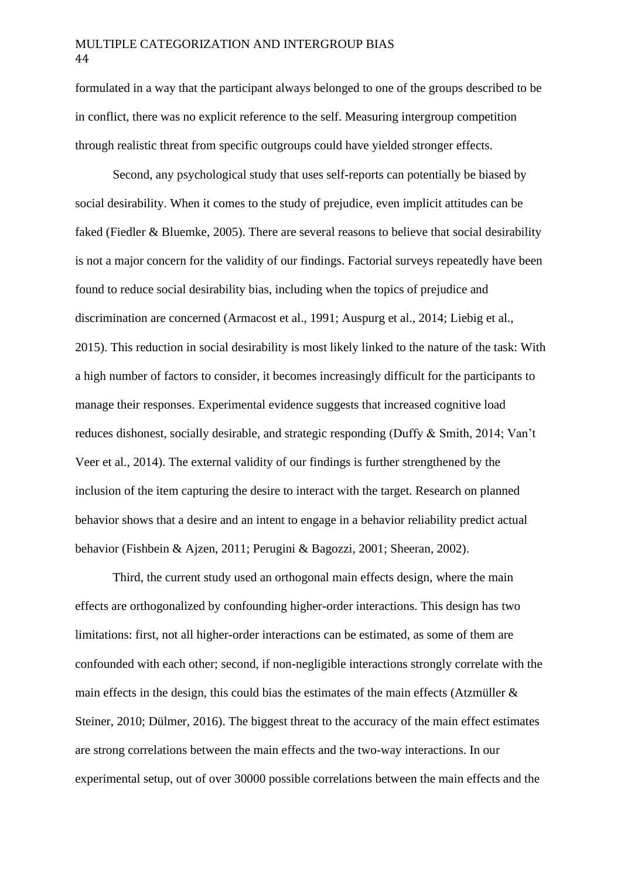formulated in a way that the participant always belonged to one of the groups described to be in conflict, there was no explicit reference to the self. Measuring intergroup competition through realistic threat from specific outgroups could have yielded stronger effects.

Second, any psychological study that uses self-reports can potentially be biased by social desirability. When it comes to the study of prejudice, even implicit attitudes can be faked (Fiedler & Bluemke, 2005). There are several reasons to believe that social desirability is not a major concern for the validity of our findings. Factorial surveys repeatedly have been found to reduce social desirability bias, including when the topics of prejudice and discrimination are concerned (Armacost et al., 1991; Auspurg et al., 2014; Liebig et al., 2015). This reduction in social desirability is most likely linked to the nature of the task: With a high number of factors to consider, it becomes increasingly difficult for the participants to manage their responses. Experimental evidence suggests that increased cognitive load reduces dishonest, socially desirable, and strategic responding (Duffy & Smith, 2014; Van't Veer et al., 2014). The external validity of our findings is further strengthened by the inclusion of the item capturing the desire to interact with the target. Research on planned behavior shows that a desire and an intent to engage in a behavior reliability predict actual behavior (Fishbein & Ajzen, 2011; Perugini & Bagozzi, 2001; Sheeran, 2002).

Third, the current study used an orthogonal main effects design, where the main effects are orthogonalized by confounding higher-order interactions. This design has two limitations: first, not all higher-order interactions can be estimated, as some of them are confounded with each other; second, if non-negligible interactions strongly correlate with the main effects in the design, this could bias the estimates of the main effects (Atzmüller & Steiner, 2010; Dülmer, 2016). The biggest threat to the accuracy of the main effect estimates are strong correlations between the main effects and the two-way interactions. In our experimental setup, out of over 30000 possible correlations between the main effects and the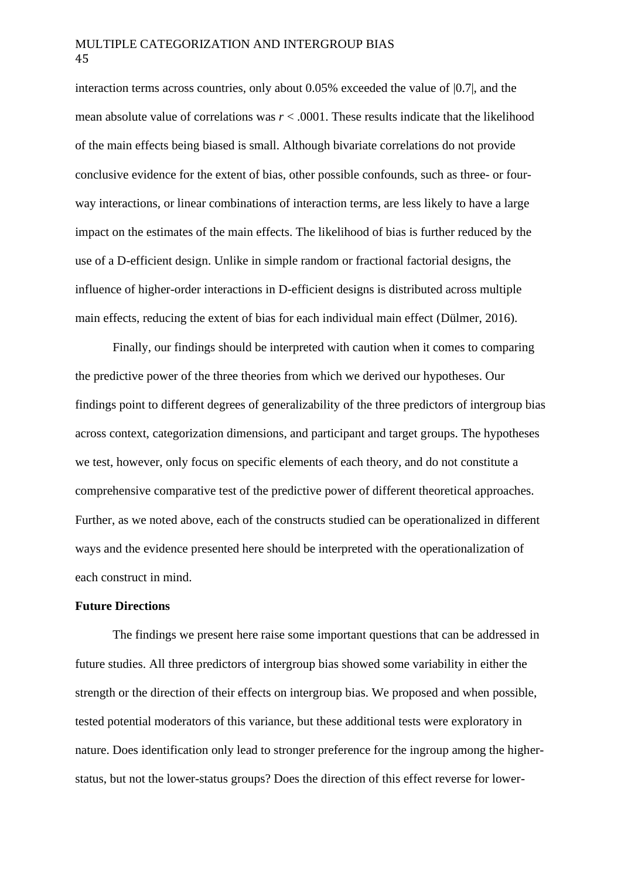interaction terms across countries, only about 0.05% exceeded the value of |0.7|, and the mean absolute value of correlations was  $r < .0001$ . These results indicate that the likelihood of the main effects being biased is small. Although bivariate correlations do not provide conclusive evidence for the extent of bias, other possible confounds, such as three- or fourway interactions, or linear combinations of interaction terms, are less likely to have a large impact on the estimates of the main effects. The likelihood of bias is further reduced by the use of a D-efficient design. Unlike in simple random or fractional factorial designs, the influence of higher-order interactions in D-efficient designs is distributed across multiple main effects, reducing the extent of bias for each individual main effect (Dülmer, 2016).

Finally, our findings should be interpreted with caution when it comes to comparing the predictive power of the three theories from which we derived our hypotheses. Our findings point to different degrees of generalizability of the three predictors of intergroup bias across context, categorization dimensions, and participant and target groups. The hypotheses we test, however, only focus on specific elements of each theory, and do not constitute a comprehensive comparative test of the predictive power of different theoretical approaches. Further, as we noted above, each of the constructs studied can be operationalized in different ways and the evidence presented here should be interpreted with the operationalization of each construct in mind.

## **Future Directions**

The findings we present here raise some important questions that can be addressed in future studies. All three predictors of intergroup bias showed some variability in either the strength or the direction of their effects on intergroup bias. We proposed and when possible, tested potential moderators of this variance, but these additional tests were exploratory in nature. Does identification only lead to stronger preference for the ingroup among the higherstatus, but not the lower-status groups? Does the direction of this effect reverse for lower-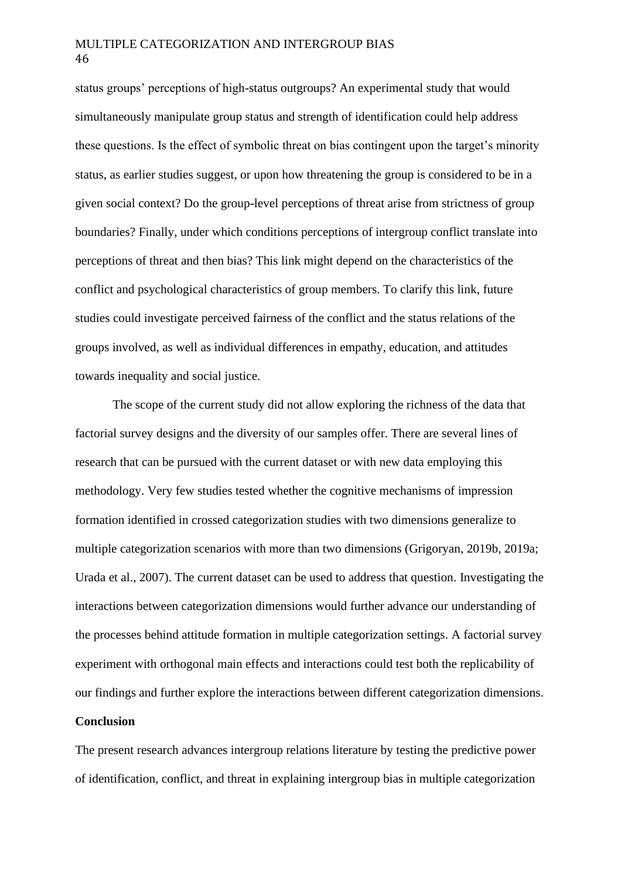status groups' perceptions of high-status outgroups? An experimental study that would simultaneously manipulate group status and strength of identification could help address these questions. Is the effect of symbolic threat on bias contingent upon the target's minority status, as earlier studies suggest, or upon how threatening the group is considered to be in a given social context? Do the group-level perceptions of threat arise from strictness of group boundaries? Finally, under which conditions perceptions of intergroup conflict translate into perceptions of threat and then bias? This link might depend on the characteristics of the conflict and psychological characteristics of group members. To clarify this link, future studies could investigate perceived fairness of the conflict and the status relations of the groups involved, as well as individual differences in empathy, education, and attitudes towards inequality and social justice.

The scope of the current study did not allow exploring the richness of the data that factorial survey designs and the diversity of our samples offer. There are several lines of research that can be pursued with the current dataset or with new data employing this methodology. Very few studies tested whether the cognitive mechanisms of impression formation identified in crossed categorization studies with two dimensions generalize to multiple categorization scenarios with more than two dimensions (Grigoryan, 2019b, 2019a; Urada et al., 2007). The current dataset can be used to address that question. Investigating the interactions between categorization dimensions would further advance our understanding of the processes behind attitude formation in multiple categorization settings. A factorial survey experiment with orthogonal main effects and interactions could test both the replicability of our findings and further explore the interactions between different categorization dimensions.

## **Conclusion**

The present research advances intergroup relations literature by testing the predictive power of identification, conflict, and threat in explaining intergroup bias in multiple categorization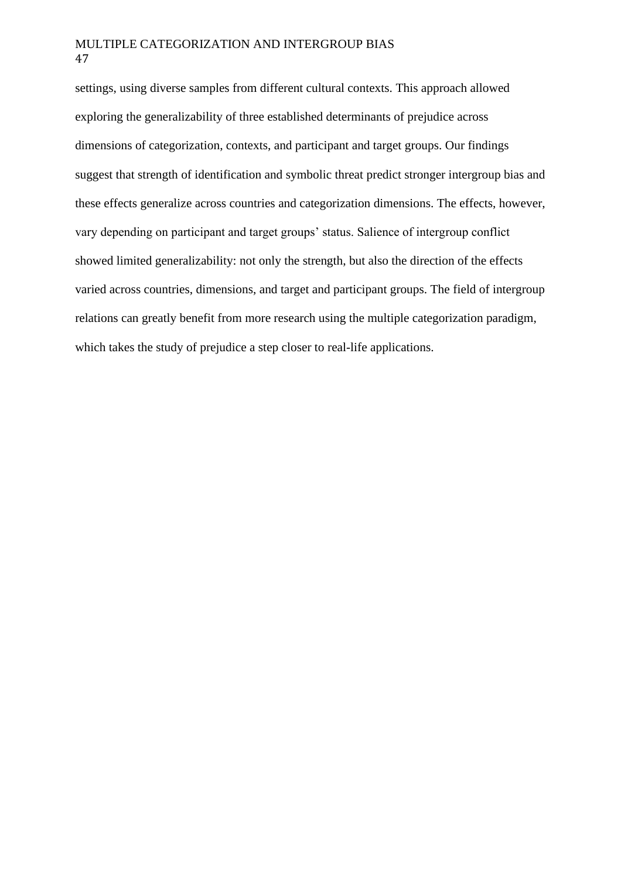settings, using diverse samples from different cultural contexts. This approach allowed exploring the generalizability of three established determinants of prejudice across dimensions of categorization, contexts, and participant and target groups. Our findings suggest that strength of identification and symbolic threat predict stronger intergroup bias and these effects generalize across countries and categorization dimensions. The effects, however, vary depending on participant and target groups' status. Salience of intergroup conflict showed limited generalizability: not only the strength, but also the direction of the effects varied across countries, dimensions, and target and participant groups. The field of intergroup relations can greatly benefit from more research using the multiple categorization paradigm, which takes the study of prejudice a step closer to real-life applications.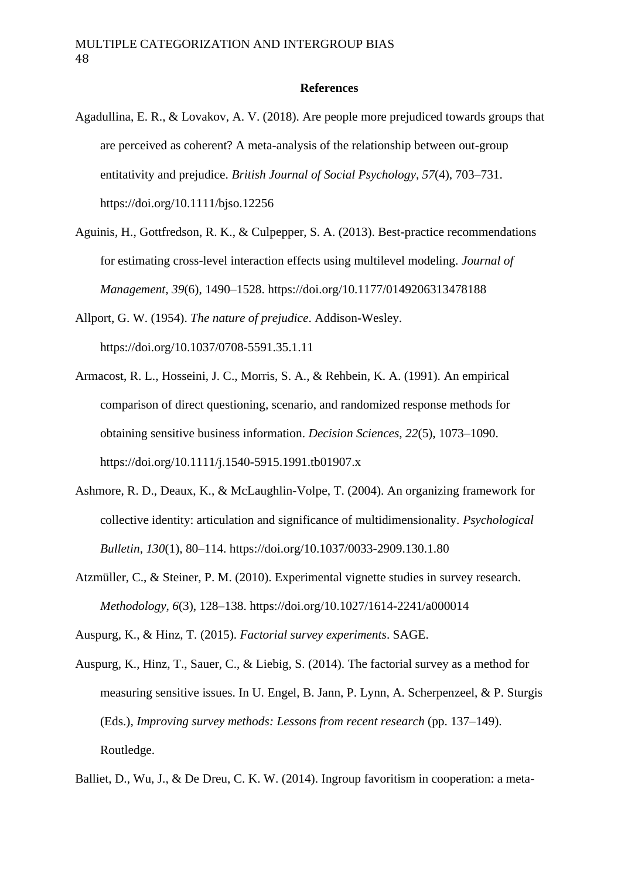## **References**

- Agadullina, E. R., & Lovakov, A. V. (2018). Are people more prejudiced towards groups that are perceived as coherent? A meta-analysis of the relationship between out-group entitativity and prejudice. *British Journal of Social Psychology*, *57*(4), 703–731. https://doi.org/10.1111/bjso.12256
- Aguinis, H., Gottfredson, R. K., & Culpepper, S. A. (2013). Best-practice recommendations for estimating cross-level interaction effects using multilevel modeling. *Journal of Management*, *39*(6), 1490–1528. https://doi.org/10.1177/0149206313478188

Allport, G. W. (1954). *The nature of prejudice*. Addison-Wesley. https://doi.org/10.1037/0708-5591.35.1.11

- Armacost, R. L., Hosseini, J. C., Morris, S. A., & Rehbein, K. A. (1991). An empirical comparison of direct questioning, scenario, and randomized response methods for obtaining sensitive business information. *Decision Sciences*, *22*(5), 1073–1090. https://doi.org/10.1111/j.1540-5915.1991.tb01907.x
- Ashmore, R. D., Deaux, K., & McLaughlin-Volpe, T. (2004). An organizing framework for collective identity: articulation and significance of multidimensionality. *Psychological Bulletin*, *130*(1), 80–114. https://doi.org/10.1037/0033-2909.130.1.80
- Atzmüller, C., & Steiner, P. M. (2010). Experimental vignette studies in survey research. *Methodology*, *6*(3), 128–138. https://doi.org/10.1027/1614-2241/a000014

Auspurg, K., & Hinz, T. (2015). *Factorial survey experiments*. SAGE.

Auspurg, K., Hinz, T., Sauer, C., & Liebig, S. (2014). The factorial survey as a method for measuring sensitive issues. In U. Engel, B. Jann, P. Lynn, A. Scherpenzeel, & P. Sturgis (Eds.), *Improving survey methods: Lessons from recent research* (pp. 137–149). Routledge.

Balliet, D., Wu, J., & De Dreu, C. K. W. (2014). Ingroup favoritism in cooperation: a meta-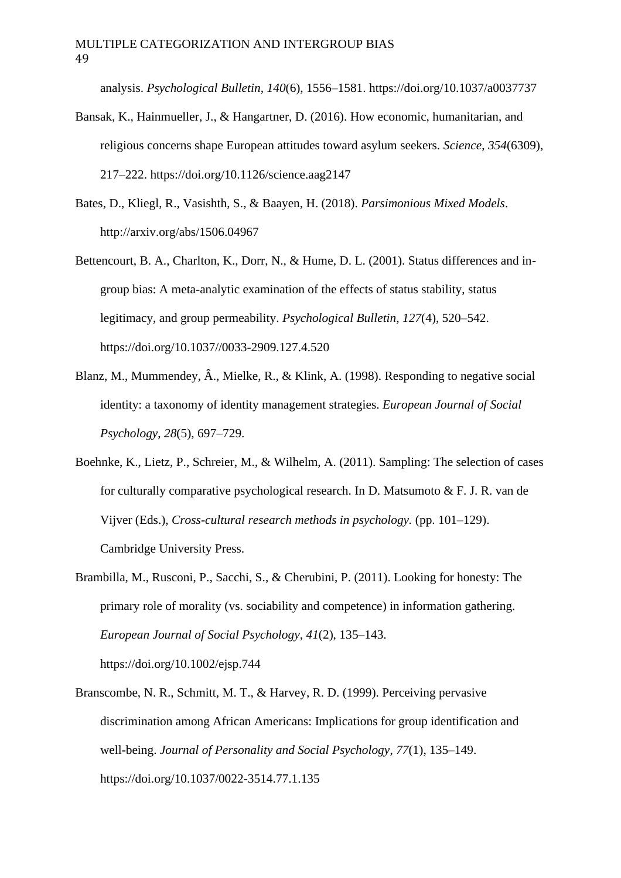analysis. *Psychological Bulletin*, *140*(6), 1556–1581. https://doi.org/10.1037/a0037737

- Bansak, K., Hainmueller, J., & Hangartner, D. (2016). How economic, humanitarian, and religious concerns shape European attitudes toward asylum seekers. *Science*, *354*(6309), 217–222. https://doi.org/10.1126/science.aag2147
- Bates, D., Kliegl, R., Vasishth, S., & Baayen, H. (2018). *Parsimonious Mixed Models*. http://arxiv.org/abs/1506.04967
- Bettencourt, B. A., Charlton, K., Dorr, N., & Hume, D. L. (2001). Status differences and ingroup bias: A meta-analytic examination of the effects of status stability, status legitimacy, and group permeability. *Psychological Bulletin*, *127*(4), 520–542. https://doi.org/10.1037//0033-2909.127.4.520
- Blanz, M., Mummendey, Â., Mielke, R., & Klink, A. (1998). Responding to negative social identity: a taxonomy of identity management strategies. *European Journal of Social Psychology*, *28*(5), 697–729.
- Boehnke, K., Lietz, P., Schreier, M., & Wilhelm, A. (2011). Sampling: The selection of cases for culturally comparative psychological research. In D. Matsumoto & F. J. R. van de Vijver (Eds.), *Cross-cultural research methods in psychology.* (pp. 101–129). Cambridge University Press.
- Brambilla, M., Rusconi, P., Sacchi, S., & Cherubini, P. (2011). Looking for honesty: The primary role of morality (vs. sociability and competence) in information gathering. *European Journal of Social Psychology*, *41*(2), 135–143. https://doi.org/10.1002/ejsp.744
- Branscombe, N. R., Schmitt, M. T., & Harvey, R. D. (1999). Perceiving pervasive discrimination among African Americans: Implications for group identification and well-being. *Journal of Personality and Social Psychology*, *77*(1), 135–149. https://doi.org/10.1037/0022-3514.77.1.135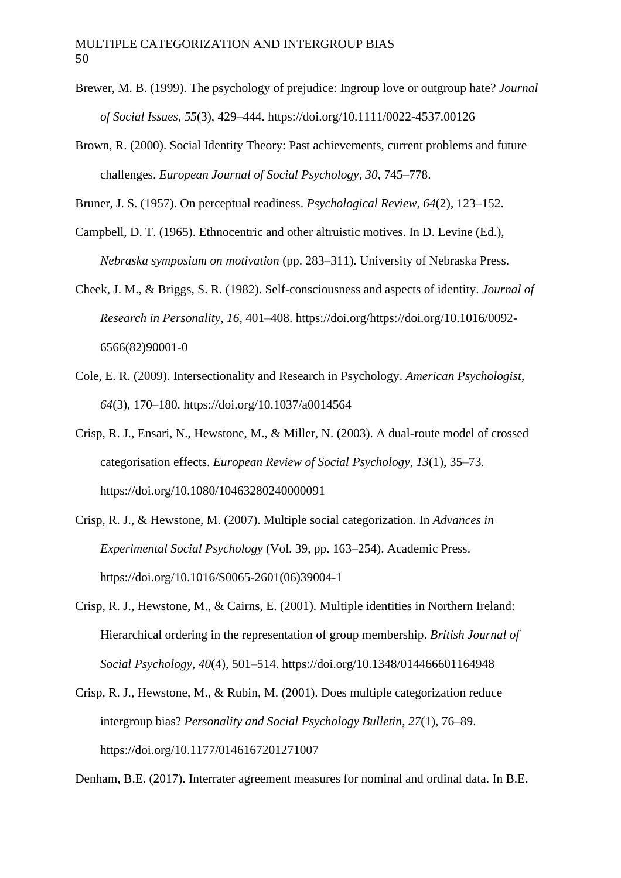- Brewer, M. B. (1999). The psychology of prejudice: Ingroup love or outgroup hate? *Journal of Social Issues*, *55*(3), 429–444. https://doi.org/10.1111/0022-4537.00126
- Brown, R. (2000). Social Identity Theory: Past achievements, current problems and future challenges. *European Journal of Social Psychology*, *30*, 745–778.

Bruner, J. S. (1957). On perceptual readiness. *Psychological Review*, *64*(2), 123–152.

- Campbell, D. T. (1965). Ethnocentric and other altruistic motives. In D. Levine (Ed.), *Nebraska symposium on motivation* (pp. 283–311). University of Nebraska Press.
- Cheek, J. M., & Briggs, S. R. (1982). Self-consciousness and aspects of identity. *Journal of Research in Personality*, *16*, 401–408. https://doi.org/https://doi.org/10.1016/0092- 6566(82)90001-0
- Cole, E. R. (2009). Intersectionality and Research in Psychology. *American Psychologist*, *64*(3), 170–180. https://doi.org/10.1037/a0014564
- Crisp, R. J., Ensari, N., Hewstone, M., & Miller, N. (2003). A dual-route model of crossed categorisation effects. *European Review of Social Psychology*, *13*(1), 35–73. https://doi.org/10.1080/10463280240000091
- Crisp, R. J., & Hewstone, M. (2007). Multiple social categorization. In *Advances in Experimental Social Psychology* (Vol. 39, pp. 163–254). Academic Press. https://doi.org/10.1016/S0065-2601(06)39004-1
- Crisp, R. J., Hewstone, M., & Cairns, E. (2001). Multiple identities in Northern Ireland: Hierarchical ordering in the representation of group membership. *British Journal of Social Psychology*, *40*(4), 501–514. https://doi.org/10.1348/014466601164948
- Crisp, R. J., Hewstone, M., & Rubin, M. (2001). Does multiple categorization reduce intergroup bias? *Personality and Social Psychology Bulletin*, *27*(1), 76–89. https://doi.org/10.1177/0146167201271007

Denham, B.E. (2017). Interrater agreement measures for nominal and ordinal data. In B.E.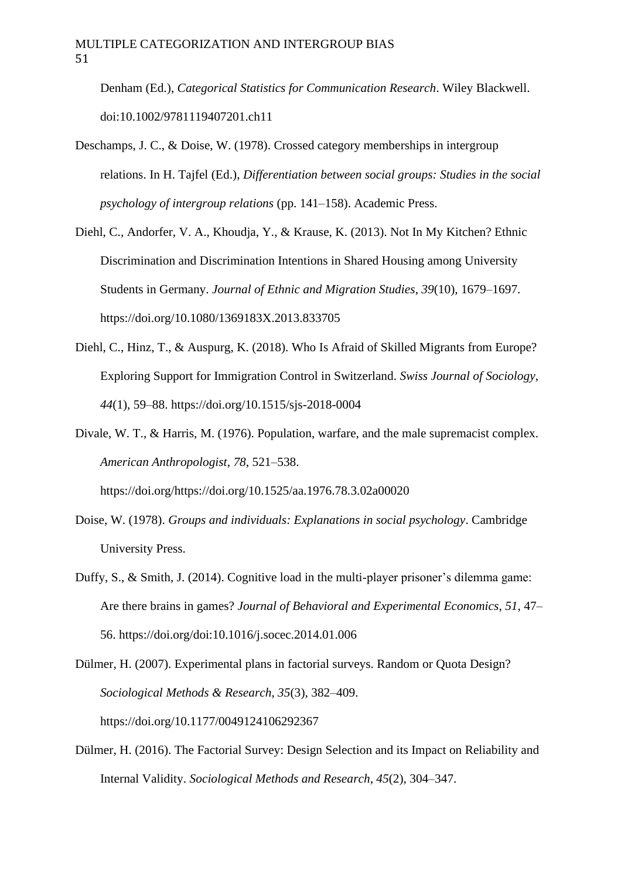Denham (Ed.), *Categorical Statistics for Communication Research*. Wiley Blackwell. doi:10.1002/9781119407201.ch11

- Deschamps, J. C., & Doise, W. (1978). Crossed category memberships in intergroup relations. In H. Tajfel (Ed.), *Differentiation between social groups: Studies in the social psychology of intergroup relations* (pp. 141–158). Academic Press.
- Diehl, C., Andorfer, V. A., Khoudja, Y., & Krause, K. (2013). Not In My Kitchen? Ethnic Discrimination and Discrimination Intentions in Shared Housing among University Students in Germany. *Journal of Ethnic and Migration Studies*, *39*(10), 1679–1697. https://doi.org/10.1080/1369183X.2013.833705
- Diehl, C., Hinz, T., & Auspurg, K. (2018). Who Is Afraid of Skilled Migrants from Europe? Exploring Support for Immigration Control in Switzerland. *Swiss Journal of Sociology*, *44*(1), 59–88. https://doi.org/10.1515/sjs-2018-0004
- Divale, W. T., & Harris, M. (1976). Population, warfare, and the male supremacist complex. *American Anthropologist*, *78*, 521–538. https://doi.org/https://doi.org/10.1525/aa.1976.78.3.02a00020
- Doise, W. (1978). *Groups and individuals: Explanations in social psychology*. Cambridge University Press.
- Duffy, S., & Smith, J. (2014). Cognitive load in the multi-player prisoner's dilemma game: Are there brains in games? *Journal of Behavioral and Experimental Economics*, *51*, 47– 56. https://doi.org/doi:10.1016/j.socec.2014.01.006
- Dülmer, H. (2007). Experimental plans in factorial surveys. Random or Quota Design? *Sociological Methods & Research*, *35*(3), 382–409. https://doi.org/10.1177/0049124106292367
- Dülmer, H. (2016). The Factorial Survey: Design Selection and its Impact on Reliability and Internal Validity. *Sociological Methods and Research*, *45*(2), 304–347.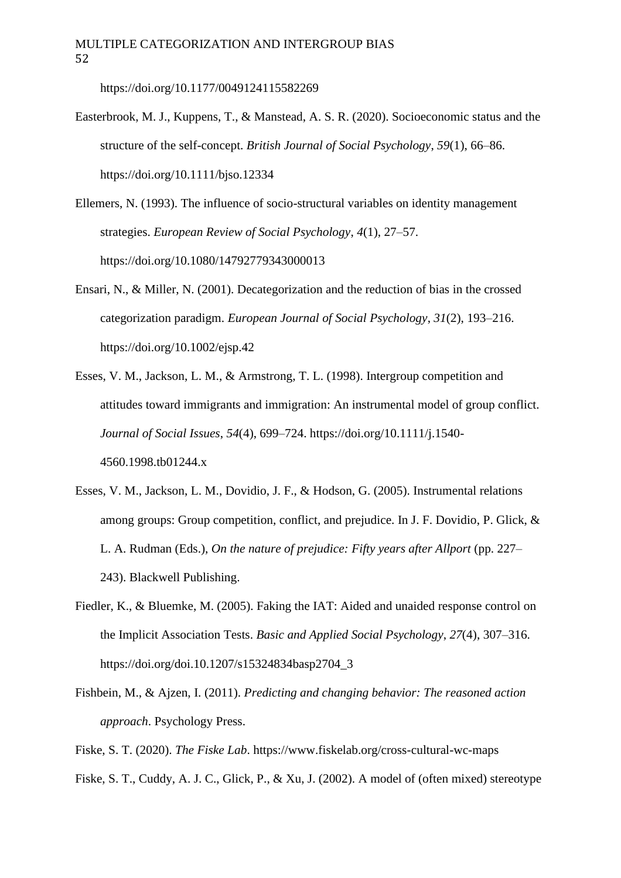https://doi.org/10.1177/0049124115582269

- Easterbrook, M. J., Kuppens, T., & Manstead, A. S. R. (2020). Socioeconomic status and the structure of the self-concept. *British Journal of Social Psychology*, *59*(1), 66–86. https://doi.org/10.1111/bjso.12334
- Ellemers, N. (1993). The influence of socio-structural variables on identity management strategies. *European Review of Social Psychology*, *4*(1), 27–57. https://doi.org/10.1080/14792779343000013
- Ensari, N., & Miller, N. (2001). Decategorization and the reduction of bias in the crossed categorization paradigm. *European Journal of Social Psychology*, *31*(2), 193–216. https://doi.org/10.1002/ejsp.42
- Esses, V. M., Jackson, L. M., & Armstrong, T. L. (1998). Intergroup competition and attitudes toward immigrants and immigration: An instrumental model of group conflict. *Journal of Social Issues*, *54*(4), 699–724. https://doi.org/10.1111/j.1540- 4560.1998.tb01244.x
- Esses, V. M., Jackson, L. M., Dovidio, J. F., & Hodson, G. (2005). Instrumental relations among groups: Group competition, conflict, and prejudice. In J. F. Dovidio, P. Glick, & L. A. Rudman (Eds.), *On the nature of prejudice: Fifty years after Allport* (pp. 227– 243). Blackwell Publishing.
- Fiedler, K., & Bluemke, M. (2005). Faking the IAT: Aided and unaided response control on the Implicit Association Tests. *Basic and Applied Social Psychology*, *27*(4), 307–316. https://doi.org/doi.10.1207/s15324834basp2704\_3
- Fishbein, M., & Ajzen, I. (2011). *Predicting and changing behavior: The reasoned action approach*. Psychology Press.
- Fiske, S. T. (2020). *The Fiske Lab*. https://www.fiskelab.org/cross-cultural-wc-maps
- Fiske, S. T., Cuddy, A. J. C., Glick, P., & Xu, J. (2002). A model of (often mixed) stereotype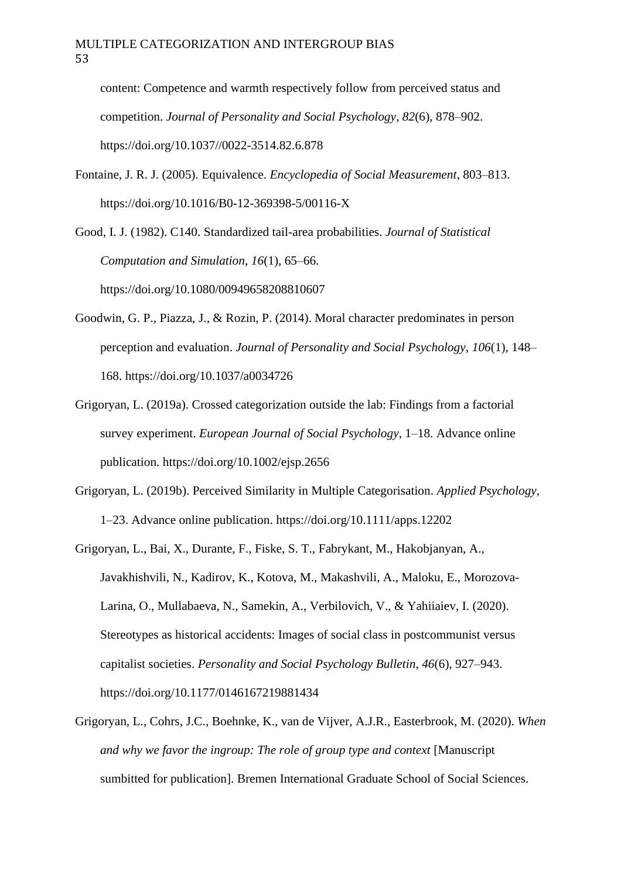content: Competence and warmth respectively follow from perceived status and competition. *Journal of Personality and Social Psychology*, *82*(6), 878–902. https://doi.org/10.1037//0022-3514.82.6.878

Fontaine, J. R. J. (2005). Equivalence. *Encyclopedia of Social Measurement*, 803–813. https://doi.org/10.1016/B0-12-369398-5/00116-X

Good, I. J. (1982). C140. Standardized tail-area probabilities. *Journal of Statistical Computation and Simulation*, *16*(1), 65–66. https://doi.org/10.1080/00949658208810607

- Goodwin, G. P., Piazza, J., & Rozin, P. (2014). Moral character predominates in person perception and evaluation. *Journal of Personality and Social Psychology*, *106*(1), 148– 168. https://doi.org/10.1037/a0034726
- Grigoryan, L. (2019a). Crossed categorization outside the lab: Findings from a factorial survey experiment. *European Journal of Social Psychology*, 1–18. Advance online publication. https://doi.org/10.1002/ejsp.2656
- Grigoryan, L. (2019b). Perceived Similarity in Multiple Categorisation. *Applied Psychology*, 1–23. Advance online publication. https://doi.org/10.1111/apps.12202
- Grigoryan, L., Bai, X., Durante, F., Fiske, S. T., Fabrykant, M., Hakobjanyan, A., Javakhishvili, N., Kadirov, K., Kotova, M., Makashvili, A., Maloku, E., Morozova-Larina, O., Mullabaeva, N., Samekin, A., Verbilovich, V., & Yahiiaiev, I. (2020). Stereotypes as historical accidents: Images of social class in postcommunist versus capitalist societies. *Personality and Social Psychology Bulletin*, *46*(6), 927–943. https://doi.org/10.1177/0146167219881434
- Grigoryan, L., Cohrs, J.C., Boehnke, K., van de Vijver, A.J.R., Easterbrook, M. (2020). *When and why we favor the ingroup: The role of group type and context* [Manuscript sumbitted for publication]. Bremen International Graduate School of Social Sciences.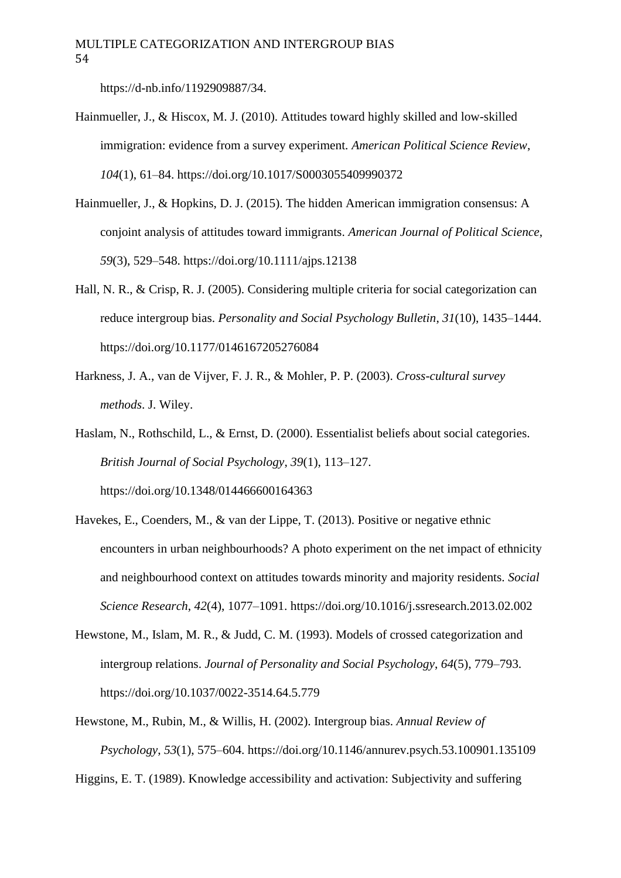[https://d-nb.info/1192909887/34.](https://d-nb.info/1192909887/34)

- Hainmueller, J., & Hiscox, M. J. (2010). Attitudes toward highly skilled and low-skilled immigration: evidence from a survey experiment. *American Political Science Review*, *104*(1), 61–84. https://doi.org/10.1017/S0003055409990372
- Hainmueller, J., & Hopkins, D. J. (2015). The hidden American immigration consensus: A conjoint analysis of attitudes toward immigrants. *American Journal of Political Science*, *59*(3), 529–548. https://doi.org/10.1111/ajps.12138
- Hall, N. R., & Crisp, R. J. (2005). Considering multiple criteria for social categorization can reduce intergroup bias. *Personality and Social Psychology Bulletin*, *31*(10), 1435–1444. https://doi.org/10.1177/0146167205276084
- Harkness, J. A., van de Vijver, F. J. R., & Mohler, P. P. (2003). *Cross-cultural survey methods*. J. Wiley.

Haslam, N., Rothschild, L., & Ernst, D. (2000). Essentialist beliefs about social categories. *British Journal of Social Psychology*, *39*(1), 113–127. https://doi.org/10.1348/014466600164363

- Havekes, E., Coenders, M., & van der Lippe, T. (2013). Positive or negative ethnic encounters in urban neighbourhoods? A photo experiment on the net impact of ethnicity and neighbourhood context on attitudes towards minority and majority residents. *Social Science Research*, *42*(4), 1077–1091. https://doi.org/10.1016/j.ssresearch.2013.02.002
- Hewstone, M., Islam, M. R., & Judd, C. M. (1993). Models of crossed categorization and intergroup relations. *Journal of Personality and Social Psychology*, *64*(5), 779–793. https://doi.org/10.1037/0022-3514.64.5.779
- Hewstone, M., Rubin, M., & Willis, H. (2002). Intergroup bias. *Annual Review of Psychology*, *53*(1), 575–604. https://doi.org/10.1146/annurev.psych.53.100901.135109

Higgins, E. T. (1989). Knowledge accessibility and activation: Subjectivity and suffering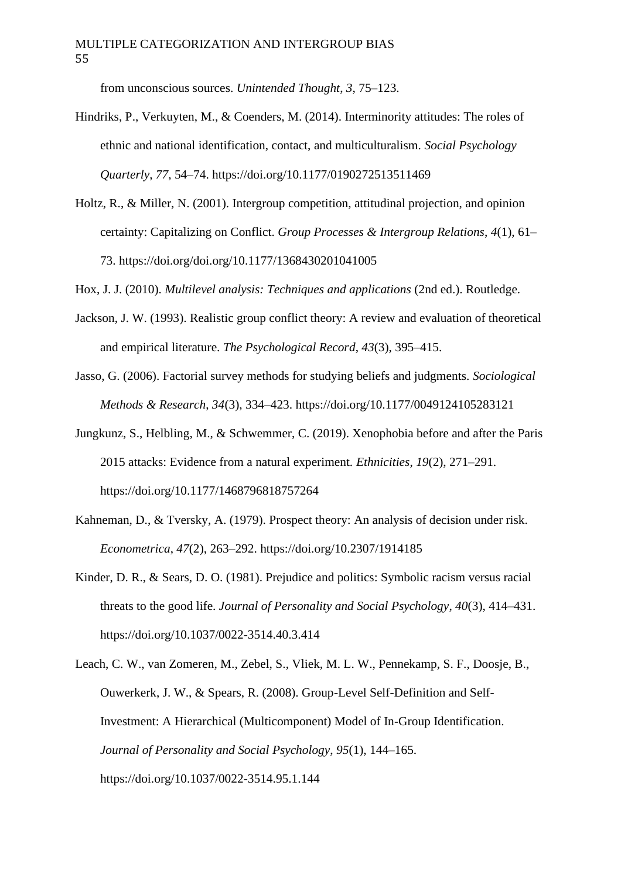from unconscious sources. *Unintended Thought*, *3*, 75–123.

- Hindriks, P., Verkuyten, M., & Coenders, M. (2014). Interminority attitudes: The roles of ethnic and national identification, contact, and multiculturalism. *Social Psychology Quarterly*, *77*, 54–74. https://doi.org/10.1177/0190272513511469
- Holtz, R., & Miller, N. (2001). Intergroup competition, attitudinal projection, and opinion certainty: Capitalizing on Conflict. *Group Processes & Intergroup Relations*, *4*(1), 61– 73. https://doi.org/doi.org/10.1177/1368430201041005
- Hox, J. J. (2010). *Multilevel analysis: Techniques and applications* (2nd ed.). Routledge.
- Jackson, J. W. (1993). Realistic group conflict theory: A review and evaluation of theoretical and empirical literature. *The Psychological Record*, *43*(3), 395–415.
- Jasso, G. (2006). Factorial survey methods for studying beliefs and judgments. *Sociological Methods & Research*, *34*(3), 334–423. https://doi.org/10.1177/0049124105283121
- Jungkunz, S., Helbling, M., & Schwemmer, C. (2019). Xenophobia before and after the Paris 2015 attacks: Evidence from a natural experiment. *Ethnicities*, *19*(2), 271–291. https://doi.org/10.1177/1468796818757264
- Kahneman, D., & Tversky, A. (1979). Prospect theory: An analysis of decision under risk. *Econometrica*, *47*(2), 263–292. https://doi.org/10.2307/1914185
- Kinder, D. R., & Sears, D. O. (1981). Prejudice and politics: Symbolic racism versus racial threats to the good life. *Journal of Personality and Social Psychology*, *40*(3), 414–431. https://doi.org/10.1037/0022-3514.40.3.414
- Leach, C. W., van Zomeren, M., Zebel, S., Vliek, M. L. W., Pennekamp, S. F., Doosje, B., Ouwerkerk, J. W., & Spears, R. (2008). Group-Level Self-Definition and Self-Investment: A Hierarchical (Multicomponent) Model of In-Group Identification. *Journal of Personality and Social Psychology*, *95*(1), 144–165. https://doi.org/10.1037/0022-3514.95.1.144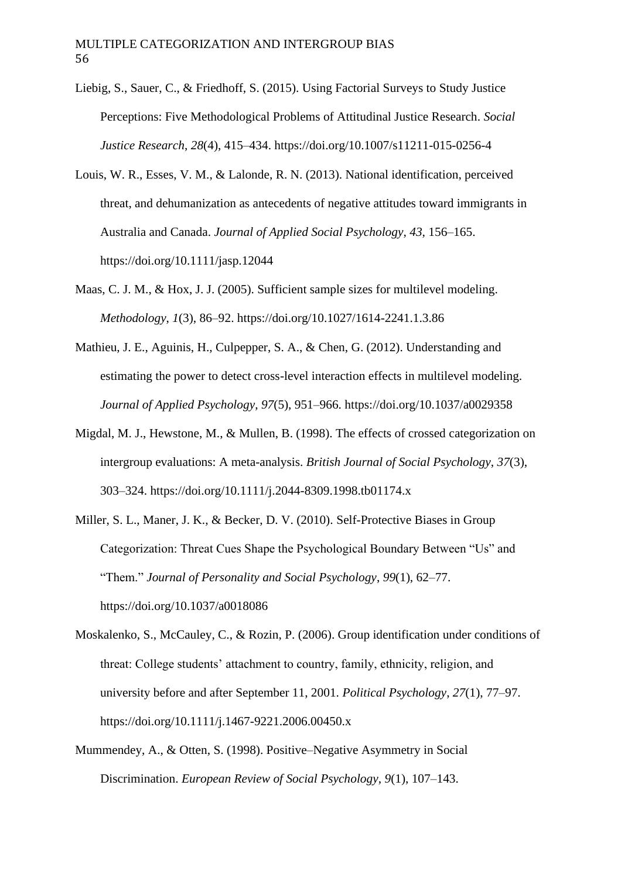- Liebig, S., Sauer, C., & Friedhoff, S. (2015). Using Factorial Surveys to Study Justice Perceptions: Five Methodological Problems of Attitudinal Justice Research. *Social Justice Research*, *28*(4), 415–434. https://doi.org/10.1007/s11211-015-0256-4
- Louis, W. R., Esses, V. M., & Lalonde, R. N. (2013). National identification, perceived threat, and dehumanization as antecedents of negative attitudes toward immigrants in Australia and Canada. *Journal of Applied Social Psychology*, *43*, 156–165. https://doi.org/10.1111/jasp.12044
- Maas, C. J. M., & Hox, J. J. (2005). Sufficient sample sizes for multilevel modeling. *Methodology*, *1*(3), 86–92. https://doi.org/10.1027/1614-2241.1.3.86
- Mathieu, J. E., Aguinis, H., Culpepper, S. A., & Chen, G. (2012). Understanding and estimating the power to detect cross-level interaction effects in multilevel modeling. *Journal of Applied Psychology*, *97*(5), 951–966. https://doi.org/10.1037/a0029358
- Migdal, M. J., Hewstone, M., & Mullen, B. (1998). The effects of crossed categorization on intergroup evaluations: A meta-analysis. *British Journal of Social Psychology*, *37*(3), 303–324. https://doi.org/10.1111/j.2044-8309.1998.tb01174.x
- Miller, S. L., Maner, J. K., & Becker, D. V. (2010). Self-Protective Biases in Group Categorization: Threat Cues Shape the Psychological Boundary Between "Us" and "Them." *Journal of Personality and Social Psychology*, *99*(1), 62–77. https://doi.org/10.1037/a0018086
- Moskalenko, S., McCauley, C., & Rozin, P. (2006). Group identification under conditions of threat: College students' attachment to country, family, ethnicity, religion, and university before and after September 11, 2001. *Political Psychology*, *27*(1), 77–97. https://doi.org/10.1111/j.1467-9221.2006.00450.x
- Mummendey, A., & Otten, S. (1998). Positive–Negative Asymmetry in Social Discrimination. *European Review of Social Psychology*, *9*(1), 107–143.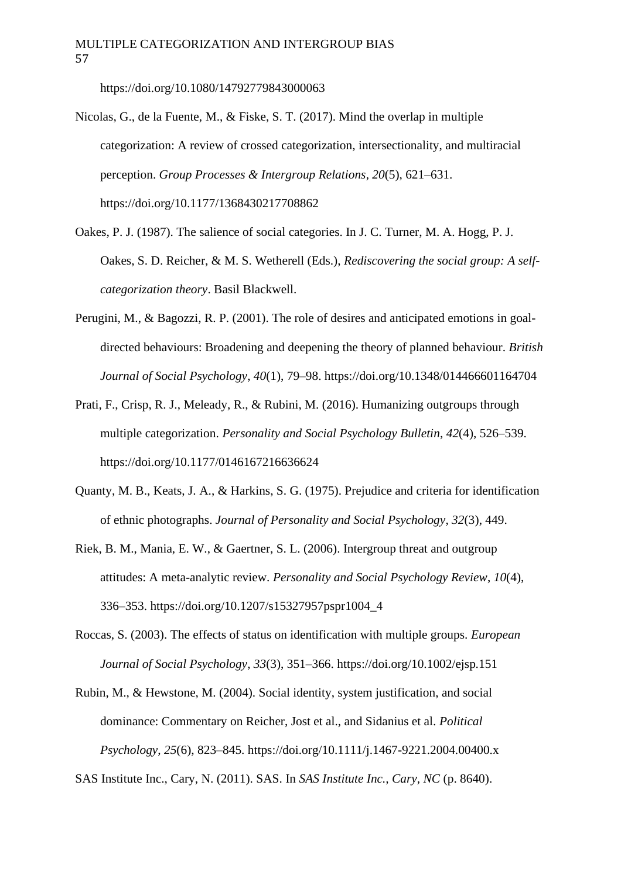https://doi.org/10.1080/14792779843000063

- Nicolas, G., de la Fuente, M., & Fiske, S. T. (2017). Mind the overlap in multiple categorization: A review of crossed categorization, intersectionality, and multiracial perception. *Group Processes & Intergroup Relations*, *20*(5), 621–631. https://doi.org/10.1177/1368430217708862
- Oakes, P. J. (1987). The salience of social categories. In J. C. Turner, M. A. Hogg, P. J. Oakes, S. D. Reicher, & M. S. Wetherell (Eds.), *Rediscovering the social group: A selfcategorization theory*. Basil Blackwell.
- Perugini, M., & Bagozzi, R. P. (2001). The role of desires and anticipated emotions in goaldirected behaviours: Broadening and deepening the theory of planned behaviour. *British Journal of Social Psychology*, *40*(1), 79–98. https://doi.org/10.1348/014466601164704
- Prati, F., Crisp, R. J., Meleady, R., & Rubini, M. (2016). Humanizing outgroups through multiple categorization. *Personality and Social Psychology Bulletin*, *42*(4), 526–539. https://doi.org/10.1177/0146167216636624
- Quanty, M. B., Keats, J. A., & Harkins, S. G. (1975). Prejudice and criteria for identification of ethnic photographs. *Journal of Personality and Social Psychology*, *32*(3), 449.
- Riek, B. M., Mania, E. W., & Gaertner, S. L. (2006). Intergroup threat and outgroup attitudes: A meta-analytic review. *Personality and Social Psychology Review*, *10*(4), 336–353. https://doi.org/10.1207/s15327957pspr1004\_4
- Roccas, S. (2003). The effects of status on identification with multiple groups. *European Journal of Social Psychology*, *33*(3), 351–366. https://doi.org/10.1002/ejsp.151
- Rubin, M., & Hewstone, M. (2004). Social identity, system justification, and social dominance: Commentary on Reicher, Jost et al., and Sidanius et al. *Political Psychology*, *25*(6), 823–845. https://doi.org/10.1111/j.1467-9221.2004.00400.x

SAS Institute Inc., Cary, N. (2011). SAS. In *SAS Institute Inc., Cary, NC* (p. 8640).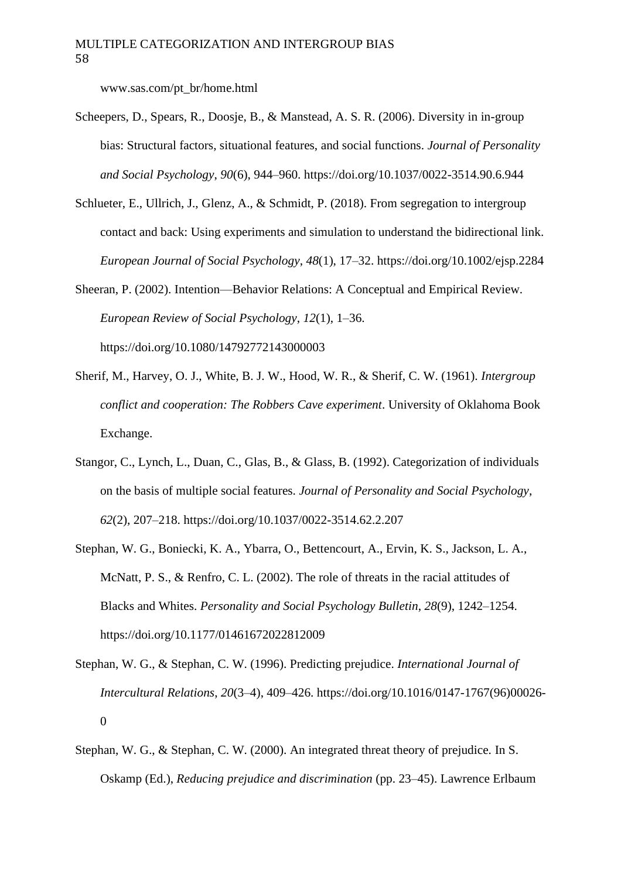www.sas.com/pt\_br/home.html

- Scheepers, D., Spears, R., Doosje, B., & Manstead, A. S. R. (2006). Diversity in in-group bias: Structural factors, situational features, and social functions. *Journal of Personality and Social Psychology*, *90*(6), 944–960. https://doi.org/10.1037/0022-3514.90.6.944
- Schlueter, E., Ullrich, J., Glenz, A., & Schmidt, P. (2018). From segregation to intergroup contact and back: Using experiments and simulation to understand the bidirectional link. *European Journal of Social Psychology*, *48*(1), 17–32. https://doi.org/10.1002/ejsp.2284

Sheeran, P. (2002). Intention—Behavior Relations: A Conceptual and Empirical Review. *European Review of Social Psychology*, *12*(1), 1–36. https://doi.org/10.1080/14792772143000003

- Sherif, M., Harvey, O. J., White, B. J. W., Hood, W. R., & Sherif, C. W. (1961). *Intergroup conflict and cooperation: The Robbers Cave experiment*. University of Oklahoma Book Exchange.
- Stangor, C., Lynch, L., Duan, C., Glas, B., & Glass, B. (1992). Categorization of individuals on the basis of multiple social features. *Journal of Personality and Social Psychology*, *62*(2), 207–218. https://doi.org/10.1037/0022-3514.62.2.207
- Stephan, W. G., Boniecki, K. A., Ybarra, O., Bettencourt, A., Ervin, K. S., Jackson, L. A., McNatt, P. S., & Renfro, C. L. (2002). The role of threats in the racial attitudes of Blacks and Whites. *Personality and Social Psychology Bulletin*, *28*(9), 1242–1254. https://doi.org/10.1177/01461672022812009
- Stephan, W. G., & Stephan, C. W. (1996). Predicting prejudice. *International Journal of Intercultural Relations*, *20*(3–4), 409–426. https://doi.org/10.1016/0147-1767(96)00026- 0
- Stephan, W. G., & Stephan, C. W. (2000). An integrated threat theory of prejudice. In S. Oskamp (Ed.), *Reducing prejudice and discrimination* (pp. 23–45). Lawrence Erlbaum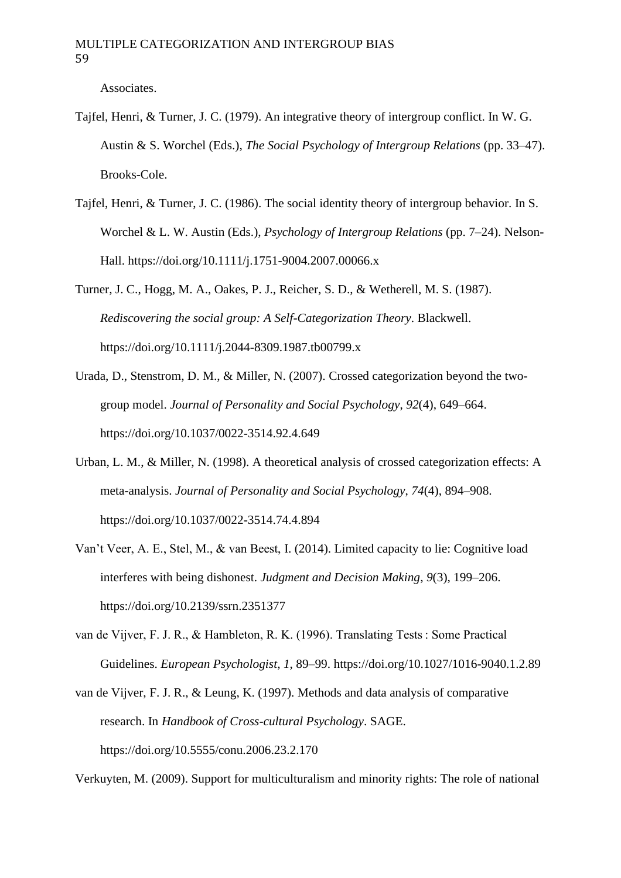Associates.

- Tajfel, Henri, & Turner, J. C. (1979). An integrative theory of intergroup conflict. In W. G. Austin & S. Worchel (Eds.), *The Social Psychology of Intergroup Relations* (pp. 33–47). Brooks-Cole.
- Tajfel, Henri, & Turner, J. C. (1986). The social identity theory of intergroup behavior. In S. Worchel & L. W. Austin (Eds.), *Psychology of Intergroup Relations* (pp. 7–24). Nelson-Hall. https://doi.org/10.1111/j.1751-9004.2007.00066.x
- Turner, J. C., Hogg, M. A., Oakes, P. J., Reicher, S. D., & Wetherell, M. S. (1987). *Rediscovering the social group: A Self-Categorization Theory*. Blackwell. https://doi.org/10.1111/j.2044-8309.1987.tb00799.x
- Urada, D., Stenstrom, D. M., & Miller, N. (2007). Crossed categorization beyond the twogroup model. *Journal of Personality and Social Psychology*, *92*(4), 649–664. https://doi.org/10.1037/0022-3514.92.4.649
- Urban, L. M., & Miller, N. (1998). A theoretical analysis of crossed categorization effects: A meta-analysis. *Journal of Personality and Social Psychology*, *74*(4), 894–908. https://doi.org/10.1037/0022-3514.74.4.894
- Van't Veer, A. E., Stel, M., & van Beest, I. (2014). Limited capacity to lie: Cognitive load interferes with being dishonest. *Judgment and Decision Making*, *9*(3), 199–206. https://doi.org/10.2139/ssrn.2351377
- van de Vijver, F. J. R., & Hambleton, R. K. (1996). Translating Tests : Some Practical Guidelines. *European Psychologist*, *1*, 89–99. https://doi.org/10.1027/1016-9040.1.2.89
- van de Vijver, F. J. R., & Leung, K. (1997). Methods and data analysis of comparative research. In *Handbook of Cross-cultural Psychology*. SAGE. https://doi.org/10.5555/conu.2006.23.2.170

Verkuyten, M. (2009). Support for multiculturalism and minority rights: The role of national